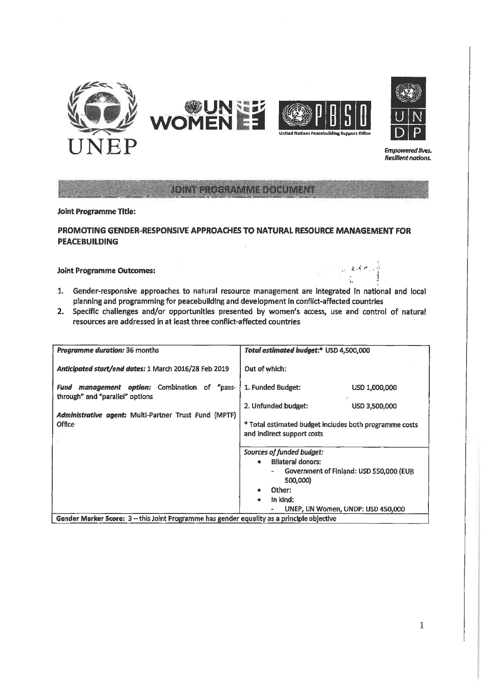

**JOINT PROGRAMME DOCUMENT** 

# **Joint Programme Title:**

### PROMOTING GENDER-RESPONSIVE APPROACHES TO NATURAL RESOURCE MANAGEMENT FOR **PEACEBUILDING**

#### **Joint Programme Outcomes:**

1. Gender-responsive approaches to natural resource management are integrated in national and local planning and programming for peacebuilding and development in conflict-affected countries

 $\sim$  and  $\sigma$  ,  $\sim$ 

Ŵ

2. Specific challenges and/or opportunities presented by women's access, use and control of natural resources are addressed in at least three conflict-affected countries

| <b>Programme duration: 36 months</b>                                                       | Total estimated budget:* USD 4,500,000                                                                                                                                                         |  |
|--------------------------------------------------------------------------------------------|------------------------------------------------------------------------------------------------------------------------------------------------------------------------------------------------|--|
| Anticipated start/end dates: 1 March 2016/28 Feb 2019                                      | Out of which:                                                                                                                                                                                  |  |
| <i>management option:</i> Combination of "pass-<br>Fund<br>through" and "parallel" options | 1. Funded Budget:<br>USD 1,000,000                                                                                                                                                             |  |
| Administrative agent: Multi-Partner Trust Fund (MPTF)                                      | 2. Unfunded budget:<br>USD 3,500,000                                                                                                                                                           |  |
| <b>Office</b>                                                                              | * Total estimated budget includes both programme costs<br>and indirect support costs                                                                                                           |  |
|                                                                                            | Sources of funded budget:<br><b>Bilateral donors:</b><br>Government of Finland: USD 550,000 (EUR<br>-<br>500,000)<br>Other:<br>In kind:<br>$\bullet$<br>UNEP, UN Women, UNDP: USD 450,000<br>۰ |  |
| Gender Marker Score: 3 - this Joint Programme has gender equality as a principle objective |                                                                                                                                                                                                |  |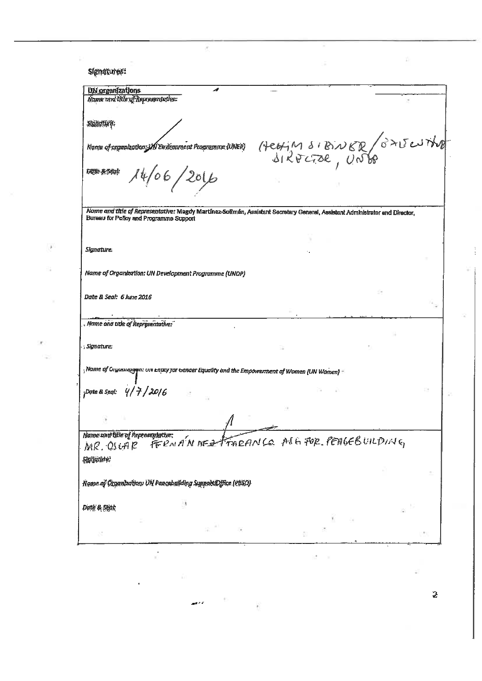Signatures: UN organizations z. Name and title of Representative: Signature: HEATM SIBINER  $\sqrt{6}$  del the Kame of argunization JAI Environment Programme (UNER)  $\frac{1}{6}$   $\frac{1}{20}$ Date & Seal Name and title of Representative: Magdy Martinez-Solimán, Assistant Secretary General, Assistant Administrator and Director, Bureau for Policy and Programme Support Signature. Name of Organization: UN Development Programme (UNDP) Date & Seal: 6 June 2016 Name and title of Representative: ; Signature;  $_1$ Name of Organizagen: UN Entity for Gender Equality and the Empowerment of Women (UN Women) =  $9/7/2016$ :Date & Seal: Name and title of Representative: <u>a</u> ME FOR PETIGEBUILDING FERMANNED TARAN MR. OSCAR Signature? Name of Organization: UN Peacebuilding Support Office (PBSO) Date & Seat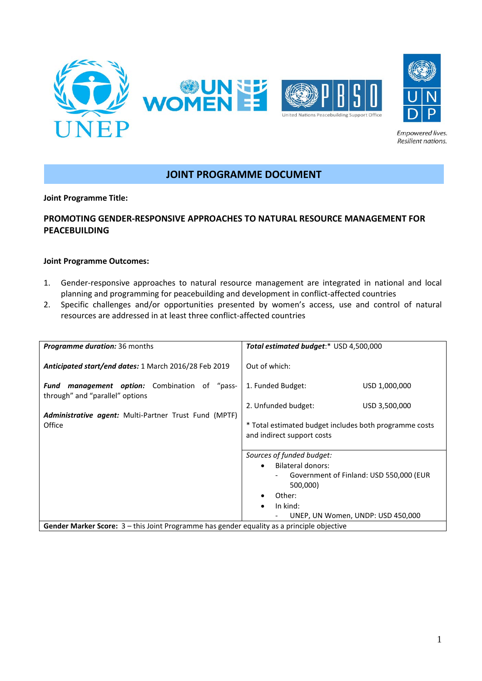

# **JOINT PROGRAMME DOCUMENT**

**Joint Programme Title:**

# **PROMOTING GENDER-RESPONSIVE APPROACHES TO NATURAL RESOURCE MANAGEMENT FOR PEACEBUILDING**

#### **Joint Programme Outcomes:**

- 1. Gender-responsive approaches to natural resource management are integrated in national and local planning and programming for peacebuilding and development in conflict-affected countries
- 2. Specific challenges and/or opportunities presented by women's access, use and control of natural resources are addressed in at least three conflict-affected countries

| <b>Programme duration:</b> 36 months                                                       | Total estimated budget:* USD 4,500,000                                                                                                                                                                                 |  |
|--------------------------------------------------------------------------------------------|------------------------------------------------------------------------------------------------------------------------------------------------------------------------------------------------------------------------|--|
| Anticipated start/end dates: 1 March 2016/28 Feb 2019                                      | Out of which:                                                                                                                                                                                                          |  |
| <b>management option:</b> Combination of "pass-<br>Fund<br>through" and "parallel" options | 1. Funded Budget:<br>USD 1,000,000                                                                                                                                                                                     |  |
|                                                                                            | 2. Unfunded budget:<br>USD 3,500,000                                                                                                                                                                                   |  |
| <b>Administrative agent:</b> Multi-Partner Trust Fund (MPTF)<br>Office                     | * Total estimated budget includes both programme costs<br>and indirect support costs                                                                                                                                   |  |
|                                                                                            | Sources of funded budget:<br>Bilateral donors:<br>$\bullet$<br>Government of Finland: USD 550,000 (EUR<br>500,000)<br>Other:<br>In kind:<br>$\bullet$<br>UNEP, UN Women, UNDP: USD 450,000<br>$\overline{\phantom{0}}$ |  |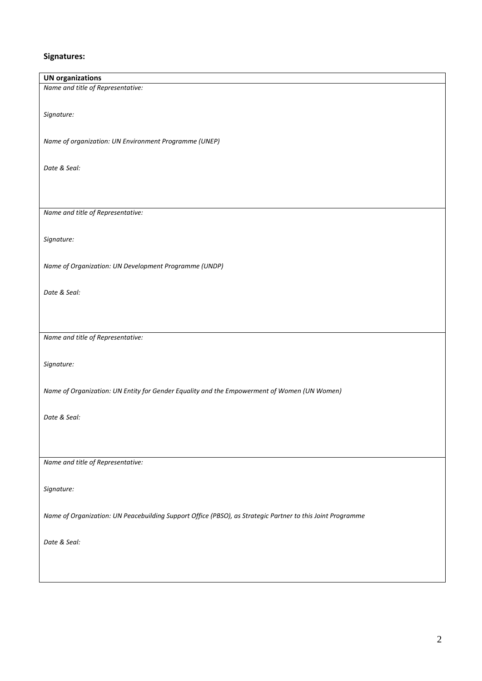# **Signatures:**

| <b>UN organizations</b><br>Name and title of Representative:                                               |
|------------------------------------------------------------------------------------------------------------|
|                                                                                                            |
|                                                                                                            |
|                                                                                                            |
| Signature:                                                                                                 |
|                                                                                                            |
|                                                                                                            |
| Name of organization: UN Environment Programme (UNEP)                                                      |
|                                                                                                            |
|                                                                                                            |
| Date & Seal:                                                                                               |
|                                                                                                            |
|                                                                                                            |
|                                                                                                            |
|                                                                                                            |
| Name and title of Representative:                                                                          |
|                                                                                                            |
| Signature:                                                                                                 |
|                                                                                                            |
|                                                                                                            |
| Name of Organization: UN Development Programme (UNDP)                                                      |
|                                                                                                            |
|                                                                                                            |
| Date & Seal:                                                                                               |
|                                                                                                            |
|                                                                                                            |
|                                                                                                            |
|                                                                                                            |
| Name and title of Representative:                                                                          |
|                                                                                                            |
|                                                                                                            |
| Signature:                                                                                                 |
|                                                                                                            |
|                                                                                                            |
| Name of Organization: UN Entity for Gender Equality and the Empowerment of Women (UN Women)                |
|                                                                                                            |
|                                                                                                            |
| Date & Seal:                                                                                               |
|                                                                                                            |
|                                                                                                            |
|                                                                                                            |
|                                                                                                            |
| Name and title of Representative:                                                                          |
|                                                                                                            |
| Signature:                                                                                                 |
|                                                                                                            |
|                                                                                                            |
| Name of Organization: UN Peacebuilding Support Office (PBSO), as Strategic Partner to this Joint Programme |
|                                                                                                            |
|                                                                                                            |
| Date & Seal:                                                                                               |
|                                                                                                            |
|                                                                                                            |
|                                                                                                            |
|                                                                                                            |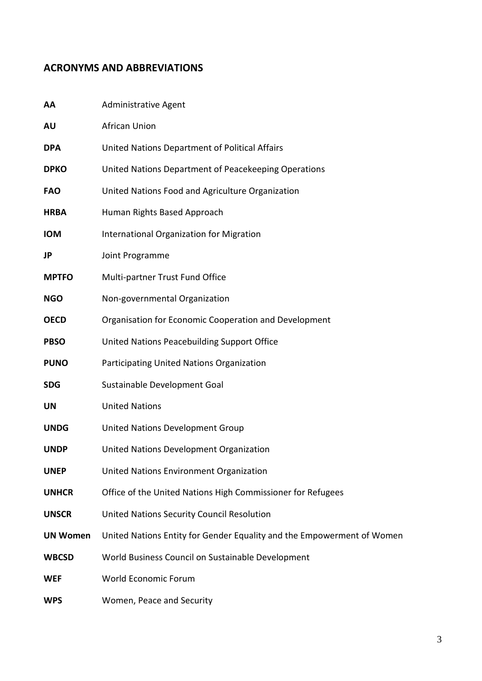# <span id="page-4-0"></span>**ACRONYMS AND ABBREVIATIONS**

| AA              | Administrative Agent                                                   |
|-----------------|------------------------------------------------------------------------|
| AU              | African Union                                                          |
| <b>DPA</b>      | United Nations Department of Political Affairs                         |
| <b>DPKO</b>     | United Nations Department of Peacekeeping Operations                   |
| <b>FAO</b>      | United Nations Food and Agriculture Organization                       |
| <b>HRBA</b>     | Human Rights Based Approach                                            |
| <b>IOM</b>      | International Organization for Migration                               |
| JP              | Joint Programme                                                        |
| <b>MPTFO</b>    | Multi-partner Trust Fund Office                                        |
| <b>NGO</b>      | Non-governmental Organization                                          |
| <b>OECD</b>     | Organisation for Economic Cooperation and Development                  |
| <b>PBSO</b>     | United Nations Peacebuilding Support Office                            |
| <b>PUNO</b>     | Participating United Nations Organization                              |
| <b>SDG</b>      | Sustainable Development Goal                                           |
| <b>UN</b>       | <b>United Nations</b>                                                  |
| <b>UNDG</b>     | United Nations Development Group                                       |
| <b>UNDP</b>     | United Nations Development Organization                                |
| <b>UNEP</b>     | United Nations Environment Organization                                |
| <b>UNHCR</b>    | Office of the United Nations High Commissioner for Refugees            |
| <b>UNSCR</b>    | United Nations Security Council Resolution                             |
| <b>UN Women</b> | United Nations Entity for Gender Equality and the Empowerment of Women |
| <b>WBCSD</b>    | World Business Council on Sustainable Development                      |
| <b>WEF</b>      | World Economic Forum                                                   |
| <b>WPS</b>      | Women, Peace and Security                                              |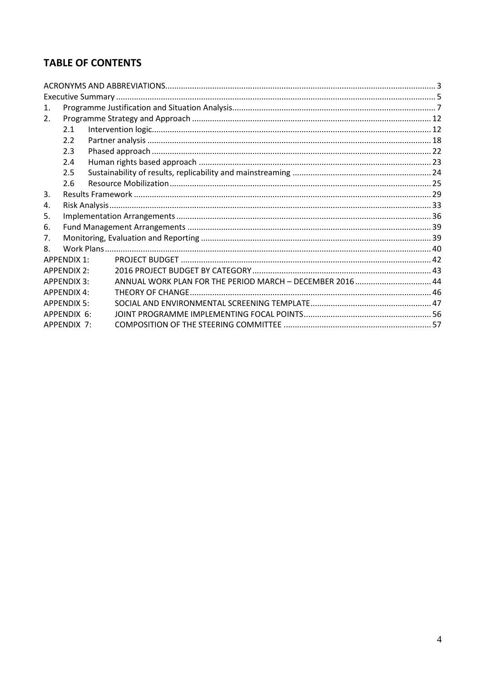# **TABLE OF CONTENTS**

| $\mathbf{1}$ . |                                                           |                                                                                                                                          |  |
|----------------|-----------------------------------------------------------|------------------------------------------------------------------------------------------------------------------------------------------|--|
| 2.             |                                                           |                                                                                                                                          |  |
| 2.1            |                                                           |                                                                                                                                          |  |
| 2.2            |                                                           |                                                                                                                                          |  |
| 2.3            |                                                           |                                                                                                                                          |  |
| 2.4            |                                                           |                                                                                                                                          |  |
| 2.5            |                                                           |                                                                                                                                          |  |
| 2.6            |                                                           |                                                                                                                                          |  |
|                |                                                           |                                                                                                                                          |  |
|                |                                                           |                                                                                                                                          |  |
|                |                                                           |                                                                                                                                          |  |
|                |                                                           |                                                                                                                                          |  |
|                |                                                           |                                                                                                                                          |  |
|                |                                                           |                                                                                                                                          |  |
|                |                                                           |                                                                                                                                          |  |
|                |                                                           |                                                                                                                                          |  |
|                | ANNUAL WORK PLAN FOR THE PERIOD MARCH - DECEMBER 2016  44 |                                                                                                                                          |  |
|                |                                                           |                                                                                                                                          |  |
|                |                                                           |                                                                                                                                          |  |
|                |                                                           |                                                                                                                                          |  |
|                |                                                           |                                                                                                                                          |  |
|                |                                                           | <b>APPENDIX 1:</b><br><b>APPFNDIX 2:</b><br><b>APPFNDIX 3:</b><br><b>APPENDIX 4:</b><br><b>APPFNDIX 5:</b><br>APPFNDIX 6:<br>APPFNDIX 7: |  |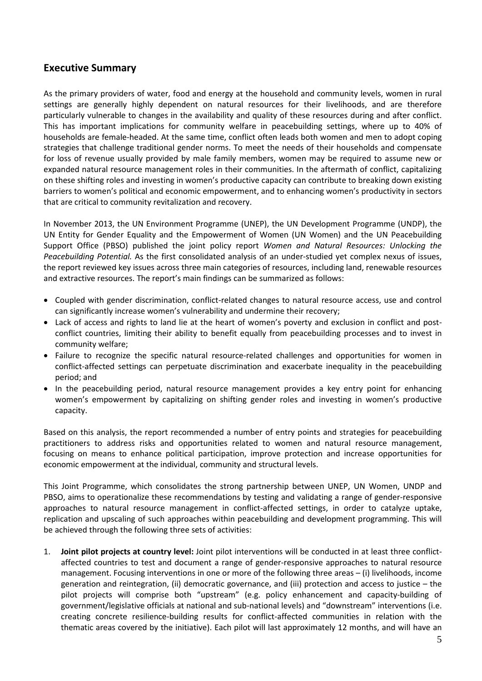# <span id="page-6-0"></span>**Executive Summary**

As the primary providers of water, food and energy at the household and community levels, women in rural settings are generally highly dependent on natural resources for their livelihoods, and are therefore particularly vulnerable to changes in the availability and quality of these resources during and after conflict. This has important implications for community welfare in peacebuilding settings, where up to 40% of households are female-headed. At the same time, conflict often leads both women and men to adopt coping strategies that challenge traditional gender norms. To meet the needs of their households and compensate for loss of revenue usually provided by male family members, women may be required to assume new or expanded natural resource management roles in their communities. In the aftermath of conflict, capitalizing on these shifting roles and investing in women's productive capacity can contribute to breaking down existing barriers to women's political and economic empowerment, and to enhancing women's productivity in sectors that are critical to community revitalization and recovery.

In November 2013, the UN Environment Programme (UNEP), the UN Development Programme (UNDP), the UN Entity for Gender Equality and the Empowerment of Women (UN Women) and the UN Peacebuilding Support Office (PBSO) published the joint policy report *Women and Natural Resources: Unlocking the Peacebuilding Potential.* As the first consolidated analysis of an under-studied yet complex nexus of issues, the report reviewed key issues across three main categories of resources, including land, renewable resources and extractive resources. The report's main findings can be summarized as follows:

- Coupled with gender discrimination, conflict-related changes to natural resource access, use and control can significantly increase women's vulnerability and undermine their recovery;
- Lack of access and rights to land lie at the heart of women's poverty and exclusion in conflict and postconflict countries, limiting their ability to benefit equally from peacebuilding processes and to invest in community welfare;
- Failure to recognize the specific natural resource-related challenges and opportunities for women in conflict-affected settings can perpetuate discrimination and exacerbate inequality in the peacebuilding period; and
- In the peacebuilding period, natural resource management provides a key entry point for enhancing women's empowerment by capitalizing on shifting gender roles and investing in women's productive capacity.

Based on this analysis, the report recommended a number of entry points and strategies for peacebuilding practitioners to address risks and opportunities related to women and natural resource management, focusing on means to enhance political participation, improve protection and increase opportunities for economic empowerment at the individual, community and structural levels.

This Joint Programme, which consolidates the strong partnership between UNEP, UN Women, UNDP and PBSO, aims to operationalize these recommendations by testing and validating a range of gender-responsive approaches to natural resource management in conflict-affected settings, in order to catalyze uptake, replication and upscaling of such approaches within peacebuilding and development programming. This will be achieved through the following three sets of activities:

1. **Joint pilot projects at country level:** Joint pilot interventions will be conducted in at least three conflictaffected countries to test and document a range of gender-responsive approaches to natural resource management. Focusing interventions in one or more of the following three areas – (i) livelihoods, income generation and reintegration, (ii) democratic governance, and (iii) protection and access to justice – the pilot projects will comprise both "upstream" (e.g. policy enhancement and capacity-building of government/legislative officials at national and sub-national levels) and "downstream" interventions (i.e. creating concrete resilience-building results for conflict-affected communities in relation with the thematic areas covered by the initiative). Each pilot will last approximately 12 months, and will have an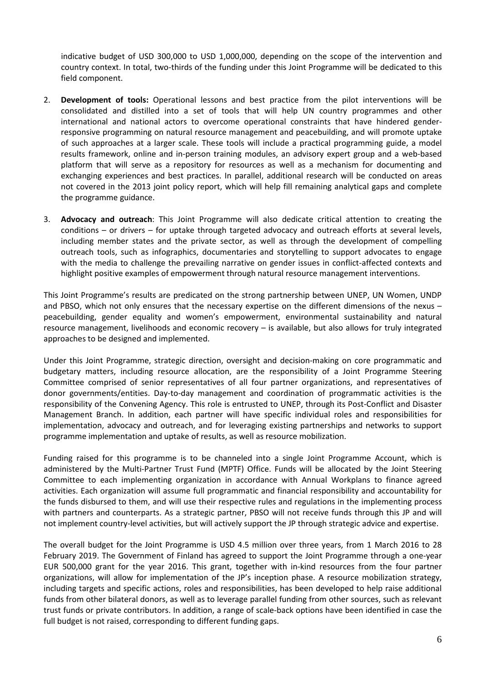indicative budget of USD 300,000 to USD 1,000,000, depending on the scope of the intervention and country context. In total, two-thirds of the funding under this Joint Programme will be dedicated to this field component.

- 2. **Development of tools:** Operational lessons and best practice from the pilot interventions will be consolidated and distilled into a set of tools that will help UN country programmes and other international and national actors to overcome operational constraints that have hindered genderresponsive programming on natural resource management and peacebuilding, and will promote uptake of such approaches at a larger scale. These tools will include a practical programming guide, a model results framework, online and in-person training modules, an advisory expert group and a web-based platform that will serve as a repository for resources as well as a mechanism for documenting and exchanging experiences and best practices. In parallel, additional research will be conducted on areas not covered in the 2013 joint policy report, which will help fill remaining analytical gaps and complete the programme guidance.
- 3. **Advocacy and outreach**: This Joint Programme will also dedicate critical attention to creating the conditions – or drivers – for uptake through targeted advocacy and outreach efforts at several levels, including member states and the private sector, as well as through the development of compelling outreach tools, such as infographics, documentaries and storytelling to support advocates to engage with the media to challenge the prevailing narrative on gender issues in conflict-affected contexts and highlight positive examples of empowerment through natural resource management interventions.

This Joint Programme's results are predicated on the strong partnership between UNEP, UN Women, UNDP and PBSO, which not only ensures that the necessary expertise on the different dimensions of the nexus – peacebuilding, gender equality and women's empowerment, environmental sustainability and natural resource management, livelihoods and economic recovery – is available, but also allows for truly integrated approaches to be designed and implemented.

Under this Joint Programme, strategic direction, oversight and decision-making on core programmatic and budgetary matters, including resource allocation, are the responsibility of a Joint Programme Steering Committee comprised of senior representatives of all four partner organizations, and representatives of donor governments/entities. Day-to-day management and coordination of programmatic activities is the responsibility of the Convening Agency. This role is entrusted to UNEP, through its Post-Conflict and Disaster Management Branch. In addition, each partner will have specific individual roles and responsibilities for implementation, advocacy and outreach, and for leveraging existing partnerships and networks to support programme implementation and uptake of results, as well as resource mobilization.

Funding raised for this programme is to be channeled into a single Joint Programme Account, which is administered by the Multi-Partner Trust Fund (MPTF) Office. Funds will be allocated by the Joint Steering Committee to each implementing organization in accordance with Annual Workplans to finance agreed activities. Each organization will assume full programmatic and financial responsibility and accountability for the funds disbursed to them, and will use their respective rules and regulations in the implementing process with partners and counterparts. As a strategic partner, PBSO will not receive funds through this JP and will not implement country-level activities, but will actively support the JP through strategic advice and expertise.

The overall budget for the Joint Programme is USD 4.5 million over three years, from 1 March 2016 to 28 February 2019. The Government of Finland has agreed to support the Joint Programme through a one-year EUR 500,000 grant for the year 2016. This grant, together with in-kind resources from the four partner organizations, will allow for implementation of the JP's inception phase. A resource mobilization strategy, including targets and specific actions, roles and responsibilities, has been developed to help raise additional funds from other bilateral donors, as well as to leverage parallel funding from other sources, such as relevant trust funds or private contributors. In addition, a range of scale-back options have been identified in case the full budget is not raised, corresponding to different funding gaps.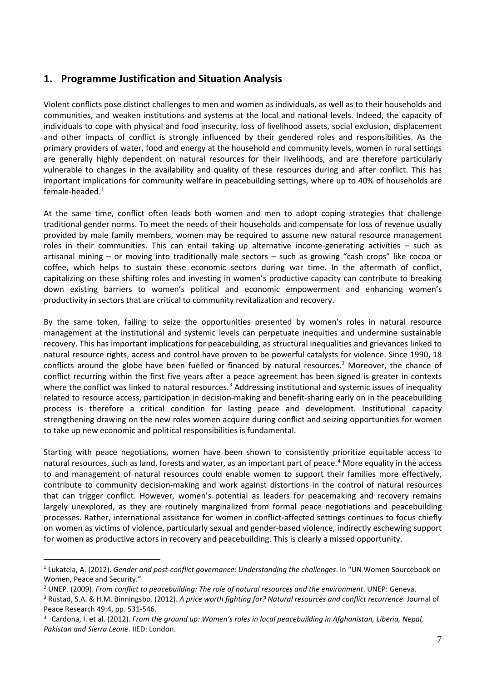# <span id="page-8-0"></span>**1. Programme Justification and Situation Analysis**

Violent conflicts pose distinct challenges to men and women as individuals, as well as to their households and communities, and weaken institutions and systems at the local and national levels. Indeed, the capacity of individuals to cope with physical and food insecurity, loss of livelihood assets, social exclusion, displacement and other impacts of conflict is strongly influenced by their gendered roles and responsibilities. As the primary providers of water, food and energy at the household and community levels, women in rural settings are generally highly dependent on natural resources for their livelihoods, and are therefore particularly vulnerable to changes in the availability and quality of these resources during and after conflict. This has important implications for community welfare in peacebuilding settings, where up to 40% of households are female-headed.[1](#page-8-1)

At the same time, conflict often leads both women and men to adopt coping strategies that challenge traditional gender norms. To meet the needs of their households and compensate for loss of revenue usually provided by male family members, women may be required to assume new natural resource management roles in their communities. This can entail taking up alternative income-generating activities – such as artisanal mining – or moving into traditionally male sectors – such as growing "cash crops" like cocoa or coffee, which helps to sustain these economic sectors during war time. In the aftermath of conflict, capitalizing on these shifting roles and investing in women's productive capacity can contribute to breaking down existing barriers to women's political and economic empowerment and enhancing women's productivity in sectors that are critical to community revitalization and recovery.

By the same token, failing to seize the opportunities presented by women's roles in natural resource management at the institutional and systemic levels can perpetuate inequities and undermine sustainable recovery. This has important implications for peacebuilding, as structural inequalities and grievances linked to natural resource rights, access and control have proven to be powerful catalysts for violence. Since 1990, 18 conflicts around the globe have been fuelled or financed by natural resources.<sup>[2](#page-8-2)</sup> Moreover, the chance of conflict recurring within the first five years after a peace agreement has been signed is greater in contexts where the conflict was linked to natural resources.<sup>[3](#page-8-3)</sup> Addressing institutional and systemic issues of inequality related to resource access, participation in decision-making and benefit-sharing early on in the peacebuilding process is therefore a critical condition for lasting peace and development. Institutional capacity strengthening drawing on the new roles women acquire during conflict and seizing opportunities for women to take up new economic and political responsibilities is fundamental.

Starting with peace negotiations, women have been shown to consistently prioritize equitable access to natural resources, such as land, forests and water, as an important part of peace.<sup>[4](#page-8-4)</sup> More equality in the access to and management of natural resources could enable women to support their families more effectively, contribute to community decision-making and work against distortions in the control of natural resources that can trigger conflict. However, women's potential as leaders for peacemaking and recovery remains largely unexplored, as they are routinely marginalized from formal peace negotiations and peacebuilding processes. Rather, international assistance for women in conflict-affected settings continues to focus chiefly on women as victims of violence, particularly sexual and gender-based violence, indirectly eschewing support for women as productive actors in recovery and peacebuilding. This is clearly a missed opportunity.

-

<span id="page-8-1"></span><sup>1</sup> Lukatela, A. (2012). *Gender and post-conflict governance: Understanding the challenges*. In "UN Women Sourcebook on Women, Peace and Security."

<span id="page-8-2"></span><sup>&</sup>lt;sup>2</sup> UNEP. (2009). From conflict to peacebuilding: The role of natural resources and the environment. UNEP: Geneva.

<span id="page-8-3"></span><sup>3</sup> Rustad, S.A. & H.M. Binningsbo. (2012). *A price worth fighting for? Natural resources and conflict recurrence*. Journal of Peace Research 49:4, pp. 531-546.

<span id="page-8-4"></span><sup>4</sup> Cardona, I. et al. (2012). *From the ground up: Women's roles in local peacebuilding in Afghanistan, Liberia, Nepal, Pakistan and Sierra Leone*. IIED: London.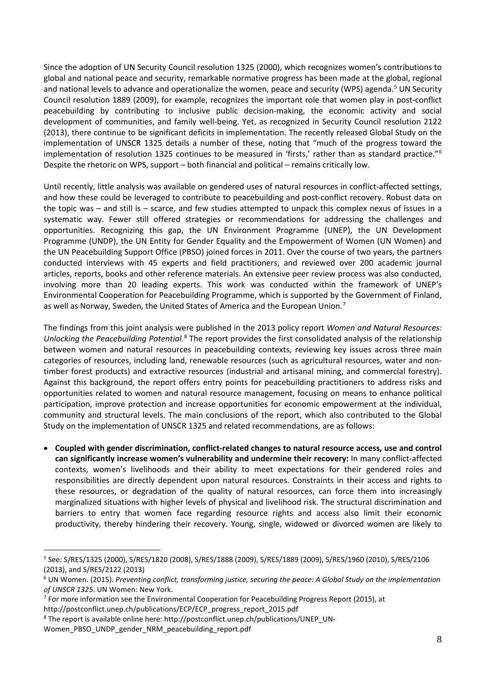Since the adoption of UN Security Council resolution 1325 (2000), which recognizes women's contributions to global and national peace and security, remarkable normative progress has been made at the global, regional and national levels to advance and operationalize the women, peace and security (WPS) agenda.<sup>[5](#page-9-0)</sup> UN Security Council resolution 1889 (2009), for example, recognizes the important role that women play in post-conflict peacebuilding by contributing to inclusive public decision-making, the economic activity and social development of communities, and family well-being. Yet, as recognized in Security Council resolution 2122 (2013), there continue to be significant deficits in implementation. The recently released Global Study on the implementation of UNSCR 1325 details a number of these, noting that "much of the progress toward the implementation of resolution 1325 continues to be measured in 'firsts,' rather than as standard practice."<sup>[6](#page-9-1)</sup> Despite the rhetoric on WPS, support – both financial and political – remains critically low.

Until recently, little analysis was available on gendered uses of natural resources in conflict-affected settings, and how these could be leveraged to contribute to peacebuilding and post-conflict recovery. Robust data on the topic was – and still is – scarce, and few studies attempted to unpack this complex nexus of issues in a systematic way. Fewer still offered strategies or recommendations for addressing the challenges and opportunities. Recognizing this gap, the UN Environment Programme (UNEP), the UN Development Programme (UNDP), the UN Entity for Gender Equality and the Empowerment of Women (UN Women) and the UN Peacebuilding Support Office (PBSO) joined forces in 2011. Over the course of two years, the partners conducted interviews with 45 experts and field practitioners, and reviewed over 200 academic journal articles, reports, books and other reference materials. An extensive peer review process was also conducted, involving more than 20 leading experts. This work was conducted within the framework of UNEP's Environmental Cooperation for Peacebuilding Programme, which is supported by the Government of Finland, as well as Norway, Sweden, the United States of America and the European Union.<sup>[7](#page-9-2)</sup>

The findings from this joint analysis were published in the 2013 policy report *Women and Natural Resources: Unlocking the Peacebuilding Potential.*[8](#page-9-3) The report provides the first consolidated analysis of the relationship between women and natural resources in peacebuilding contexts, reviewing key issues across three main categories of resources, including land, renewable resources (such as agricultural resources, water and nontimber forest products) and extractive resources (industrial and artisanal mining, and commercial forestry). Against this background, the report offers entry points for peacebuilding practitioners to address risks and opportunities related to women and natural resource management, focusing on means to enhance political participation, improve protection and increase opportunities for economic empowerment at the individual, community and structural levels. The main conclusions of the report, which also contributed to the Global Study on the implementation of UNSCR 1325 and related recommendations, are as follows:

• **Coupled with gender discrimination, conflict-related changes to natural resource access, use and control can significantly increase women's vulnerability and undermine their recovery:** In many conflict-affected contexts, women's livelihoods and their ability to meet expectations for their gendered roles and responsibilities are directly dependent upon natural resources. Constraints in their access and rights to these resources, or degradation of the quality of natural resources, can force them into increasingly marginalized situations with higher levels of physical and livelihood risk. The structural discrimination and barriers to entry that women face regarding resource rights and access also limit their economic productivity, thereby hindering their recovery. Young, single, widowed or divorced women are likely to

-

<span id="page-9-0"></span><sup>5</sup> See: S/RES/1325 (2000), S/RES/1820 (2008), S/RES/1888 (2009), S/RES/1889 (2009), S/RES/1960 (2010), S/RES/2106 (2013), and S/RES/2122 (2013)

<span id="page-9-1"></span><sup>6</sup> UN Women. (2015). *Preventing conflict, transforming justice, securing the peace: A Global Study on the implementation of UNSCR 1325*. UN Women: New York.

<span id="page-9-2"></span> $7$  For more information see the Environmental Cooperation for Peacebuilding Progress Report (2015), at

http://postconflict.unep.ch/publications/ECP/ECP\_progress\_report\_2015.pdf

<span id="page-9-3"></span><sup>&</sup>lt;sup>8</sup> The report is available online here: http://postconflict.unep.ch/publications/UNEP\_UN-

Women\_PBSO\_UNDP\_gender\_NRM\_peacebuilding\_report.pdf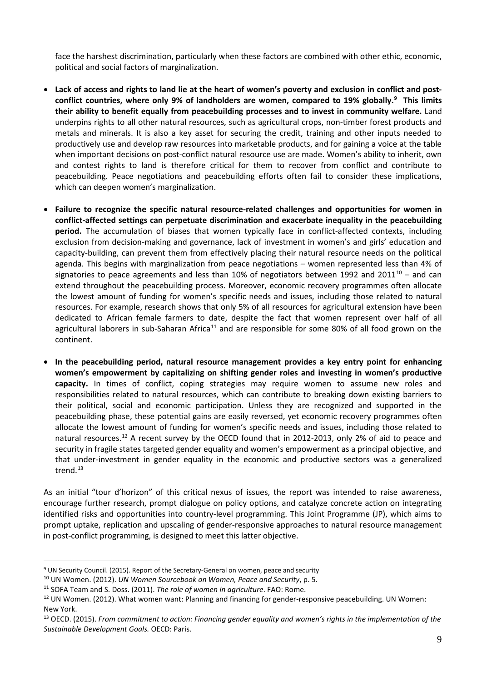face the harshest discrimination, particularly when these factors are combined with other ethic, economic, political and social factors of marginalization.

- **Lack of access and rights to land lie at the heart of women's poverty and exclusion in conflict and postconflict countries, where only 9% of landholders are women, compared to 19% globally.[9](#page-10-0) This limits their ability to benefit equally from peacebuilding processes and to invest in community welfare.** Land underpins rights to all other natural resources, such as agricultural crops, non-timber forest products and metals and minerals. It is also a key asset for securing the credit, training and other inputs needed to productively use and develop raw resources into marketable products, and for gaining a voice at the table when important decisions on post-conflict natural resource use are made. Women's ability to inherit, own and contest rights to land is therefore critical for them to recover from conflict and contribute to peacebuilding. Peace negotiations and peacebuilding efforts often fail to consider these implications, which can deepen women's marginalization.
- **Failure to recognize the specific natural resource-related challenges and opportunities for women in conflict-affected settings can perpetuate discrimination and exacerbate inequality in the peacebuilding period.** The accumulation of biases that women typically face in conflict-affected contexts, including exclusion from decision-making and governance, lack of investment in women's and girls' education and capacity-building, can prevent them from effectively placing their natural resource needs on the political agenda. This begins with marginalization from peace negotiations – women represented less than 4% of signatories to peace agreements and less than [10](#page-10-1)% of negotiators between 1992 and 2011 $^{10}$  – and can extend throughout the peacebuilding process. Moreover, economic recovery programmes often allocate the lowest amount of funding for women's specific needs and issues, including those related to natural resources. For example, research shows that only 5% of all resources for agricultural extension have been dedicated to African female farmers to date, despite the fact that women represent over half of all agricultural laborers in sub-Saharan Africa<sup>[11](#page-10-2)</sup> and are responsible for some 80% of all food grown on the continent.
- **In the peacebuilding period, natural resource management provides a key entry point for enhancing women's empowerment by capitalizing on shifting gender roles and investing in women's productive capacity.** In times of conflict, coping strategies may require women to assume new roles and responsibilities related to natural resources, which can contribute to breaking down existing barriers to their political, social and economic participation. Unless they are recognized and supported in the peacebuilding phase, these potential gains are easily reversed, yet economic recovery programmes often allocate the lowest amount of funding for women's specific needs and issues, including those related to natural resources.<sup>[12](#page-10-3)</sup> A recent survey by the OECD found that in 2012-2013, only 2% of aid to peace and security in fragile states targeted gender equality and women's empowerment as a principal objective, and that under-investment in gender equality in the economic and productive sectors was a generalized trend. $13$

As an initial "tour d'horizon" of this critical nexus of issues, the report was intended to raise awareness, encourage further research, prompt dialogue on policy options, and catalyze concrete action on integrating identified risks and opportunities into country-level programming. This Joint Programme (JP), which aims to prompt uptake, replication and upscaling of gender-responsive approaches to natural resource management in post-conflict programming, is designed to meet this latter objective.

-

<span id="page-10-0"></span><sup>9</sup> UN Security Council. (2015). Report of the Secretary-General on women, peace and security

<span id="page-10-1"></span><sup>10</sup> UN Women. (2012). *UN Women Sourcebook on Women, Peace and Security*, p. 5.

<span id="page-10-2"></span><sup>11</sup> SOFA Team and S. Doss. (2011). *The role of women in agriculture*. FAO: Rome.

<span id="page-10-3"></span><sup>&</sup>lt;sup>12</sup> UN Women. (2012). What women want: Planning and financing for gender-responsive peacebuilding. UN Women: New York.

<span id="page-10-4"></span><sup>13</sup> OECD. (2015). *From commitment to action: Financing gender equality and women's rights in the implementation of the Sustainable Development Goals.* OECD: Paris.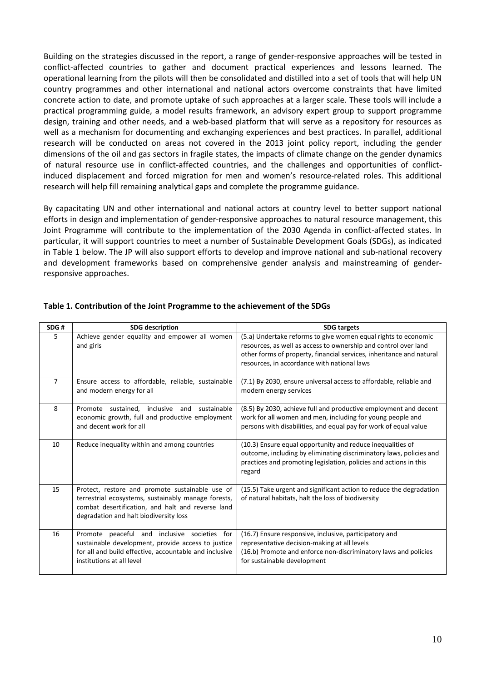Building on the strategies discussed in the report, a range of gender-responsive approaches will be tested in conflict-affected countries to gather and document practical experiences and lessons learned. The operational learning from the pilots will then be consolidated and distilled into a set of tools that will help UN country programmes and other international and national actors overcome constraints that have limited concrete action to date, and promote uptake of such approaches at a larger scale. These tools will include a practical programming guide, a model results framework, an advisory expert group to support programme design, training and other needs, and a web-based platform that will serve as a repository for resources as well as a mechanism for documenting and exchanging experiences and best practices. In parallel, additional research will be conducted on areas not covered in the 2013 joint policy report, including the gender dimensions of the oil and gas sectors in fragile states, the impacts of climate change on the gender dynamics of natural resource use in conflict-affected countries, and the challenges and opportunities of conflictinduced displacement and forced migration for men and women's resource-related roles. This additional research will help fill remaining analytical gaps and complete the programme guidance.

By capacitating UN and other international and national actors at country level to better support national efforts in design and implementation of gender-responsive approaches to natural resource management, this Joint Programme will contribute to the implementation of the 2030 Agenda in conflict-affected states. In particular, it will support countries to meet a number of Sustainable Development Goals (SDGs), as indicated in Table 1 below. The JP will also support efforts to develop and improve national and sub-national recovery and development frameworks based on comprehensive gender analysis and mainstreaming of genderresponsive approaches.

| SDG#           | <b>SDG</b> description                                                                                                                                                                                | <b>SDG targets</b>                                                                                                                                                                                                                                       |
|----------------|-------------------------------------------------------------------------------------------------------------------------------------------------------------------------------------------------------|----------------------------------------------------------------------------------------------------------------------------------------------------------------------------------------------------------------------------------------------------------|
| 5              | Achieve gender equality and empower all women<br>and girls                                                                                                                                            | (5.a) Undertake reforms to give women equal rights to economic<br>resources, as well as access to ownership and control over land<br>other forms of property, financial services, inheritance and natural<br>resources, in accordance with national laws |
| $\overline{7}$ | Ensure access to affordable, reliable, sustainable<br>and modern energy for all                                                                                                                       | (7.1) By 2030, ensure universal access to affordable, reliable and<br>modern energy services                                                                                                                                                             |
| 8              | sustainable<br>Promote sustained.<br>inclusive<br>and<br>economic growth, full and productive employment<br>and decent work for all                                                                   | (8.5) By 2030, achieve full and productive employment and decent<br>work for all women and men, including for young people and<br>persons with disabilities, and equal pay for work of equal value                                                       |
| 10             | Reduce inequality within and among countries                                                                                                                                                          | (10.3) Ensure equal opportunity and reduce inequalities of<br>outcome, including by eliminating discriminatory laws, policies and<br>practices and promoting legislation, policies and actions in this<br>regard                                         |
| 15             | Protect, restore and promote sustainable use of<br>terrestrial ecosystems, sustainably manage forests,<br>combat desertification, and halt and reverse land<br>degradation and halt biodiversity loss | (15.5) Take urgent and significant action to reduce the degradation<br>of natural habitats, halt the loss of biodiversity                                                                                                                                |
| 16             | Promote peaceful and inclusive societies for<br>sustainable development, provide access to justice<br>for all and build effective, accountable and inclusive<br>institutions at all level             | (16.7) Ensure responsive, inclusive, participatory and<br>representative decision-making at all levels<br>(16.b) Promote and enforce non-discriminatory laws and policies<br>for sustainable development                                                 |

#### **Table 1. Contribution of the Joint Programme to the achievement of the SDGs**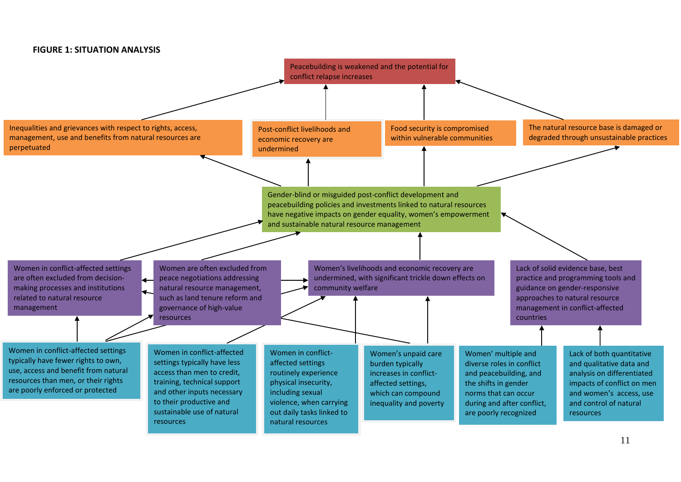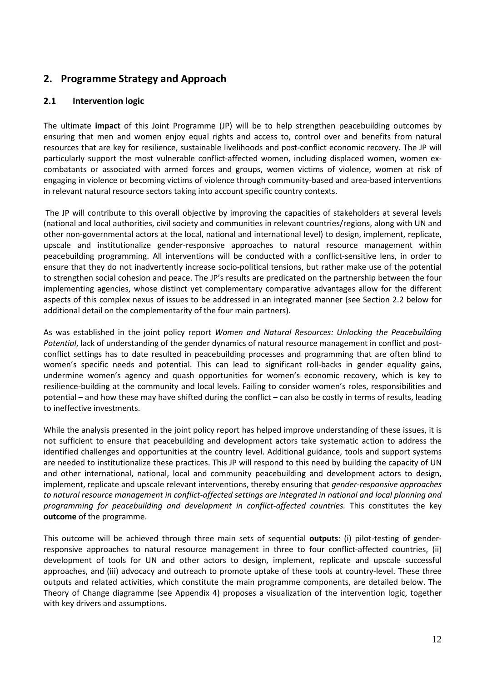# <span id="page-13-0"></span>**2. Programme Strategy and Approach**

# <span id="page-13-1"></span>**2.1 Intervention logic**

The ultimate **impact** of this Joint Programme (JP) will be to help strengthen peacebuilding outcomes by ensuring that men and women enjoy equal rights and access to, control over and benefits from natural resources that are key for resilience, sustainable livelihoods and post-conflict economic recovery. The JP will particularly support the most vulnerable conflict-affected women, including displaced women, women excombatants or associated with armed forces and groups, women victims of violence, women at risk of engaging in violence or becoming victims of violence through community-based and area-based interventions in relevant natural resource sectors taking into account specific country contexts.

The JP will contribute to this overall objective by improving the capacities of stakeholders at several levels (national and local authorities, civil society and communities in relevant countries/regions, along with UN and other non-governmental actors at the local, national and international level) to design, implement, replicate, upscale and institutionalize gender-responsive approaches to natural resource management within peacebuilding programming. All interventions will be conducted with a conflict-sensitive lens, in order to ensure that they do not inadvertently increase socio-political tensions, but rather make use of the potential to strengthen social cohesion and peace. The JP's results are predicated on the partnership between the four implementing agencies, whose distinct yet complementary comparative advantages allow for the different aspects of this complex nexus of issues to be addressed in an integrated manner (see Section 2.2 below for additional detail on the complementarity of the four main partners).

As was established in the joint policy report *Women and Natural Resources: Unlocking the Peacebuilding Potential*, lack of understanding of the gender dynamics of natural resource management in conflict and postconflict settings has to date resulted in peacebuilding processes and programming that are often blind to women's specific needs and potential. This can lead to significant roll-backs in gender equality gains, undermine women's agency and quash opportunities for women's economic recovery, which is key to resilience-building at the community and local levels. Failing to consider women's roles, responsibilities and potential – and how these may have shifted during the conflict – can also be costly in terms of results, leading to ineffective investments.

While the analysis presented in the joint policy report has helped improve understanding of these issues, it is not sufficient to ensure that peacebuilding and development actors take systematic action to address the identified challenges and opportunities at the country level. Additional guidance, tools and support systems are needed to institutionalize these practices. This JP will respond to this need by building the capacity of UN and other international, national, local and community peacebuilding and development actors to design, implement, replicate and upscale relevant interventions, thereby ensuring that *gender-responsive approaches to natural resource management in conflict-affected settings are integrated in national and local planning and programming for peacebuilding and development in conflict-affected countries.* This constitutes the key **outcome** of the programme.

This outcome will be achieved through three main sets of sequential **outputs**: (i) pilot-testing of genderresponsive approaches to natural resource management in three to four conflict-affected countries, (ii) development of tools for UN and other actors to design, implement, replicate and upscale successful approaches, and (iii) advocacy and outreach to promote uptake of these tools at country-level. These three outputs and related activities, which constitute the main programme components, are detailed below. The Theory of Change diagramme (see Appendix 4) proposes a visualization of the intervention logic, together with key drivers and assumptions.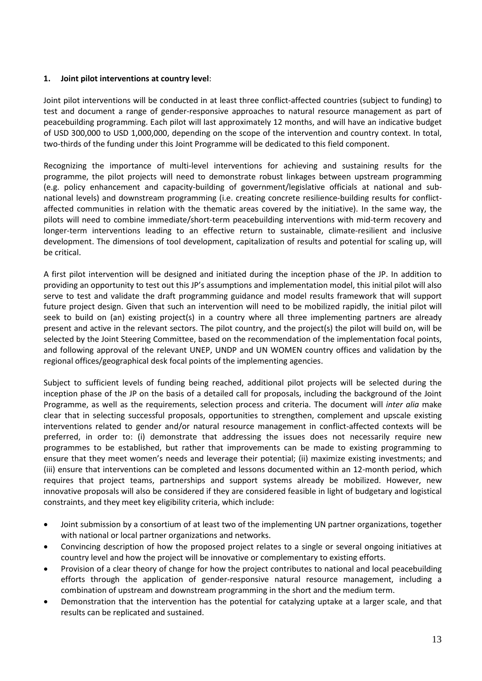### **1. Joint pilot interventions at country level**:

Joint pilot interventions will be conducted in at least three conflict-affected countries (subject to funding) to test and document a range of gender-responsive approaches to natural resource management as part of peacebuilding programming. Each pilot will last approximately 12 months, and will have an indicative budget of USD 300,000 to USD 1,000,000, depending on the scope of the intervention and country context. In total, two-thirds of the funding under this Joint Programme will be dedicated to this field component.

Recognizing the importance of multi-level interventions for achieving and sustaining results for the programme, the pilot projects will need to demonstrate robust linkages between upstream programming (e.g. policy enhancement and capacity-building of government/legislative officials at national and subnational levels) and downstream programming (i.e. creating concrete resilience-building results for conflictaffected communities in relation with the thematic areas covered by the initiative). In the same way, the pilots will need to combine immediate/short-term peacebuilding interventions with mid-term recovery and longer-term interventions leading to an effective return to sustainable, climate-resilient and inclusive development. The dimensions of tool development, capitalization of results and potential for scaling up, will be critical.

A first pilot intervention will be designed and initiated during the inception phase of the JP. In addition to providing an opportunity to test out this JP's assumptions and implementation model, this initial pilot will also serve to test and validate the draft programming guidance and model results framework that will support future project design. Given that such an intervention will need to be mobilized rapidly, the initial pilot will seek to build on (an) existing project(s) in a country where all three implementing partners are already present and active in the relevant sectors. The pilot country, and the project(s) the pilot will build on, will be selected by the Joint Steering Committee, based on the recommendation of the implementation focal points, and following approval of the relevant UNEP, UNDP and UN WOMEN country offices and validation by the regional offices/geographical desk focal points of the implementing agencies.

Subject to sufficient levels of funding being reached, additional pilot projects will be selected during the inception phase of the JP on the basis of a detailed call for proposals, including the background of the Joint Programme, as well as the requirements, selection process and criteria. The document will *inter alia* make clear that in selecting successful proposals, opportunities to strengthen, complement and upscale existing interventions related to gender and/or natural resource management in conflict-affected contexts will be preferred, in order to: (i) demonstrate that addressing the issues does not necessarily require new programmes to be established, but rather that improvements can be made to existing programming to ensure that they meet women's needs and leverage their potential; (ii) maximize existing investments; and (iii) ensure that interventions can be completed and lessons documented within an 12-month period, which requires that project teams, partnerships and support systems already be mobilized. However, new innovative proposals will also be considered if they are considered feasible in light of budgetary and logistical constraints, and they meet key eligibility criteria, which include:

- Joint submission by a consortium of at least two of the implementing UN partner organizations, together with national or local partner organizations and networks.
- Convincing description of how the proposed project relates to a single or several ongoing initiatives at country level and how the project will be innovative or complementary to existing efforts.
- Provision of a clear theory of change for how the project contributes to national and local peacebuilding efforts through the application of gender-responsive natural resource management, including a combination of upstream and downstream programming in the short and the medium term.
- Demonstration that the intervention has the potential for catalyzing uptake at a larger scale, and that results can be replicated and sustained.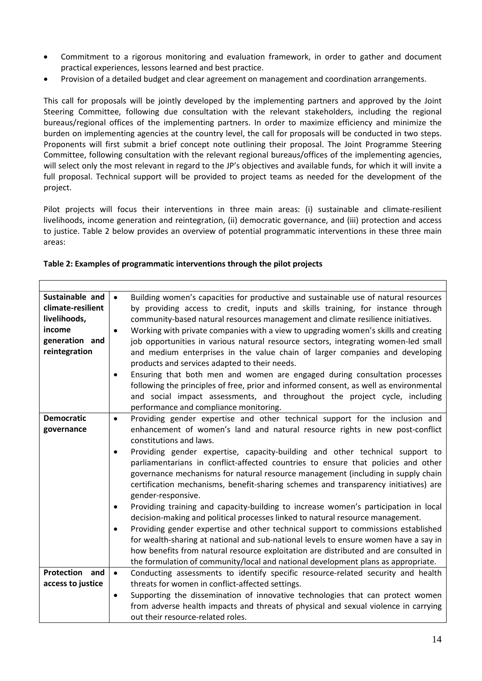- Commitment to a rigorous monitoring and evaluation framework, in order to gather and document practical experiences, lessons learned and best practice.
- Provision of a detailed budget and clear agreement on management and coordination arrangements.

This call for proposals will be jointly developed by the implementing partners and approved by the Joint Steering Committee, following due consultation with the relevant stakeholders, including the regional bureaus/regional offices of the implementing partners. In order to maximize efficiency and minimize the burden on implementing agencies at the country level, the call for proposals will be conducted in two steps. Proponents will first submit a brief concept note outlining their proposal. The Joint Programme Steering Committee, following consultation with the relevant regional bureaus/offices of the implementing agencies, will select only the most relevant in regard to the JP's objectives and available funds, for which it will invite a full proposal. Technical support will be provided to project teams as needed for the development of the project.

Pilot projects will focus their interventions in three main areas: (i) sustainable and climate-resilient livelihoods, income generation and reintegration, (ii) democratic governance, and (iii) protection and access to justice. Table 2 below provides an overview of potential programmatic interventions in these three main areas:

| Sustainable and<br>climate-resilient<br>livelihoods,<br>income<br>generation and<br>reintegration | Building women's capacities for productive and sustainable use of natural resources<br>$\bullet$<br>by providing access to credit, inputs and skills training, for instance through<br>community-based natural resources management and climate resilience initiatives.<br>Working with private companies with a view to upgrading women's skills and creating<br>$\bullet$<br>job opportunities in various natural resource sectors, integrating women-led small<br>and medium enterprises in the value chain of larger companies and developing<br>products and services adapted to their needs.<br>Ensuring that both men and women are engaged during consultation processes<br>$\bullet$<br>following the principles of free, prior and informed consent, as well as environmental<br>and social impact assessments, and throughout the project cycle, including<br>performance and compliance monitoring.                                                                                                                                                                                               |
|---------------------------------------------------------------------------------------------------|---------------------------------------------------------------------------------------------------------------------------------------------------------------------------------------------------------------------------------------------------------------------------------------------------------------------------------------------------------------------------------------------------------------------------------------------------------------------------------------------------------------------------------------------------------------------------------------------------------------------------------------------------------------------------------------------------------------------------------------------------------------------------------------------------------------------------------------------------------------------------------------------------------------------------------------------------------------------------------------------------------------------------------------------------------------------------------------------------------------|
| <b>Democratic</b><br>governance                                                                   | Providing gender expertise and other technical support for the inclusion and<br>$\bullet$<br>enhancement of women's land and natural resource rights in new post-conflict<br>constitutions and laws.<br>Providing gender expertise, capacity-building and other technical support to<br>parliamentarians in conflict-affected countries to ensure that policies and other<br>governance mechanisms for natural resource management (including in supply chain<br>certification mechanisms, benefit-sharing schemes and transparency initiatives) are<br>gender-responsive.<br>Providing training and capacity-building to increase women's participation in local<br>decision-making and political processes linked to natural resource management.<br>Providing gender expertise and other technical support to commissions established<br>for wealth-sharing at national and sub-national levels to ensure women have a say in<br>how benefits from natural resource exploitation are distributed and are consulted in<br>the formulation of community/local and national development plans as appropriate. |
| Protection and<br>access to justice                                                               | Conducting assessments to identify specific resource-related security and health<br>$\bullet$<br>threats for women in conflict-affected settings.<br>Supporting the dissemination of innovative technologies that can protect women<br>$\bullet$<br>from adverse health impacts and threats of physical and sexual violence in carrying<br>out their resource-related roles.                                                                                                                                                                                                                                                                                                                                                                                                                                                                                                                                                                                                                                                                                                                                  |

#### **Table 2: Examples of programmatic interventions through the pilot projects**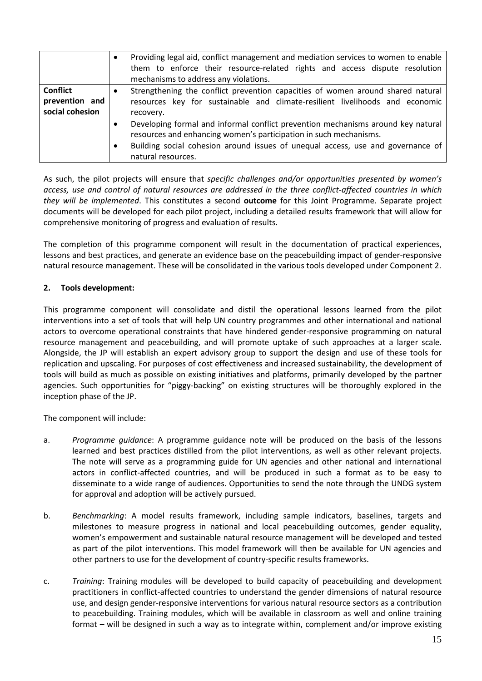|                                                      | Providing legal aid, conflict management and mediation services to women to enable<br>them to enforce their resource-related rights and access dispute resolution<br>mechanisms to address any violations.                                                                                                                                                                                                                                     |
|------------------------------------------------------|------------------------------------------------------------------------------------------------------------------------------------------------------------------------------------------------------------------------------------------------------------------------------------------------------------------------------------------------------------------------------------------------------------------------------------------------|
| <b>Conflict</b><br>prevention and<br>social cohesion | Strengthening the conflict prevention capacities of women around shared natural<br>resources key for sustainable and climate-resilient livelihoods and economic<br>recovery.<br>Developing formal and informal conflict prevention mechanisms around key natural<br>resources and enhancing women's participation in such mechanisms.<br>Building social cohesion around issues of unequal access, use and governance of<br>natural resources. |

As such, the pilot projects will ensure that *specific challenges and/or opportunities presented by women's access, use and control of natural resources are addressed in the three conflict-affected countries in which they will be implemented*. This constitutes a second **outcome** for this Joint Programme. Separate project documents will be developed for each pilot project, including a detailed results framework that will allow for comprehensive monitoring of progress and evaluation of results.

The completion of this programme component will result in the documentation of practical experiences, lessons and best practices, and generate an evidence base on the peacebuilding impact of gender-responsive natural resource management. These will be consolidated in the various tools developed under Component 2.

### **2. Tools development:**

This programme component will consolidate and distil the operational lessons learned from the pilot interventions into a set of tools that will help UN country programmes and other international and national actors to overcome operational constraints that have hindered gender-responsive programming on natural resource management and peacebuilding, and will promote uptake of such approaches at a larger scale. Alongside, the JP will establish an expert advisory group to support the design and use of these tools for replication and upscaling. For purposes of cost effectiveness and increased sustainability, the development of tools will build as much as possible on existing initiatives and platforms, primarily developed by the partner agencies. Such opportunities for "piggy-backing" on existing structures will be thoroughly explored in the inception phase of the JP.

The component will include:

- a. *Programme guidance*: A programme guidance note will be produced on the basis of the lessons learned and best practices distilled from the pilot interventions, as well as other relevant projects. The note will serve as a programming guide for UN agencies and other national and international actors in conflict-affected countries, and will be produced in such a format as to be easy to disseminate to a wide range of audiences. Opportunities to send the note through the UNDG system for approval and adoption will be actively pursued.
- b. *Benchmarking*: A model results framework, including sample indicators, baselines, targets and milestones to measure progress in national and local peacebuilding outcomes, gender equality, women's empowerment and sustainable natural resource management will be developed and tested as part of the pilot interventions. This model framework will then be available for UN agencies and other partners to use for the development of country-specific results frameworks.
- c. *Training*: Training modules will be developed to build capacity of peacebuilding and development practitioners in conflict-affected countries to understand the gender dimensions of natural resource use, and design gender-responsive interventions for various natural resource sectors as a contribution to peacebuilding. Training modules, which will be available in classroom as well and online training format – will be designed in such a way as to integrate within, complement and/or improve existing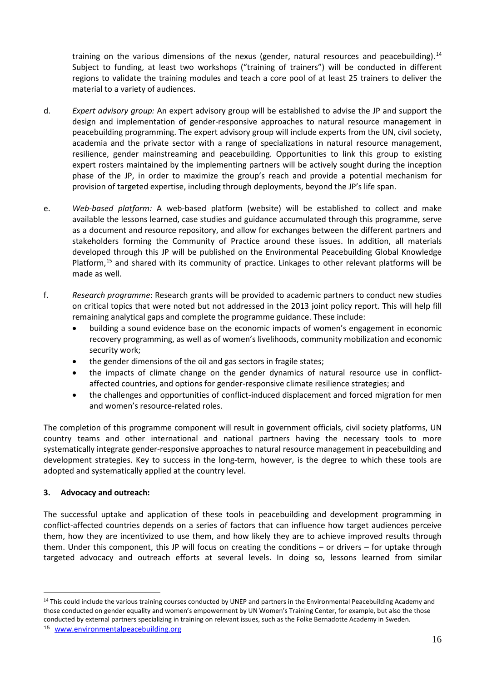training on the various dimensions of the nexus (gender, natural resources and peacebuilding).<sup>[14](#page-17-0)</sup> Subject to funding, at least two workshops ("training of trainers") will be conducted in different regions to validate the training modules and teach a core pool of at least 25 trainers to deliver the material to a variety of audiences.

- d. *Expert advisory group:* An expert advisory group will be established to advise the JP and support the design and implementation of gender-responsive approaches to natural resource management in peacebuilding programming. The expert advisory group will include experts from the UN, civil society, academia and the private sector with a range of specializations in natural resource management, resilience, gender mainstreaming and peacebuilding. Opportunities to link this group to existing expert rosters maintained by the implementing partners will be actively sought during the inception phase of the JP, in order to maximize the group's reach and provide a potential mechanism for provision of targeted expertise, including through deployments, beyond the JP's life span.
- e. *Web-based platform:* A web-based platform (website) will be established to collect and make available the lessons learned, case studies and guidance accumulated through this programme, serve as a document and resource repository, and allow for exchanges between the different partners and stakeholders forming the Community of Practice around these issues. In addition, all materials developed through this JP will be published on the Environmental Peacebuilding Global Knowledge Platform,<sup>[15](#page-17-1)</sup> and shared with its community of practice. Linkages to other relevant platforms will be made as well.
- f. *Research programme*: Research grants will be provided to academic partners to conduct new studies on critical topics that were noted but not addressed in the 2013 joint policy report. This will help fill remaining analytical gaps and complete the programme guidance. These include:
	- building a sound evidence base on the economic impacts of women's engagement in economic recovery programming, as well as of women's livelihoods, community mobilization and economic security work;
	- the gender dimensions of the oil and gas sectors in fragile states;
	- the impacts of climate change on the gender dynamics of natural resource use in conflictaffected countries, and options for gender-responsive climate resilience strategies; and
	- the challenges and opportunities of conflict-induced displacement and forced migration for men and women's resource-related roles.

The completion of this programme component will result in government officials, civil society platforms, UN country teams and other international and national partners having the necessary tools to more systematically integrate gender-responsive approaches to natural resource management in peacebuilding and development strategies. Key to success in the long-term, however, is the degree to which these tools are adopted and systematically applied at the country level.

### **3. Advocacy and outreach:**

 $\overline{a}$ 

The successful uptake and application of these tools in peacebuilding and development programming in conflict-affected countries depends on a series of factors that can influence how target audiences perceive them, how they are incentivized to use them, and how likely they are to achieve improved results through them. Under this component, this JP will focus on creating the conditions – or drivers – for uptake through targeted advocacy and outreach efforts at several levels. In doing so, lessons learned from similar

<span id="page-17-0"></span><sup>&</sup>lt;sup>14</sup> This could include the various training courses conducted by UNEP and partners in the Environmental Peacebuilding Academy and those conducted on gender equality and women's empowerment by UN Women's Training Center, for example, but also the those conducted by external partners specializing in training on relevant issues, such as the Folke Bernadotte Academy in Sweden.

<span id="page-17-1"></span><sup>15</sup> [www.environmentalpeacebuilding.org](http://www.environmentalpeacebuilding.org/)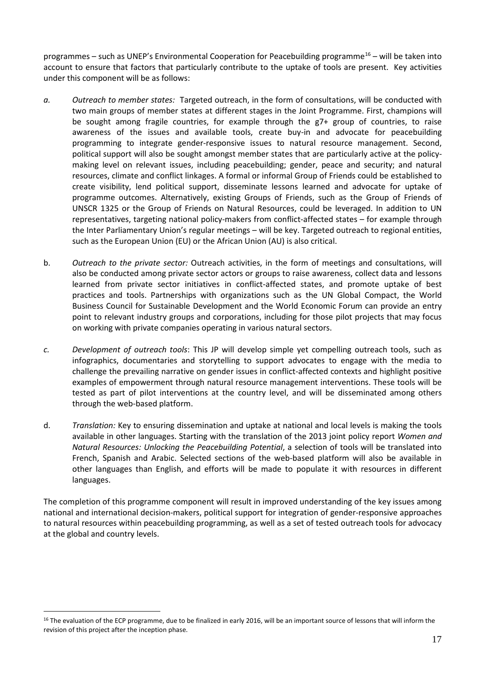programmes – such as UNEP's Environmental Cooperation for Peacebuilding programme[16](#page-18-0) – will be taken into account to ensure that factors that particularly contribute to the uptake of tools are present. Key activities under this component will be as follows:

- *a. Outreach to member states:* Targeted outreach, in the form of consultations, will be conducted with two main groups of member states at different stages in the Joint Programme. First, champions will be sought among fragile countries, for example through the g7+ group of countries, to raise awareness of the issues and available tools, create buy-in and advocate for peacebuilding programming to integrate gender-responsive issues to natural resource management. Second, political support will also be sought amongst member states that are particularly active at the policymaking level on relevant issues, including peacebuilding; gender, peace and security; and natural resources, climate and conflict linkages. A formal or informal Group of Friends could be established to create visibility, lend political support, disseminate lessons learned and advocate for uptake of programme outcomes. Alternatively, existing Groups of Friends, such as the Group of Friends of UNSCR 1325 or the Group of Friends on Natural Resources, could be leveraged. In addition to UN representatives, targeting national policy-makers from conflict-affected states – for example through the Inter Parliamentary Union's regular meetings – will be key. Targeted outreach to regional entities, such as the European Union (EU) or the African Union (AU) is also critical.
- b. *Outreach to the private sector:* Outreach activities, in the form of meetings and consultations, will also be conducted among private sector actors or groups to raise awareness, collect data and lessons learned from private sector initiatives in conflict-affected states, and promote uptake of best practices and tools. Partnerships with organizations such as the UN Global Compact, the World Business Council for Sustainable Development and the World Economic Forum can provide an entry point to relevant industry groups and corporations, including for those pilot projects that may focus on working with private companies operating in various natural sectors.
- *c. Development of outreach tools*: This JP will develop simple yet compelling outreach tools, such as infographics, documentaries and storytelling to support advocates to engage with the media to challenge the prevailing narrative on gender issues in conflict-affected contexts and highlight positive examples of empowerment through natural resource management interventions. These tools will be tested as part of pilot interventions at the country level, and will be disseminated among others through the web-based platform.
- d. *Translation:* Key to ensuring dissemination and uptake at national and local levels is making the tools available in other languages. Starting with the translation of the 2013 joint policy report *Women and Natural Resources: Unlocking the Peacebuilding Potential*, a selection of tools will be translated into French, Spanish and Arabic. Selected sections of the web-based platform will also be available in other languages than English, and efforts will be made to populate it with resources in different languages.

The completion of this programme component will result in improved understanding of the key issues among national and international decision-makers, political support for integration of gender-responsive approaches to natural resources within peacebuilding programming, as well as a set of tested outreach tools for advocacy at the global and country levels.

<span id="page-18-0"></span><sup>&</sup>lt;sup>16</sup> The evaluation of the ECP programme, due to be finalized in early 2016, will be an important source of lessons that will inform the revision of this project after the inception phase.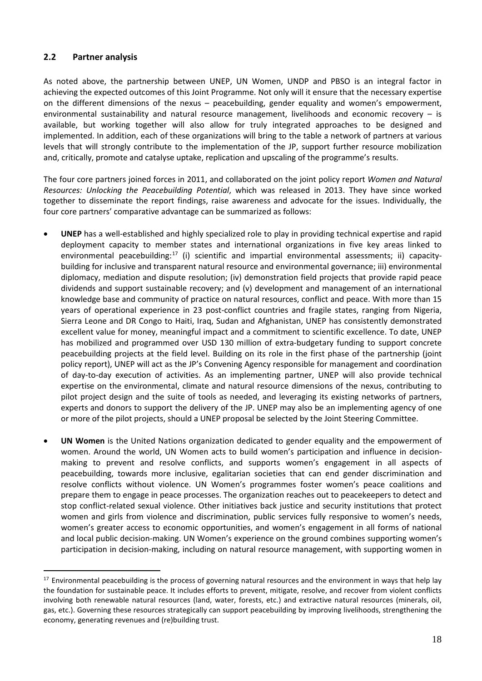# <span id="page-19-0"></span>**2.2 Partner analysis**

 $\overline{a}$ 

As noted above, the partnership between UNEP, UN Women, UNDP and PBSO is an integral factor in achieving the expected outcomes of this Joint Programme. Not only will it ensure that the necessary expertise on the different dimensions of the nexus – peacebuilding, gender equality and women's empowerment, environmental sustainability and natural resource management, livelihoods and economic recovery – is available, but working together will also allow for truly integrated approaches to be designed and implemented. In addition, each of these organizations will bring to the table a network of partners at various levels that will strongly contribute to the implementation of the JP, support further resource mobilization and, critically, promote and catalyse uptake, replication and upscaling of the programme's results.

The four core partners joined forces in 2011, and collaborated on the joint policy report *Women and Natural Resources: Unlocking the Peacebuilding Potential*, which was released in 2013. They have since worked together to disseminate the report findings, raise awareness and advocate for the issues. Individually, the four core partners' comparative advantage can be summarized as follows:

- **UNEP** has a well-established and highly specialized role to play in providing technical expertise and rapid deployment capacity to member states and international organizations in five key areas linked to environmental peacebuilding:<sup>[17](#page-19-1)</sup> (i) scientific and impartial environmental assessments; ii) capacitybuilding for inclusive and transparent natural resource and environmental governance; iii) environmental diplomacy, mediation and dispute resolution; (iv) demonstration field projects that provide rapid peace dividends and support sustainable recovery; and (v) development and management of an international knowledge base and community of practice on natural resources, conflict and peace. With more than 15 years of operational experience in 23 post-conflict countries and fragile states, ranging from Nigeria, Sierra Leone and DR Congo to Haiti, Iraq, Sudan and Afghanistan, UNEP has consistently demonstrated excellent value for money, meaningful impact and a commitment to scientific excellence. To date, UNEP has mobilized and programmed over USD 130 million of extra-budgetary funding to support concrete peacebuilding projects at the field level. Building on its role in the first phase of the partnership (joint policy report), UNEP will act as the JP's Convening Agency responsible for management and coordination of day-to-day execution of activities. As an implementing partner, UNEP will also provide technical expertise on the environmental, climate and natural resource dimensions of the nexus, contributing to pilot project design and the suite of tools as needed, and leveraging its existing networks of partners, experts and donors to support the delivery of the JP. UNEP may also be an implementing agency of one or more of the pilot projects, should a UNEP proposal be selected by the Joint Steering Committee.
- **UN Women** is the United Nations organization dedicated to gender equality and the empowerment of women. Around the world, UN Women acts to build women's participation and influence in decisionmaking to prevent and resolve conflicts, and supports women's engagement in all aspects of peacebuilding, towards more inclusive, egalitarian societies that can end gender discrimination and resolve conflicts without violence. UN Women's programmes foster women's peace coalitions and prepare them to engage in peace processes. The organization reaches out to peacekeepers to detect and stop conflict-related sexual violence. Other initiatives back justice and security institutions that protect women and girls from violence and discrimination, public services fully responsive to women's needs, women's greater access to economic opportunities, and women's engagement in all forms of national and local public decision-making. UN Women's experience on the ground combines supporting women's participation in decision-making, including on natural resource management, with supporting women in

<span id="page-19-1"></span><sup>&</sup>lt;sup>17</sup> Environmental peacebuilding is the process of governing natural resources and the environment in ways that help lay the foundation for sustainable peace. It includes efforts to prevent, mitigate, resolve, and recover from violent conflicts involving both renewable natural resources (land, water, forests, etc.) and extractive natural resources (minerals, oil, gas, etc.). Governing these resources strategically can support peacebuilding by improving livelihoods, strengthening the economy, generating revenues and (re)building trust.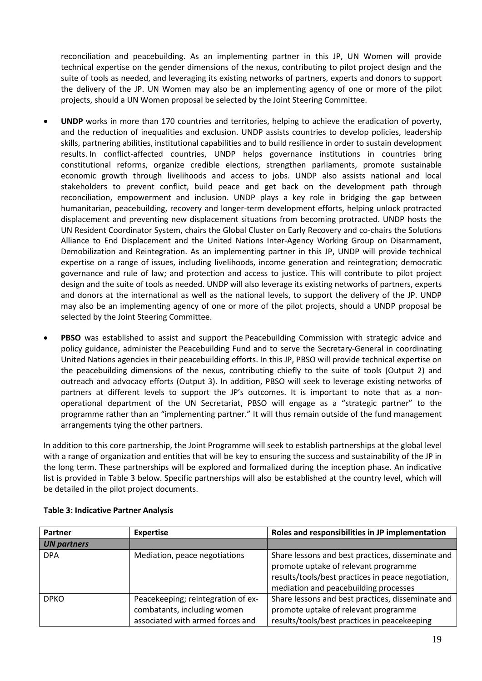reconciliation and peacebuilding. As an implementing partner in this JP, UN Women will provide technical expertise on the gender dimensions of the nexus, contributing to pilot project design and the suite of tools as needed, and leveraging its existing networks of partners, experts and donors to support the delivery of the JP. UN Women may also be an implementing agency of one or more of the pilot projects, should a UN Women proposal be selected by the Joint Steering Committee.

- **UNDP** works in more than 170 countries and territories, helping to achieve the eradication of poverty, and the reduction of inequalities and exclusion. UNDP assists countries to develop policies, leadership skills, partnering abilities, institutional capabilities and to build resilience in order to sustain development results. In conflict-affected countries, UNDP helps governance institutions in countries bring constitutional reforms, organize credible elections, strengthen parliaments, promote sustainable economic growth through livelihoods and access to jobs. UNDP also assists national and local stakeholders to prevent conflict, build peace and get back on the development path through reconciliation, empowerment and inclusion. UNDP plays a key role in bridging the gap between humanitarian, peacebuilding, recovery and longer-term development efforts, helping unlock protracted displacement and preventing new displacement situations from becoming protracted. UNDP hosts the UN Resident Coordinator System, chairs the Global Cluster on Early Recovery and co-chairs the Solutions Alliance to End Displacement and the United Nations Inter-Agency Working Group on Disarmament, Demobilization and Reintegration. As an implementing partner in this JP, UNDP will provide technical expertise on a range of issues, including livelihoods, income generation and reintegration; democratic governance and rule of law; and protection and access to justice. This will contribute to pilot project design and the suite of tools as needed. UNDP will also leverage its existing networks of partners, experts and donors at the international as well as the national levels, to support the delivery of the JP. UNDP may also be an implementing agency of one or more of the pilot projects, should a UNDP proposal be selected by the Joint Steering Committee.
- **PBSO** was established to assist and support the [Peacebuilding Commission](http://www.un.org/en/peacebuilding/) with strategic advice and policy guidance, administer the [Peacebuilding Fund](http://www.unpbf.org/) and to serve the Secretary-General in coordinating United Nations agencies in their peacebuilding efforts. In this JP, PBSO will provide technical expertise on the peacebuilding dimensions of the nexus, contributing chiefly to the suite of tools (Output 2) and outreach and advocacy efforts (Output 3). In addition, PBSO will seek to leverage existing networks of partners at different levels to support the JP's outcomes. It is important to note that as a nonoperational department of the UN Secretariat, PBSO will engage as a "strategic partner" to the programme rather than an "implementing partner." It will thus remain outside of the fund management arrangements tying the other partners.

In addition to this core partnership, the Joint Programme will seek to establish partnerships at the global level with a range of organization and entities that will be key to ensuring the success and sustainability of the JP in the long term. These partnerships will be explored and formalized during the inception phase. An indicative list is provided in Table 3 below. Specific partnerships will also be established at the country level, which will be detailed in the pilot project documents.

| Partner            | <b>Expertise</b>                                                                                      | Roles and responsibilities in JP implementation                                                                                                                                          |
|--------------------|-------------------------------------------------------------------------------------------------------|------------------------------------------------------------------------------------------------------------------------------------------------------------------------------------------|
| <b>UN partners</b> |                                                                                                       |                                                                                                                                                                                          |
| <b>DPA</b>         | Mediation, peace negotiations                                                                         | Share lessons and best practices, disseminate and<br>promote uptake of relevant programme<br>results/tools/best practices in peace negotiation,<br>mediation and peacebuilding processes |
| <b>DPKO</b>        | Peacekeeping; reintegration of ex-<br>combatants, including women<br>associated with armed forces and | Share lessons and best practices, disseminate and<br>promote uptake of relevant programme<br>results/tools/best practices in peacekeeping                                                |

#### **Table 3: Indicative Partner Analysis**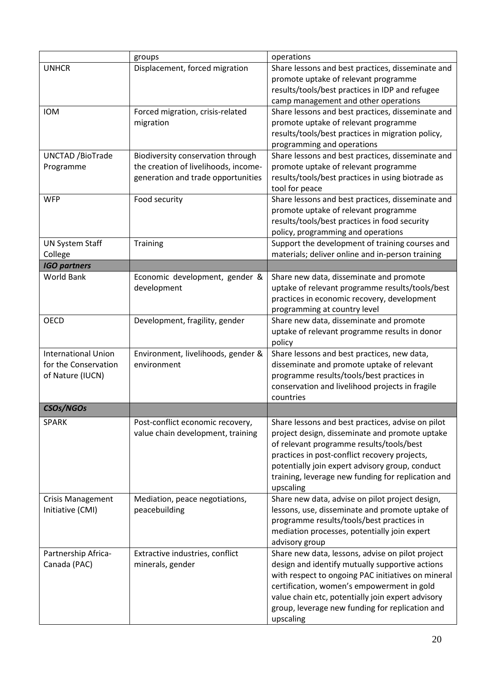|                            | groups                               | operations                                         |
|----------------------------|--------------------------------------|----------------------------------------------------|
| <b>UNHCR</b>               | Displacement, forced migration       | Share lessons and best practices, disseminate and  |
|                            |                                      | promote uptake of relevant programme               |
|                            |                                      | results/tools/best practices in IDP and refugee    |
|                            |                                      | camp management and other operations               |
| <b>IOM</b>                 | Forced migration, crisis-related     | Share lessons and best practices, disseminate and  |
|                            | migration                            | promote uptake of relevant programme               |
|                            |                                      | results/tools/best practices in migration policy,  |
|                            |                                      | programming and operations                         |
| <b>UNCTAD /BioTrade</b>    | Biodiversity conservation through    | Share lessons and best practices, disseminate and  |
| Programme                  | the creation of livelihoods, income- | promote uptake of relevant programme               |
|                            | generation and trade opportunities   | results/tools/best practices in using biotrade as  |
|                            |                                      | tool for peace                                     |
| <b>WFP</b>                 | Food security                        | Share lessons and best practices, disseminate and  |
|                            |                                      | promote uptake of relevant programme               |
|                            |                                      | results/tools/best practices in food security      |
|                            |                                      | policy, programming and operations                 |
| <b>UN System Staff</b>     | Training                             | Support the development of training courses and    |
| College                    |                                      | materials; deliver online and in-person training   |
| <b>IGO partners</b>        |                                      |                                                    |
| <b>World Bank</b>          | Economic development, gender &       | Share new data, disseminate and promote            |
|                            | development                          | uptake of relevant programme results/tools/best    |
|                            |                                      | practices in economic recovery, development        |
|                            |                                      | programming at country level                       |
| <b>OECD</b>                | Development, fragility, gender       | Share new data, disseminate and promote            |
|                            |                                      | uptake of relevant programme results in donor      |
|                            |                                      | policy                                             |
| <b>International Union</b> | Environment, livelihoods, gender &   | Share lessons and best practices, new data,        |
| for the Conservation       | environment                          | disseminate and promote uptake of relevant         |
| of Nature (IUCN)           |                                      | programme results/tools/best practices in          |
|                            |                                      | conservation and livelihood projects in fragile    |
|                            |                                      | countries                                          |
| CSOs/NGOs                  |                                      |                                                    |
| <b>SPARK</b>               | Post-conflict economic recovery,     | Share lessons and best practices, advise on pilot  |
|                            | value chain development, training    | project design, disseminate and promote uptake     |
|                            |                                      | of relevant programme results/tools/best           |
|                            |                                      | practices in post-conflict recovery projects,      |
|                            |                                      | potentially join expert advisory group, conduct    |
|                            |                                      | training, leverage new funding for replication and |
|                            |                                      | upscaling                                          |
| <b>Crisis Management</b>   | Mediation, peace negotiations,       | Share new data, advise on pilot project design,    |
| Initiative (CMI)           | peacebuilding                        | lessons, use, disseminate and promote uptake of    |
|                            |                                      | programme results/tools/best practices in          |
|                            |                                      | mediation processes, potentially join expert       |
|                            |                                      | advisory group                                     |
| Partnership Africa-        | Extractive industries, conflict      | Share new data, lessons, advise on pilot project   |
| Canada (PAC)               | minerals, gender                     | design and identify mutually supportive actions    |
|                            |                                      | with respect to ongoing PAC initiatives on mineral |
|                            |                                      | certification, women's empowerment in gold         |
|                            |                                      | value chain etc, potentially join expert advisory  |
|                            |                                      | group, leverage new funding for replication and    |
|                            |                                      | upscaling                                          |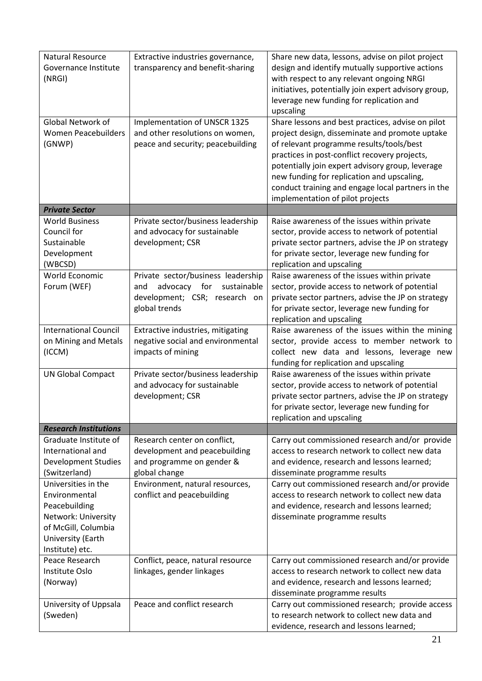| <b>Natural Resource</b><br>Governance Institute<br>(NRGI)                                                                                   | Extractive industries governance,<br>transparency and benefit-sharing                                                      | Share new data, lessons, advise on pilot project<br>design and identify mutually supportive actions<br>with respect to any relevant ongoing NRGI<br>initiatives, potentially join expert advisory group,<br>leverage new funding for replication and<br>upscaling                                                                                                                           |
|---------------------------------------------------------------------------------------------------------------------------------------------|----------------------------------------------------------------------------------------------------------------------------|---------------------------------------------------------------------------------------------------------------------------------------------------------------------------------------------------------------------------------------------------------------------------------------------------------------------------------------------------------------------------------------------|
| Global Network of<br><b>Women Peacebuilders</b><br>(GNWP)                                                                                   | Implementation of UNSCR 1325<br>and other resolutions on women,<br>peace and security; peacebuilding                       | Share lessons and best practices, advise on pilot<br>project design, disseminate and promote uptake<br>of relevant programme results/tools/best<br>practices in post-conflict recovery projects,<br>potentially join expert advisory group, leverage<br>new funding for replication and upscaling,<br>conduct training and engage local partners in the<br>implementation of pilot projects |
| <b>Private Sector</b>                                                                                                                       |                                                                                                                            |                                                                                                                                                                                                                                                                                                                                                                                             |
| <b>World Business</b><br>Council for<br>Sustainable<br>Development<br>(WBCSD)                                                               | Private sector/business leadership<br>and advocacy for sustainable<br>development; CSR                                     | Raise awareness of the issues within private<br>sector, provide access to network of potential<br>private sector partners, advise the JP on strategy<br>for private sector, leverage new funding for<br>replication and upscaling                                                                                                                                                           |
| World Economic<br>Forum (WEF)                                                                                                               | Private sector/business leadership<br>advocacy for<br>sustainable<br>and<br>development; CSR; research on<br>global trends | Raise awareness of the issues within private<br>sector, provide access to network of potential<br>private sector partners, advise the JP on strategy<br>for private sector, leverage new funding for<br>replication and upscaling                                                                                                                                                           |
| <b>International Council</b><br>on Mining and Metals<br>(ICCM)                                                                              | Extractive industries, mitigating<br>negative social and environmental<br>impacts of mining                                | Raise awareness of the issues within the mining<br>sector, provide access to member network to<br>collect new data and lessons, leverage new<br>funding for replication and upscaling                                                                                                                                                                                                       |
| <b>UN Global Compact</b>                                                                                                                    | Private sector/business leadership<br>and advocacy for sustainable<br>development; CSR                                     | Raise awareness of the issues within private<br>sector, provide access to network of potential<br>private sector partners, advise the JP on strategy<br>for private sector, leverage new funding for<br>replication and upscaling                                                                                                                                                           |
| <b>Research Institutions</b>                                                                                                                |                                                                                                                            |                                                                                                                                                                                                                                                                                                                                                                                             |
| Graduate Institute of<br>International and<br><b>Development Studies</b><br>(Switzerland)                                                   | Research center on conflict,<br>development and peacebuilding<br>and programme on gender &<br>global change                | Carry out commissioned research and/or provide<br>access to research network to collect new data<br>and evidence, research and lessons learned;<br>disseminate programme results                                                                                                                                                                                                            |
| Universities in the<br>Environmental<br>Peacebuilding<br>Network: University<br>of McGill, Columbia<br>University (Earth<br>Institute) etc. | Environment, natural resources,<br>conflict and peacebuilding                                                              | Carry out commissioned research and/or provide<br>access to research network to collect new data<br>and evidence, research and lessons learned;<br>disseminate programme results                                                                                                                                                                                                            |
| Peace Research<br>Institute Oslo<br>(Norway)                                                                                                | Conflict, peace, natural resource<br>linkages, gender linkages                                                             | Carry out commissioned research and/or provide<br>access to research network to collect new data<br>and evidence, research and lessons learned;<br>disseminate programme results                                                                                                                                                                                                            |
| University of Uppsala<br>(Sweden)                                                                                                           | Peace and conflict research                                                                                                | Carry out commissioned research; provide access<br>to research network to collect new data and<br>evidence, research and lessons learned;                                                                                                                                                                                                                                                   |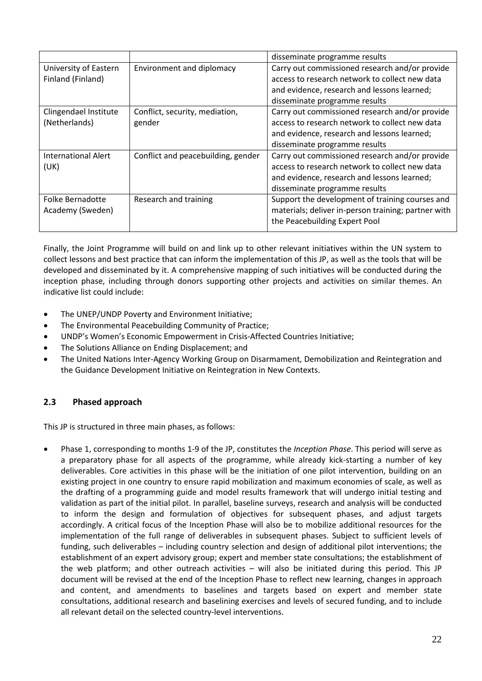|                            |                                    | disseminate programme results                       |
|----------------------------|------------------------------------|-----------------------------------------------------|
| University of Eastern      | Environment and diplomacy          | Carry out commissioned research and/or provide      |
| Finland (Finland)          |                                    | access to research network to collect new data      |
|                            |                                    | and evidence, research and lessons learned;         |
|                            |                                    | disseminate programme results                       |
| Clingendael Institute      | Conflict, security, mediation,     | Carry out commissioned research and/or provide      |
| (Netherlands)              | gender                             | access to research network to collect new data      |
|                            |                                    | and evidence, research and lessons learned;         |
|                            |                                    | disseminate programme results                       |
| <b>International Alert</b> | Conflict and peacebuilding, gender | Carry out commissioned research and/or provide      |
| (UK)                       |                                    | access to research network to collect new data      |
|                            |                                    | and evidence, research and lessons learned;         |
|                            |                                    | disseminate programme results                       |
| Folke Bernadotte           | Research and training              | Support the development of training courses and     |
| Academy (Sweden)           |                                    | materials; deliver in-person training; partner with |
|                            |                                    | the Peacebuilding Expert Pool                       |
|                            |                                    |                                                     |

Finally, the Joint Programme will build on and link up to other relevant initiatives within the UN system to collect lessons and best practice that can inform the implementation of this JP, as well as the tools that will be developed and disseminated by it. A comprehensive mapping of such initiatives will be conducted during the inception phase, including through donors supporting other projects and activities on similar themes. An indicative list could include:

- The UNEP/UNDP Poverty and Environment Initiative;
- The Environmental Peacebuilding Community of Practice;
- UNDP's Women's Economic Empowerment in Crisis-Affected Countries Initiative;
- The Solutions Alliance on Ending Displacement; and
- The United Nations Inter-Agency Working Group on Disarmament, Demobilization and Reintegration and the Guidance Development Initiative on Reintegration in New Contexts.

# <span id="page-23-0"></span>**2.3 Phased approach**

This JP is structured in three main phases, as follows:

• Phase 1, corresponding to months 1-9 of the JP, constitutes the *Inception Phase*. This period will serve as a preparatory phase for all aspects of the programme, while already kick-starting a number of key deliverables. Core activities in this phase will be the initiation of one pilot intervention, building on an existing project in one country to ensure rapid mobilization and maximum economies of scale, as well as the drafting of a programming guide and model results framework that will undergo initial testing and validation as part of the initial pilot. In parallel, baseline surveys, research and analysis will be conducted to inform the design and formulation of objectives for subsequent phases, and adjust targets accordingly. A critical focus of the Inception Phase will also be to mobilize additional resources for the implementation of the full range of deliverables in subsequent phases. Subject to sufficient levels of funding, such deliverables – including country selection and design of additional pilot interventions; the establishment of an expert advisory group; expert and member state consultations; the establishment of the web platform; and other outreach activities – will also be initiated during this period. This JP document will be revised at the end of the Inception Phase to reflect new learning, changes in approach and content, and amendments to baselines and targets based on expert and member state consultations, additional research and baselining exercises and levels of secured funding, and to include all relevant detail on the selected country-level interventions.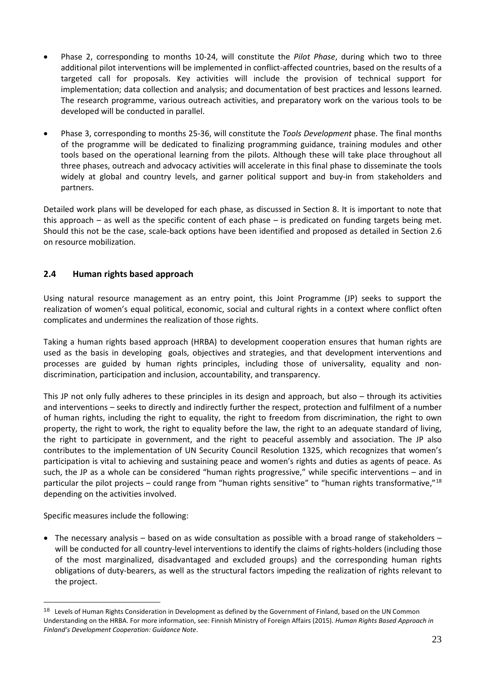- Phase 2, corresponding to months 10-24, will constitute the *Pilot Phase*, during which two to three additional pilot interventions will be implemented in conflict-affected countries, based on the results of a targeted call for proposals. Key activities will include the provision of technical support for implementation; data collection and analysis; and documentation of best practices and lessons learned. The research programme, various outreach activities, and preparatory work on the various tools to be developed will be conducted in parallel.
- Phase 3, corresponding to months 25-36, will constitute the *Tools Development* phase. The final months of the programme will be dedicated to finalizing programming guidance, training modules and other tools based on the operational learning from the pilots. Although these will take place throughout all three phases, outreach and advocacy activities will accelerate in this final phase to disseminate the tools widely at global and country levels, and garner political support and buy-in from stakeholders and partners.

Detailed work plans will be developed for each phase, as discussed in Section 8. It is important to note that this approach – as well as the specific content of each phase – is predicated on funding targets being met. Should this not be the case, scale-back options have been identified and proposed as detailed in Section 2.6 on resource mobilization.

# <span id="page-24-0"></span>**2.4 Human rights based approach**

Using natural resource management as an entry point, this Joint Programme (JP) seeks to support the realization of women's equal political, economic, social and cultural rights in a context where conflict often complicates and undermines the realization of those rights.

Taking a human rights based approach (HRBA) to development cooperation ensures that human rights are used as the basis in developing goals, objectives and strategies, and that development interventions and processes are guided by human rights principles, including those of universality, equality and nondiscrimination, participation and inclusion, accountability, and transparency.

This JP not only fully adheres to these principles in its design and approach, but also – through its activities and interventions – seeks to directly and indirectly further the respect, protection and fulfilment of a number of human rights, including the right to equality, the right to freedom from discrimination, the right to own property, the right to work, the right to equality before the law, the right to an adequate standard of living, the right to participate in government, and the right to peaceful assembly and association. The JP also contributes to the implementation of UN Security Council Resolution 1325, which recognizes that women's participation is vital to achieving and sustaining peace and women's rights and duties as agents of peace. As such, the JP as a whole can be considered "human rights progressive," while specific interventions – and in particular the pilot projects – could range from "human rights sensitive" to "human rights transformative,"[18](#page-24-1) depending on the activities involved.

Specific measures include the following:

 $\overline{a}$ 

• The necessary analysis – based on as wide consultation as possible with a broad range of stakeholders – will be conducted for all country-level interventions to identify the claims of rights-holders (including those of the most marginalized, disadvantaged and excluded groups) and the corresponding human rights obligations of duty-bearers, as well as the structural factors impeding the realization of rights relevant to the project.

<span id="page-24-1"></span><sup>&</sup>lt;sup>18</sup> Levels of Human Rights Consideration in Development as defined by the Government of Finland, based on the UN Common Understanding on the HRBA. For more information, see: Finnish Ministry of Foreign Affairs (2015). *Human Rights Based Approach in Finland's Development Cooperation: Guidance Note*.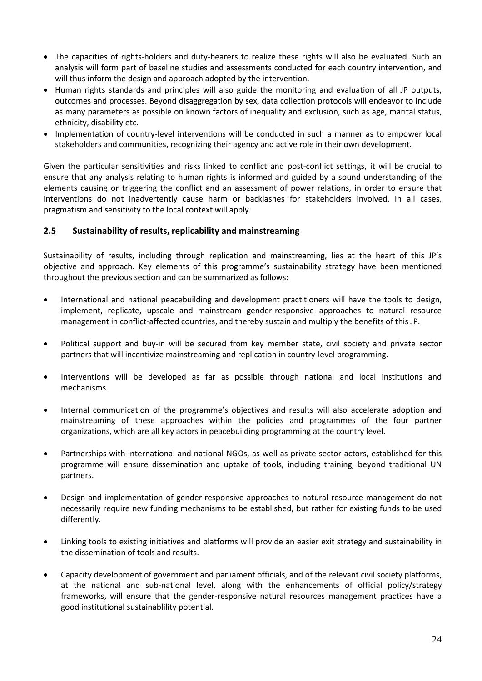- The capacities of rights-holders and duty-bearers to realize these rights will also be evaluated. Such an analysis will form part of baseline studies and assessments conducted for each country intervention, and will thus inform the design and approach adopted by the intervention.
- Human rights standards and principles will also guide the monitoring and evaluation of all JP outputs, outcomes and processes. Beyond disaggregation by sex, data collection protocols will endeavor to include as many parameters as possible on known factors of inequality and exclusion, such as age, marital status, ethnicity, disability etc.
- Implementation of country-level interventions will be conducted in such a manner as to empower local stakeholders and communities, recognizing their agency and active role in their own development.

Given the particular sensitivities and risks linked to conflict and post-conflict settings, it will be crucial to ensure that any analysis relating to human rights is informed and guided by a sound understanding of the elements causing or triggering the conflict and an assessment of power relations, in order to ensure that interventions do not inadvertently cause harm or backlashes for stakeholders involved. In all cases, pragmatism and sensitivity to the local context will apply.

# <span id="page-25-0"></span>**2.5 Sustainability of results, replicability and mainstreaming**

Sustainability of results, including through replication and mainstreaming, lies at the heart of this JP's objective and approach. Key elements of this programme's sustainability strategy have been mentioned throughout the previous section and can be summarized as follows:

- International and national peacebuilding and development practitioners will have the tools to design, implement, replicate, upscale and mainstream gender-responsive approaches to natural resource management in conflict-affected countries, and thereby sustain and multiply the benefits of this JP.
- Political support and buy-in will be secured from key member state, civil society and private sector partners that will incentivize mainstreaming and replication in country-level programming.
- Interventions will be developed as far as possible through national and local institutions and mechanisms.
- Internal communication of the programme's objectives and results will also accelerate adoption and mainstreaming of these approaches within the policies and programmes of the four partner organizations, which are all key actors in peacebuilding programming at the country level.
- Partnerships with international and national NGOs, as well as private sector actors, established for this programme will ensure dissemination and uptake of tools, including training, beyond traditional UN partners.
- Design and implementation of gender-responsive approaches to natural resource management do not necessarily require new funding mechanisms to be established, but rather for existing funds to be used differently.
- Linking tools to existing initiatives and platforms will provide an easier exit strategy and sustainability in the dissemination of tools and results.
- Capacity development of government and parliament officials, and of the relevant civil society platforms, at the national and sub-national level, along with the enhancements of official policy/strategy frameworks, will ensure that the gender-responsive natural resources management practices have a good institutional sustainablility potential.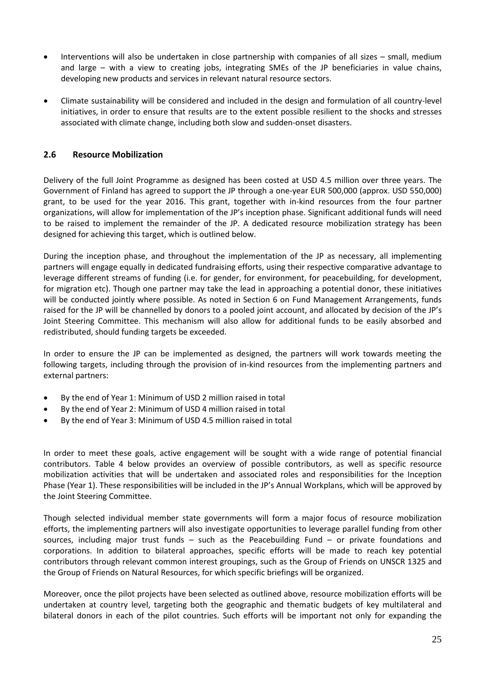- Interventions will also be undertaken in close partnership with companies of all sizes small, medium and large – with a view to creating jobs, integrating SMEs of the JP beneficiaries in value chains, developing new products and services in relevant natural resource sectors.
- Climate sustainability will be considered and included in the design and formulation of all country-level initiatives, in order to ensure that results are to the extent possible resilient to the shocks and stresses associated with climate change, including both slow and sudden-onset disasters.

# <span id="page-26-0"></span>**2.6 Resource Mobilization**

Delivery of the full Joint Programme as designed has been costed at USD 4.5 million over three years. The Government of Finland has agreed to support the JP through a one-year EUR 500,000 (approx. USD 550,000) grant, to be used for the year 2016. This grant, together with in-kind resources from the four partner organizations, will allow for implementation of the JP's inception phase. Significant additional funds will need to be raised to implement the remainder of the JP. A dedicated resource mobilization strategy has been designed for achieving this target, which is outlined below.

During the inception phase, and throughout the implementation of the JP as necessary, all implementing partners will engage equally in dedicated fundraising efforts, using their respective comparative advantage to leverage different streams of funding (i.e. for gender, for environment, for peacebuilding, for development, for migration etc). Though one partner may take the lead in approaching a potential donor, these initiatives will be conducted jointly where possible. As noted in Section 6 on Fund Management Arrangements, funds raised for the JP will be channelled by donors to a pooled joint account, and allocated by decision of the JP's Joint Steering Committee. This mechanism will also allow for additional funds to be easily absorbed and redistributed, should funding targets be exceeded.

In order to ensure the JP can be implemented as designed, the partners will work towards meeting the following targets, including through the provision of in-kind resources from the implementing partners and external partners:

- By the end of Year 1: Minimum of USD 2 million raised in total
- By the end of Year 2: Minimum of USD 4 million raised in total
- By the end of Year 3: Minimum of USD 4.5 million raised in total

In order to meet these goals, active engagement will be sought with a wide range of potential financial contributors. Table 4 below provides an overview of possible contributors, as well as specific resource mobilization activities that will be undertaken and associated roles and responsibilities for the Inception Phase (Year 1). These responsibilities will be included in the JP's Annual Workplans, which will be approved by the Joint Steering Committee.

Though selected individual member state governments will form a major focus of resource mobilization efforts, the implementing partners will also investigate opportunities to leverage parallel funding from other sources, including major trust funds – such as the Peacebuilding Fund – or private foundations and corporations. In addition to bilateral approaches, specific efforts will be made to reach key potential contributors through relevant common interest groupings, such as the Group of Friends on UNSCR 1325 and the Group of Friends on Natural Resources, for which specific briefings will be organized.

Moreover, once the pilot projects have been selected as outlined above, resource mobilization efforts will be undertaken at country level, targeting both the geographic and thematic budgets of key multilateral and bilateral donors in each of the pilot countries. Such efforts will be important not only for expanding the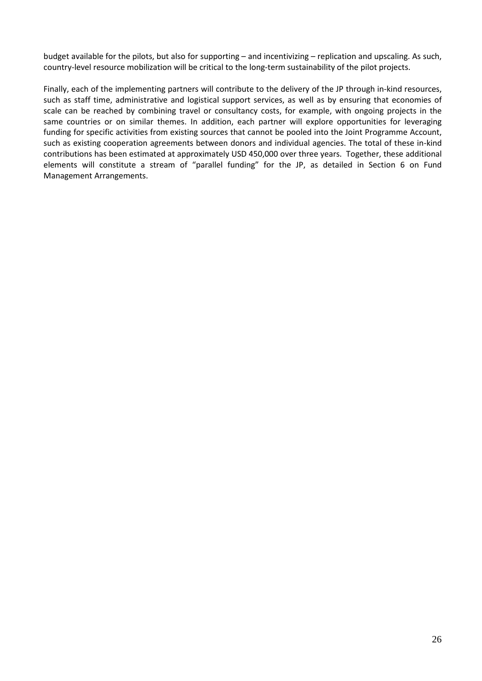budget available for the pilots, but also for supporting – and incentivizing – replication and upscaling. As such, country-level resource mobilization will be critical to the long-term sustainability of the pilot projects.

Finally, each of the implementing partners will contribute to the delivery of the JP through in-kind resources, such as staff time, administrative and logistical support services, as well as by ensuring that economies of scale can be reached by combining travel or consultancy costs, for example, with ongoing projects in the same countries or on similar themes. In addition, each partner will explore opportunities for leveraging funding for specific activities from existing sources that cannot be pooled into the Joint Programme Account, such as existing cooperation agreements between donors and individual agencies. The total of these in-kind contributions has been estimated at approximately USD 450,000 over three years. Together, these additional elements will constitute a stream of "parallel funding" for the JP, as detailed in Section 6 on Fund Management Arrangements.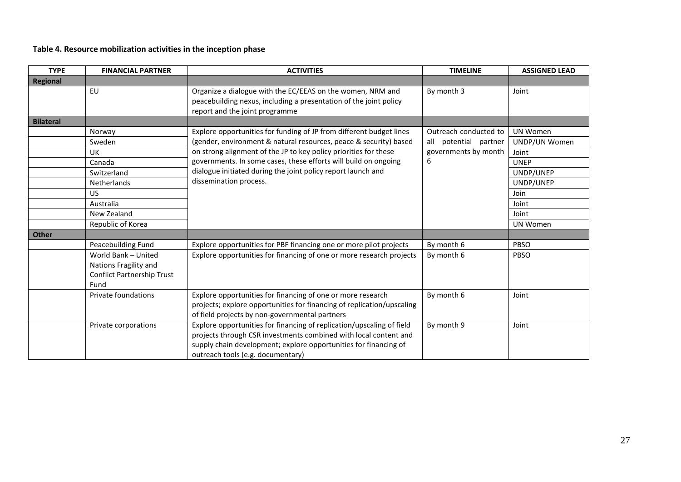# **Table 4. Resource mobilization activities in the inception phase**

| <b>TYPE</b>      | <b>FINANCIAL PARTNER</b>          | <b>ACTIVITIES</b>                                                                                                                                                 | <b>TIMELINE</b>       | <b>ASSIGNED LEAD</b> |
|------------------|-----------------------------------|-------------------------------------------------------------------------------------------------------------------------------------------------------------------|-----------------------|----------------------|
| <b>Regional</b>  |                                   |                                                                                                                                                                   |                       |                      |
|                  | EU                                | Organize a dialogue with the EC/EEAS on the women, NRM and<br>peacebuilding nexus, including a presentation of the joint policy<br>report and the joint programme | By month 3            | Joint                |
| <b>Bilateral</b> |                                   |                                                                                                                                                                   |                       |                      |
|                  | Norway                            | Explore opportunities for funding of JP from different budget lines                                                                                               | Outreach conducted to | <b>UN Women</b>      |
|                  | Sweden                            | (gender, environment & natural resources, peace & security) based                                                                                                 | all potential partner | UNDP/UN Women        |
|                  | UK                                | on strong alignment of the JP to key policy priorities for these                                                                                                  | governments by month  | Joint                |
|                  | Canada                            | governments. In some cases, these efforts will build on ongoing                                                                                                   | 6                     | <b>UNEP</b>          |
|                  | Switzerland                       | dialogue initiated during the joint policy report launch and                                                                                                      |                       | UNDP/UNEP            |
|                  | Netherlands                       | dissemination process.                                                                                                                                            |                       | UNDP/UNEP            |
|                  | <b>US</b>                         |                                                                                                                                                                   |                       | Join                 |
|                  | Australia                         |                                                                                                                                                                   |                       | Joint                |
|                  | New Zealand                       |                                                                                                                                                                   |                       | Joint                |
|                  | Republic of Korea                 |                                                                                                                                                                   |                       | <b>UN Women</b>      |
| <b>Other</b>     |                                   |                                                                                                                                                                   |                       |                      |
|                  | Peacebuilding Fund                | Explore opportunities for PBF financing one or more pilot projects                                                                                                | By month 6            | PBSO                 |
|                  | World Bank - United               | Explore opportunities for financing of one or more research projects                                                                                              | By month 6            | PBSO                 |
|                  | Nations Fragility and             |                                                                                                                                                                   |                       |                      |
|                  | <b>Conflict Partnership Trust</b> |                                                                                                                                                                   |                       |                      |
|                  | Fund                              |                                                                                                                                                                   |                       |                      |
|                  | Private foundations               | Explore opportunities for financing of one or more research                                                                                                       | By month 6            | Joint                |
|                  |                                   | projects; explore opportunities for financing of replication/upscaling                                                                                            |                       |                      |
|                  |                                   | of field projects by non-governmental partners                                                                                                                    |                       |                      |
|                  | Private corporations              | Explore opportunities for financing of replication/upscaling of field                                                                                             | By month 9            | Joint                |
|                  |                                   | projects through CSR investments combined with local content and                                                                                                  |                       |                      |
|                  |                                   | supply chain development; explore opportunities for financing of                                                                                                  |                       |                      |
|                  |                                   | outreach tools (e.g. documentary)                                                                                                                                 |                       |                      |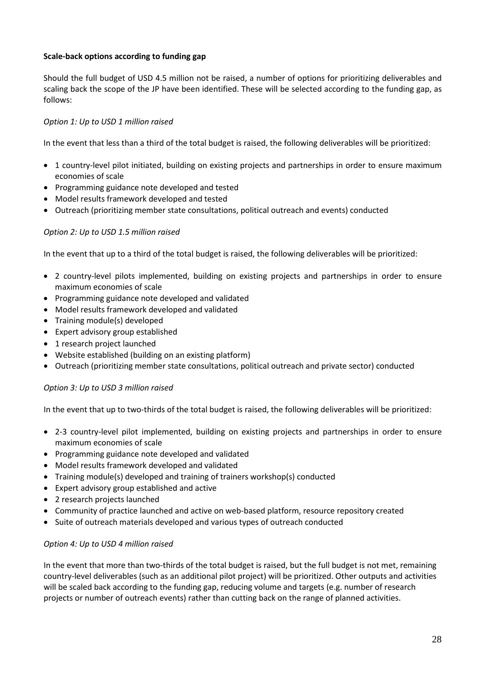## **Scale-back options according to funding gap**

Should the full budget of USD 4.5 million not be raised, a number of options for prioritizing deliverables and scaling back the scope of the JP have been identified. These will be selected according to the funding gap, as follows:

### *Option 1: Up to USD 1 million raised*

In the event that less than a third of the total budget is raised, the following deliverables will be prioritized:

- 1 country-level pilot initiated, building on existing projects and partnerships in order to ensure maximum economies of scale
- Programming guidance note developed and tested
- Model results framework developed and tested
- Outreach (prioritizing member state consultations, political outreach and events) conducted

### *Option 2: Up to USD 1.5 million raised*

In the event that up to a third of the total budget is raised, the following deliverables will be prioritized:

- 2 country-level pilots implemented, building on existing projects and partnerships in order to ensure maximum economies of scale
- Programming guidance note developed and validated
- Model results framework developed and validated
- Training module(s) developed
- Expert advisory group established
- 1 research project launched
- Website established (building on an existing platform)
- Outreach (prioritizing member state consultations, political outreach and private sector) conducted

### *Option 3: Up to USD 3 million raised*

In the event that up to two-thirds of the total budget is raised, the following deliverables will be prioritized:

- 2-3 country-level pilot implemented, building on existing projects and partnerships in order to ensure maximum economies of scale
- Programming guidance note developed and validated
- Model results framework developed and validated
- Training module(s) developed and training of trainers workshop(s) conducted
- Expert advisory group established and active
- 2 research projects launched
- Community of practice launched and active on web-based platform, resource repository created
- Suite of outreach materials developed and various types of outreach conducted

#### *Option 4: Up to USD 4 million raised*

In the event that more than two-thirds of the total budget is raised, but the full budget is not met, remaining country-level deliverables (such as an additional pilot project) will be prioritized. Other outputs and activities will be scaled back according to the funding gap, reducing volume and targets (e.g. number of research projects or number of outreach events) rather than cutting back on the range of planned activities.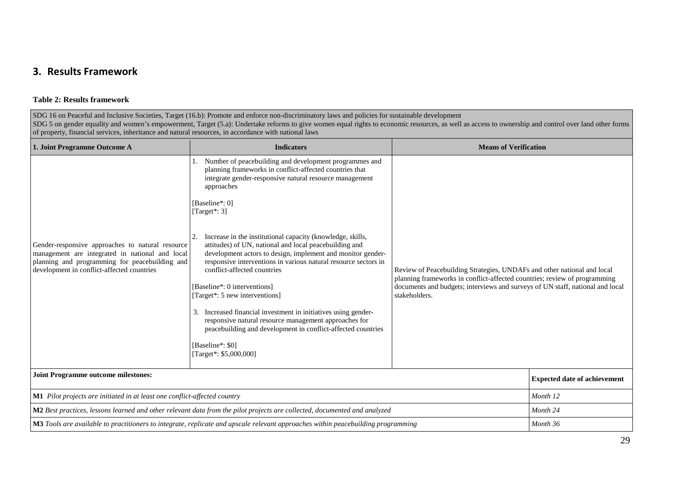# **3. Results Framework**

#### **Table 2: Results framework**

SDG 16 on Peaceful and Inclusive Societies, Target (16.b): Promote and enforce non-discriminatory laws and policies for sustainable development SDG 5 on gender equality and women's empowerment, Target (5.a): Undertake reforms to give women equal rights to economic resources, as well as access to ownership and control over land other forms of property, financial services, inheritance and natural resources, in accordance with national laws

<span id="page-30-0"></span>

| 1. Joint Programme Outcome A                                                                                                                                                                                                                                                                                                                                                                                                                                                                                                                                                                                                                                                                                                                                                                                                                                                                                                                                                                                                                                                                                                                                                                                                                                  | <b>Indicators</b>                                                                                                                | <b>Means of Verification</b>                                                                                                                                                                                                                           |                                     |
|---------------------------------------------------------------------------------------------------------------------------------------------------------------------------------------------------------------------------------------------------------------------------------------------------------------------------------------------------------------------------------------------------------------------------------------------------------------------------------------------------------------------------------------------------------------------------------------------------------------------------------------------------------------------------------------------------------------------------------------------------------------------------------------------------------------------------------------------------------------------------------------------------------------------------------------------------------------------------------------------------------------------------------------------------------------------------------------------------------------------------------------------------------------------------------------------------------------------------------------------------------------|----------------------------------------------------------------------------------------------------------------------------------|--------------------------------------------------------------------------------------------------------------------------------------------------------------------------------------------------------------------------------------------------------|-------------------------------------|
| Number of peacebuilding and development programmes and<br>planning frameworks in conflict-affected countries that<br>integrate gender-responsive natural resource management<br>approaches<br>[Baseline*: 0]<br>[Target*: $3$ ]<br>Increase in the institutional capacity (knowledge, skills,<br>2.<br>attitudes) of UN, national and local peacebuilding and<br>Gender-responsive approaches to natural resource<br>management are integrated in national and local<br>development actors to design, implement and monitor gender-<br>planning and programming for peacebuilding and<br>responsive interventions in various natural resource sectors in<br>conflict-affected countries<br>development in conflict-affected countries<br>[Baseline*: 0 interventions]<br>[Target*: 5 new interventions]<br>Increased financial investment in initiatives using gender-<br>3.<br>responsive natural resource management approaches for<br>peacebuilding and development in conflict-affected countries<br>[Baseline*: \$0]<br>[Target*: \$5,000,000]<br>M1 Pilot projects are initiated in at least one conflict-affected country<br>M2 Best practices, lessons learned and other relevant data from the pilot projects are collected, documented and analyzed |                                                                                                                                  | Review of Peacebuilding Strategies, UNDAFs and other national and local<br>planning frameworks in conflict-affected countries; review of programming<br>documents and budgets; interviews and surveys of UN staff, national and local<br>stakeholders. |                                     |
| <b>Joint Programme outcome milestones:</b>                                                                                                                                                                                                                                                                                                                                                                                                                                                                                                                                                                                                                                                                                                                                                                                                                                                                                                                                                                                                                                                                                                                                                                                                                    |                                                                                                                                  |                                                                                                                                                                                                                                                        | <b>Expected date of achievement</b> |
|                                                                                                                                                                                                                                                                                                                                                                                                                                                                                                                                                                                                                                                                                                                                                                                                                                                                                                                                                                                                                                                                                                                                                                                                                                                               |                                                                                                                                  |                                                                                                                                                                                                                                                        | Month 12                            |
|                                                                                                                                                                                                                                                                                                                                                                                                                                                                                                                                                                                                                                                                                                                                                                                                                                                                                                                                                                                                                                                                                                                                                                                                                                                               |                                                                                                                                  |                                                                                                                                                                                                                                                        | Month 24                            |
|                                                                                                                                                                                                                                                                                                                                                                                                                                                                                                                                                                                                                                                                                                                                                                                                                                                                                                                                                                                                                                                                                                                                                                                                                                                               | M3 Tools are available to practitioners to integrate, replicate and upscale relevant approaches within peacebuilding programming |                                                                                                                                                                                                                                                        | Month 36                            |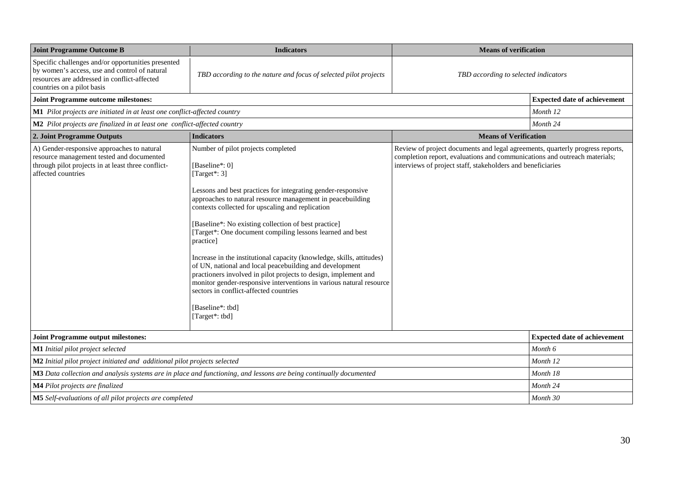| <b>Joint Programme Outcome B</b><br><b>Indicators</b>                                                                                                                             |                                                                                                                                                                                                                                                                                                                                                                                                                                                                                                                                                                                                                                                                                                                                                           | <b>Means of verification</b>                                                                                                                                                                                              |                                     |
|-----------------------------------------------------------------------------------------------------------------------------------------------------------------------------------|-----------------------------------------------------------------------------------------------------------------------------------------------------------------------------------------------------------------------------------------------------------------------------------------------------------------------------------------------------------------------------------------------------------------------------------------------------------------------------------------------------------------------------------------------------------------------------------------------------------------------------------------------------------------------------------------------------------------------------------------------------------|---------------------------------------------------------------------------------------------------------------------------------------------------------------------------------------------------------------------------|-------------------------------------|
| Specific challenges and/or opportunities presented<br>by women's access, use and control of natural<br>resources are addressed in conflict-affected<br>countries on a pilot basis | TBD according to the nature and focus of selected pilot projects                                                                                                                                                                                                                                                                                                                                                                                                                                                                                                                                                                                                                                                                                          | TBD according to selected indicators                                                                                                                                                                                      |                                     |
| <b>Joint Programme outcome milestones:</b>                                                                                                                                        |                                                                                                                                                                                                                                                                                                                                                                                                                                                                                                                                                                                                                                                                                                                                                           |                                                                                                                                                                                                                           | <b>Expected date of achievement</b> |
| M1 Pilot projects are initiated in at least one conflict-affected country                                                                                                         |                                                                                                                                                                                                                                                                                                                                                                                                                                                                                                                                                                                                                                                                                                                                                           |                                                                                                                                                                                                                           | Month 12                            |
| M2 Pilot projects are finalized in at least one conflict-affected country                                                                                                         |                                                                                                                                                                                                                                                                                                                                                                                                                                                                                                                                                                                                                                                                                                                                                           |                                                                                                                                                                                                                           | Month 24                            |
| 2. Joint Programme Outputs                                                                                                                                                        | <b>Indicators</b>                                                                                                                                                                                                                                                                                                                                                                                                                                                                                                                                                                                                                                                                                                                                         | <b>Means of Verification</b>                                                                                                                                                                                              |                                     |
| A) Gender-responsive approaches to natural<br>resource management tested and documented<br>through pilot projects in at least three conflict-<br>affected countries               | Number of pilot projects completed<br>[Baseline*: 0]<br>[Target*: $3$ ]<br>Lessons and best practices for integrating gender-responsive<br>approaches to natural resource management in peacebuilding<br>contexts collected for upscaling and replication<br>[Baseline*: No existing collection of best practice]<br>[Target*: One document compiling lessons learned and best<br>practice]<br>Increase in the institutional capacity (knowledge, skills, attitudes)<br>of UN, national and local peacebuilding and development<br>practioners involved in pilot projects to design, implement and<br>monitor gender-responsive interventions in various natural resource<br>sectors in conflict-affected countries<br>[Baseline*: tbd]<br>[Target*: tbd] | Review of project documents and legal agreements, quarterly progress reports,<br>completion report, evaluations and communications and outreach materials;<br>interviews of project staff, stakeholders and beneficiaries |                                     |
| <b>Joint Programme output milestones:</b>                                                                                                                                         |                                                                                                                                                                                                                                                                                                                                                                                                                                                                                                                                                                                                                                                                                                                                                           |                                                                                                                                                                                                                           | <b>Expected date of achievement</b> |
| M1 Initial pilot project selected                                                                                                                                                 |                                                                                                                                                                                                                                                                                                                                                                                                                                                                                                                                                                                                                                                                                                                                                           |                                                                                                                                                                                                                           | Month 6                             |
| M2 Initial pilot project initiated and additional pilot projects selected                                                                                                         |                                                                                                                                                                                                                                                                                                                                                                                                                                                                                                                                                                                                                                                                                                                                                           |                                                                                                                                                                                                                           | Month 12                            |
|                                                                                                                                                                                   | M3 Data collection and analysis systems are in place and functioning, and lessons are being continually documented                                                                                                                                                                                                                                                                                                                                                                                                                                                                                                                                                                                                                                        |                                                                                                                                                                                                                           | Month 18                            |
| <b>M4</b> Pilot projects are finalized                                                                                                                                            |                                                                                                                                                                                                                                                                                                                                                                                                                                                                                                                                                                                                                                                                                                                                                           |                                                                                                                                                                                                                           | Month 24                            |
| M5 Self-evaluations of all pilot projects are completed                                                                                                                           |                                                                                                                                                                                                                                                                                                                                                                                                                                                                                                                                                                                                                                                                                                                                                           |                                                                                                                                                                                                                           | Month 30                            |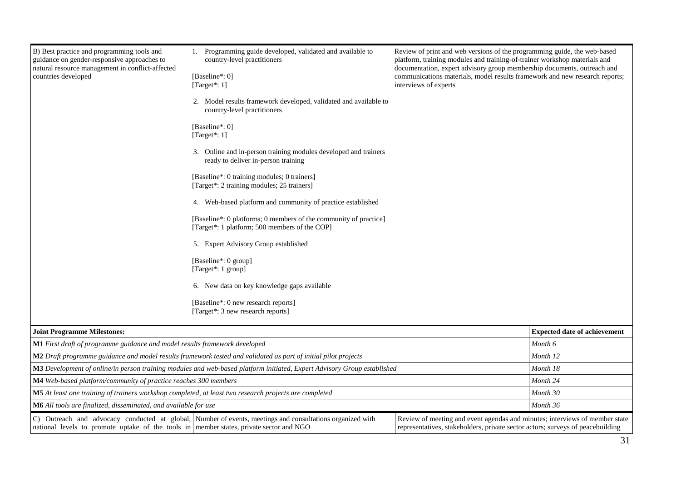| B) Best practice and programming tools and<br>guidance on gender-responsive approaches to<br>natural resource management in conflict-affected<br>countries developed | Programming guide developed, validated and available to<br>1.<br>country-level practitioners<br>[Baseline*: 0]<br>[Target*: $1$ ]<br>interviews of experts<br>2. Model results framework developed, validated and available to<br>country-level practitioners<br>[Baseline*: 0]<br>[Target*: 1]<br>3. Online and in-person training modules developed and trainers<br>ready to deliver in-person training<br>[Baseline*: 0 training modules; 0 trainers]<br>[Target*: 2 training modules; 25 trainers]<br>4. Web-based platform and community of practice established<br>[Baseline*: 0 platforms; 0 members of the community of practice]<br>[Target*: 1 platform; 500 members of the COP]<br>5. Expert Advisory Group established<br>[Baseline*: 0 group]<br>[Target*: 1 group]<br>6. New data on key knowledge gaps available<br>[Baseline*: 0 new research reports]<br>[Target*: 3 new research reports] |                                                                                                                                                               | Review of print and web versions of the programming guide, the web-based<br>platform, training modules and training-of-trainer workshop materials and<br>documentation, expert advisory group membership documents, outreach and<br>communications materials, model results framework and new research reports; |
|----------------------------------------------------------------------------------------------------------------------------------------------------------------------|-------------------------------------------------------------------------------------------------------------------------------------------------------------------------------------------------------------------------------------------------------------------------------------------------------------------------------------------------------------------------------------------------------------------------------------------------------------------------------------------------------------------------------------------------------------------------------------------------------------------------------------------------------------------------------------------------------------------------------------------------------------------------------------------------------------------------------------------------------------------------------------------------------------|---------------------------------------------------------------------------------------------------------------------------------------------------------------|-----------------------------------------------------------------------------------------------------------------------------------------------------------------------------------------------------------------------------------------------------------------------------------------------------------------|
| <b>Joint Programme Milestones:</b>                                                                                                                                   |                                                                                                                                                                                                                                                                                                                                                                                                                                                                                                                                                                                                                                                                                                                                                                                                                                                                                                             |                                                                                                                                                               | <b>Expected date of achievement</b>                                                                                                                                                                                                                                                                             |
| M1 First draft of programme guidance and model results framework developed                                                                                           |                                                                                                                                                                                                                                                                                                                                                                                                                                                                                                                                                                                                                                                                                                                                                                                                                                                                                                             |                                                                                                                                                               | Month <sub>6</sub>                                                                                                                                                                                                                                                                                              |
|                                                                                                                                                                      | <b>M2</b> Draft programme guidance and model results framework tested and validated as part of initial pilot projects                                                                                                                                                                                                                                                                                                                                                                                                                                                                                                                                                                                                                                                                                                                                                                                       |                                                                                                                                                               | Month 12                                                                                                                                                                                                                                                                                                        |
|                                                                                                                                                                      | M3 Development of online/in person training modules and web-based platform initiated, Expert Advisory Group established                                                                                                                                                                                                                                                                                                                                                                                                                                                                                                                                                                                                                                                                                                                                                                                     |                                                                                                                                                               | Month 18                                                                                                                                                                                                                                                                                                        |
| M4 Web-based platform/community of practice reaches 300 members                                                                                                      |                                                                                                                                                                                                                                                                                                                                                                                                                                                                                                                                                                                                                                                                                                                                                                                                                                                                                                             |                                                                                                                                                               | Month 24                                                                                                                                                                                                                                                                                                        |
| <b>M5</b> At least one training of trainers workshop completed, at least two research projects are completed                                                         |                                                                                                                                                                                                                                                                                                                                                                                                                                                                                                                                                                                                                                                                                                                                                                                                                                                                                                             |                                                                                                                                                               | Month 30                                                                                                                                                                                                                                                                                                        |
| M6 All tools are finalized, disseminated, and available for use                                                                                                      |                                                                                                                                                                                                                                                                                                                                                                                                                                                                                                                                                                                                                                                                                                                                                                                                                                                                                                             |                                                                                                                                                               | Month 36                                                                                                                                                                                                                                                                                                        |
| national levels to promote uptake of the tools in member states, private sector and NGO                                                                              | C) Outreach and advocacy conducted at global, Number of events, meetings and consultations organized with                                                                                                                                                                                                                                                                                                                                                                                                                                                                                                                                                                                                                                                                                                                                                                                                   | Review of meeting and event agendas and minutes; interviews of member state<br>representatives, stakeholders, private sector actors; surveys of peacebuilding |                                                                                                                                                                                                                                                                                                                 |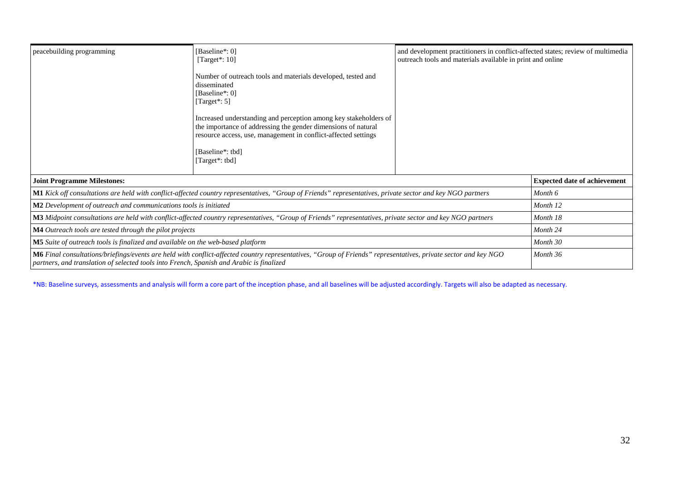| [Baseline*: 0]<br>peacebuilding programming<br>[Target $*$ : 10]                         |                                                                                                                                                                 | and development practitioners in conflict-affected states; review of multimedia<br>outreach tools and materials available in print and online |                                     |
|------------------------------------------------------------------------------------------|-----------------------------------------------------------------------------------------------------------------------------------------------------------------|-----------------------------------------------------------------------------------------------------------------------------------------------|-------------------------------------|
|                                                                                          |                                                                                                                                                                 |                                                                                                                                               |                                     |
| <b>Joint Programme Milestones:</b>                                                       |                                                                                                                                                                 |                                                                                                                                               | <b>Expected date of achievement</b> |
|                                                                                          | M1 Kick off consultations are held with conflict-affected country representatives, "Group of Friends" representatives, private sector and key NGO partners      |                                                                                                                                               | Month 6                             |
| M2 Development of outreach and communications tools is initiated                         |                                                                                                                                                                 |                                                                                                                                               | Month 12                            |
|                                                                                          | M3 Midpoint consultations are held with conflict-affected country representatives, "Group of Friends" representatives, private sector and key NGO partners      |                                                                                                                                               | Month 18                            |
| <b>M4</b> Outreach tools are tested through the pilot projects                           |                                                                                                                                                                 | Month 24                                                                                                                                      |                                     |
| M5 Suite of outreach tools is finalized and available on the web-based platform          | Month 30                                                                                                                                                        |                                                                                                                                               |                                     |
| partners, and translation of selected tools into French, Spanish and Arabic is finalized | M6 Final consultations/briefings/events are held with conflict-affected country representatives, "Group of Friends" representatives, private sector and key NGO |                                                                                                                                               | Month 36                            |

\*NB: Baseline surveys, assessments and analysis will form a core part of the inception phase, and all baselines will be adjusted accordingly. Targets will also be adapted as necessary.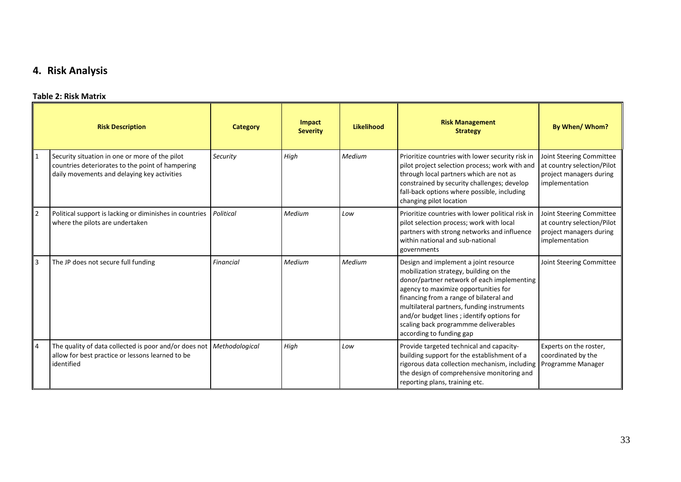# **4. Risk Analysis**

### **Table 2: Risk Matrix**

<span id="page-34-0"></span>

|                | <b>Risk Description</b>                                                                                                                           | <b>Category</b>  | Impact<br><b>Severity</b> | Likelihood | <b>Risk Management</b><br><b>Strategy</b>                                                                                                                                                                                                                                                                                                                                       | By When/Whom?                                                                                       |
|----------------|---------------------------------------------------------------------------------------------------------------------------------------------------|------------------|---------------------------|------------|---------------------------------------------------------------------------------------------------------------------------------------------------------------------------------------------------------------------------------------------------------------------------------------------------------------------------------------------------------------------------------|-----------------------------------------------------------------------------------------------------|
|                | Security situation in one or more of the pilot<br>countries deteriorates to the point of hampering<br>daily movements and delaying key activities | Security         | High                      | Medium     | Prioritize countries with lower security risk in<br>pilot project selection process; work with and<br>through local partners which are not as<br>constrained by security challenges; develop<br>fall-back options where possible, including<br>changing pilot location                                                                                                          | Joint Steering Committee<br>at country selection/Pilot<br>project managers during<br>implementation |
|                | Political support is lacking or diminishes in countries<br>where the pilots are undertaken                                                        | Political        | Medium                    | Low        | Prioritize countries with lower political risk in<br>pilot selection process; work with local<br>partners with strong networks and influence<br>within national and sub-national<br>governments                                                                                                                                                                                 | Joint Steering Committee<br>at country selection/Pilot<br>project managers during<br>implementation |
| 3              | The JP does not secure full funding                                                                                                               | <b>Financial</b> | Medium                    | Medium     | Design and implement a joint resource<br>mobilization strategy, building on the<br>donor/partner network of each implementing<br>agency to maximize opportunities for<br>financing from a range of bilateral and<br>multilateral partners, funding instruments<br>and/or budget lines; identify options for<br>scaling back programmme deliverables<br>according to funding gap | Joint Steering Committee                                                                            |
| $\overline{4}$ | The quality of data collected is poor and/or does not<br>allow for best practice or lessons learned to be<br>identified                           | Methodological   | High                      | Low        | Provide targeted technical and capacity-<br>building support for the establishment of a<br>rigorous data collection mechanism, including<br>the design of comprehensive monitoring and<br>reporting plans, training etc.                                                                                                                                                        | Experts on the roster,<br>coordinated by the<br>Programme Manager                                   |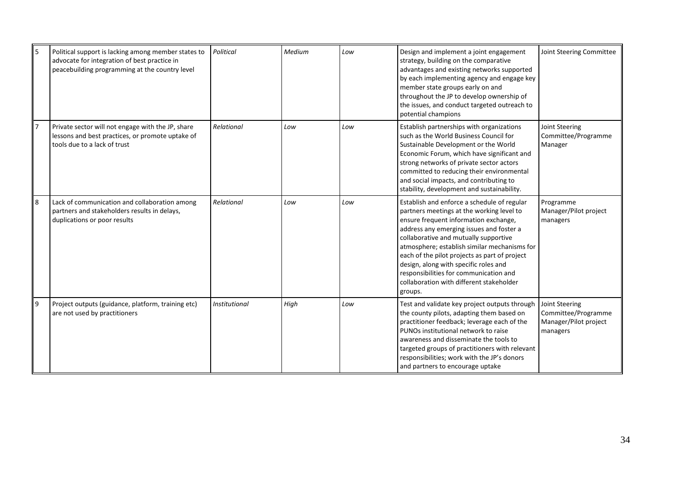| 5 | Political support is lacking among member states to<br>advocate for integration of best practice in<br>peacebuilding programming at the country level | Political            | Medium | Low | Design and implement a joint engagement<br>strategy, building on the comparative<br>advantages and existing networks supported<br>by each implementing agency and engage key<br>member state groups early on and<br>throughout the JP to develop ownership of<br>the issues, and conduct targeted outreach to<br>potential champions                                                                                                                              | Joint Steering Committee                                                   |
|---|-------------------------------------------------------------------------------------------------------------------------------------------------------|----------------------|--------|-----|-------------------------------------------------------------------------------------------------------------------------------------------------------------------------------------------------------------------------------------------------------------------------------------------------------------------------------------------------------------------------------------------------------------------------------------------------------------------|----------------------------------------------------------------------------|
|   | Private sector will not engage with the JP, share<br>lessons and best practices, or promote uptake of<br>tools due to a lack of trust                 | Relational           | Low    | Low | Establish partnerships with organizations<br>such as the World Business Council for<br>Sustainable Development or the World<br>Economic Forum, which have significant and<br>strong networks of private sector actors<br>committed to reducing their environmental<br>and social impacts, and contributing to<br>stability, development and sustainability.                                                                                                       | Joint Steering<br>Committee/Programme<br>Manager                           |
| 8 | Lack of communication and collaboration among<br>partners and stakeholders results in delays,<br>duplications or poor results                         | Relational           | Low    | Low | Establish and enforce a schedule of regular<br>partners meetings at the working level to<br>ensure frequent information exchange,<br>address any emerging issues and foster a<br>collaborative and mutually supportive<br>atmosphere; establish similar mechanisms for<br>each of the pilot projects as part of project<br>design, along with specific roles and<br>responsibilities for communication and<br>collaboration with different stakeholder<br>groups. | Programme<br>Manager/Pilot project<br>managers                             |
| 9 | Project outputs (guidance, platform, training etc)<br>are not used by practitioners                                                                   | <b>Institutional</b> | High   | Low | Test and validate key project outputs through<br>the county pilots, adapting them based on<br>practitioner feedback; leverage each of the<br>PUNOs institutional network to raise<br>awareness and disseminate the tools to<br>targeted groups of practitioners with relevant<br>responsibilities; work with the JP's donors<br>and partners to encourage uptake                                                                                                  | Joint Steering<br>Committee/Programme<br>Manager/Pilot project<br>managers |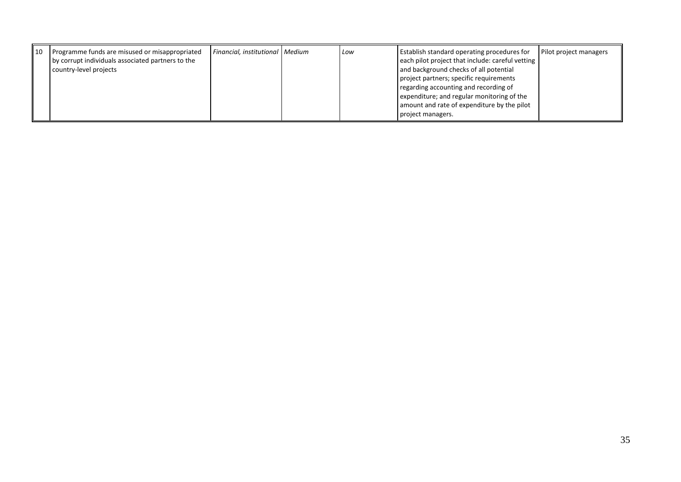| ll 10 | Programme funds are misused or misappropriated<br>by corrupt individuals associated partners to the<br>country-level projects | Financial, institutional   Medium |  | Low | <b>Establish standard operating procedures for</b><br>each pilot project that include: careful vetting<br>and background checks of all potential<br>project partners; specific requirements<br>regarding accounting and recording of<br>expenditure; and regular monitoring of the<br>amount and rate of expenditure by the pilot<br>project managers. | Pilot project managers |
|-------|-------------------------------------------------------------------------------------------------------------------------------|-----------------------------------|--|-----|--------------------------------------------------------------------------------------------------------------------------------------------------------------------------------------------------------------------------------------------------------------------------------------------------------------------------------------------------------|------------------------|
|-------|-------------------------------------------------------------------------------------------------------------------------------|-----------------------------------|--|-----|--------------------------------------------------------------------------------------------------------------------------------------------------------------------------------------------------------------------------------------------------------------------------------------------------------------------------------------------------------|------------------------|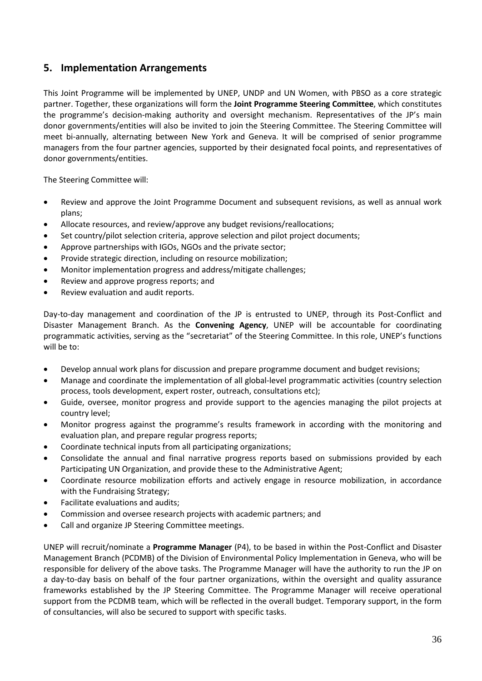# <span id="page-37-0"></span>**5. Implementation Arrangements**

This Joint Programme will be implemented by UNEP, UNDP and UN Women, with PBSO as a core strategic partner. Together, these organizations will form the **Joint Programme Steering Committee**, which constitutes the programme's decision-making authority and oversight mechanism. Representatives of the JP's main donor governments/entities will also be invited to join the Steering Committee. The Steering Committee will meet bi-annually, alternating between New York and Geneva. It will be comprised of senior programme managers from the four partner agencies, supported by their designated focal points, and representatives of donor governments/entities.

The Steering Committee will:

- Review and approve the Joint Programme Document and subsequent revisions, as well as annual work plans;
- Allocate resources, and review/approve any budget revisions/reallocations;
- Set country/pilot selection criteria, approve selection and pilot project documents;
- Approve partnerships with IGOs, NGOs and the private sector;
- Provide strategic direction, including on resource mobilization;
- Monitor implementation progress and address/mitigate challenges;
- Review and approve progress reports; and
- Review evaluation and audit reports.

Day-to-day management and coordination of the JP is entrusted to UNEP, through its Post-Conflict and Disaster Management Branch. As the **Convening Agency**, UNEP will be accountable for coordinating programmatic activities, serving as the "secretariat" of the Steering Committee. In this role, UNEP's functions will be to:

- Develop annual work plans for discussion and prepare programme document and budget revisions;
- Manage and coordinate the implementation of all global-level programmatic activities (country selection process, tools development, expert roster, outreach, consultations etc);
- Guide, oversee, monitor progress and provide support to the agencies managing the pilot projects at country level;
- Monitor progress against the programme's results framework in according with the monitoring and evaluation plan, and prepare regular progress reports;
- Coordinate technical inputs from all participating organizations;
- Consolidate the annual and final narrative progress reports based on submissions provided by each Participating UN Organization, and provide these to the Administrative Agent;
- Coordinate resource mobilization efforts and actively engage in resource mobilization, in accordance with the Fundraising Strategy;
- Facilitate evaluations and audits;
- Commission and oversee research projects with academic partners; and
- Call and organize JP Steering Committee meetings.

UNEP will recruit/nominate a **Programme Manager** (P4), to be based in within the Post-Conflict and Disaster Management Branch (PCDMB) of the Division of Environmental Policy Implementation in Geneva, who will be responsible for delivery of the above tasks. The Programme Manager will have the authority to run the JP on a day-to-day basis on behalf of the four partner organizations, within the oversight and quality assurance frameworks established by the JP Steering Committee. The Programme Manager will receive operational support from the PCDMB team, which will be reflected in the overall budget. Temporary support, in the form of consultancies, will also be secured to support with specific tasks.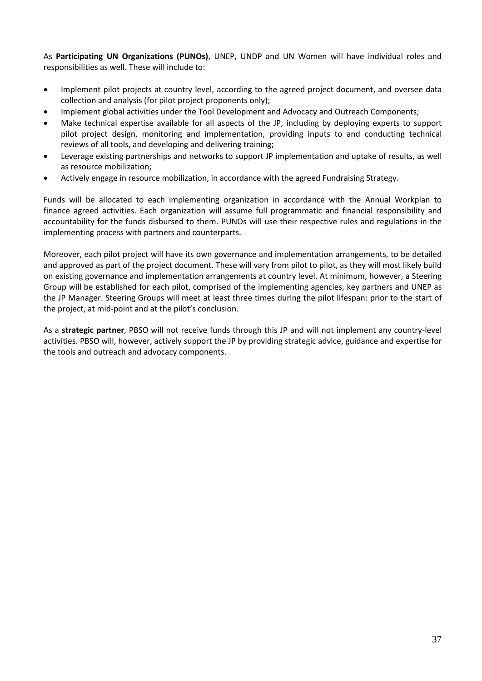As **Participating UN Organizations (PUNOs)**, UNEP, UNDP and UN Women will have individual roles and responsibilities as well. These will include to:

- Implement pilot projects at country level, according to the agreed project document, and oversee data collection and analysis (for pilot project proponents only);
- Implement global activities under the Tool Development and Advocacy and Outreach Components;
- Make technical expertise available for all aspects of the JP, including by deploying experts to support pilot project design, monitoring and implementation, providing inputs to and conducting technical reviews of all tools, and developing and delivering training;
- Leverage existing partnerships and networks to support JP implementation and uptake of results, as well as resource mobilization;
- Actively engage in resource mobilization, in accordance with the agreed Fundraising Strategy.

Funds will be allocated to each implementing organization in accordance with the Annual Workplan to finance agreed activities. Each organization will assume full programmatic and financial responsibility and accountability for the funds disbursed to them. PUNOs will use their respective rules and regulations in the implementing process with partners and counterparts.

Moreover, each pilot project will have its own governance and implementation arrangements, to be detailed and approved as part of the project document. These will vary from pilot to pilot, as they will most likely build on existing governance and implementation arrangements at country level. At minimum, however, a Steering Group will be established for each pilot, comprised of the implementing agencies, key partners and UNEP as the JP Manager. Steering Groups will meet at least three times during the pilot lifespan: prior to the start of the project, at mid-point and at the pilot's conclusion.

As a **strategic partner**, PBSO will not receive funds through this JP and will not implement any country-level activities. PBSO will, however, actively support the JP by providing strategic advice, guidance and expertise for the tools and outreach and advocacy components.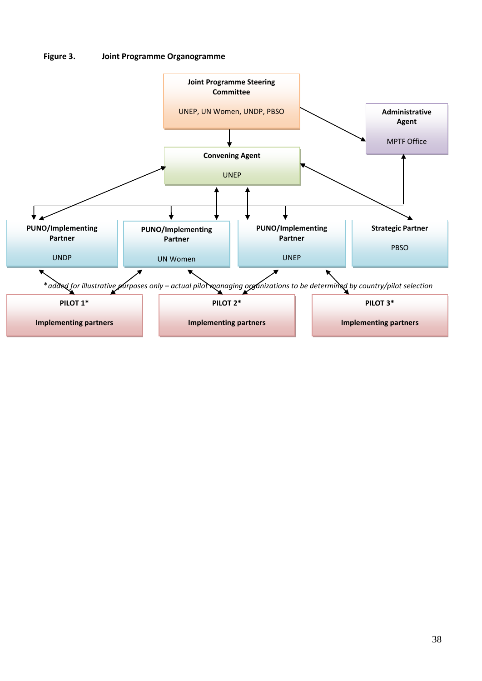#### **Figure 3. Joint Programme Organogramme**

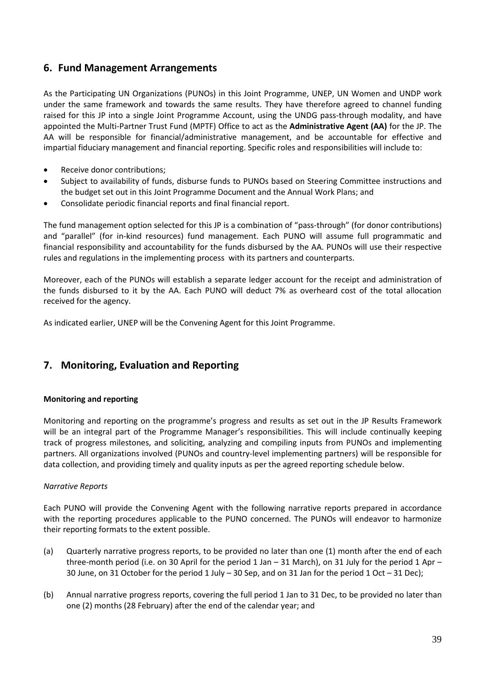# <span id="page-40-0"></span>**6. Fund Management Arrangements**

As the Participating UN Organizations (PUNOs) in this Joint Programme, UNEP, UN Women and UNDP work under the same framework and towards the same results. They have therefore agreed to channel funding raised for this JP into a single Joint Programme Account, using the UNDG pass-through modality, and have appointed the Multi-Partner Trust Fund (MPTF) Office to act as the **Administrative Agent (AA)** for the JP. The AA will be responsible for financial/administrative management, and be accountable for effective and impartial fiduciary management and financial reporting. Specific roles and responsibilities will include to:

- Receive donor contributions;
- Subject to availability of funds, disburse funds to PUNOs based on Steering Committee instructions and the budget set out in this Joint Programme Document and the Annual Work Plans; and
- Consolidate periodic financial reports and final financial report.

The fund management option selected for this JP is a combination of "pass-through" (for donor contributions) and "parallel" (for in-kind resources) fund management. Each PUNO will assume full programmatic and financial responsibility and accountability for the funds disbursed by the AA. PUNOs will use their respective rules and regulations in the implementing process with its partners and counterparts.

Moreover, each of the PUNOs will establish a separate ledger account for the receipt and administration of the funds disbursed to it by the AA. Each PUNO will deduct 7% as overheard cost of the total allocation received for the agency.

As indicated earlier, UNEP will be the Convening Agent for this Joint Programme.

# <span id="page-40-1"></span>**7. Monitoring, Evaluation and Reporting**

### **Monitoring and reporting**

Monitoring and reporting on the programme's progress and results as set out in the JP Results Framework will be an integral part of the Programme Manager's responsibilities. This will include continually keeping track of progress milestones, and soliciting, analyzing and compiling inputs from PUNOs and implementing partners. All organizations involved (PUNOs and country-level implementing partners) will be responsible for data collection, and providing timely and quality inputs as per the agreed reporting schedule below.

### *Narrative Reports*

Each PUNO will provide the Convening Agent with the following narrative reports prepared in accordance with the reporting procedures applicable to the PUNO concerned. The PUNOs will endeavor to harmonize their reporting formats to the extent possible.

- (a) Quarterly narrative progress reports, to be provided no later than one (1) month after the end of each three-month period (i.e. on 30 April for the period 1 Jan – 31 March), on 31 July for the period 1 Apr – 30 June, on 31 October for the period 1 July – 30 Sep, and on 31 Jan for the period 1 Oct – 31 Dec);
- (b) Annual narrative progress reports, covering the full period 1 Jan to 31 Dec, to be provided no later than one (2) months (28 February) after the end of the calendar year; and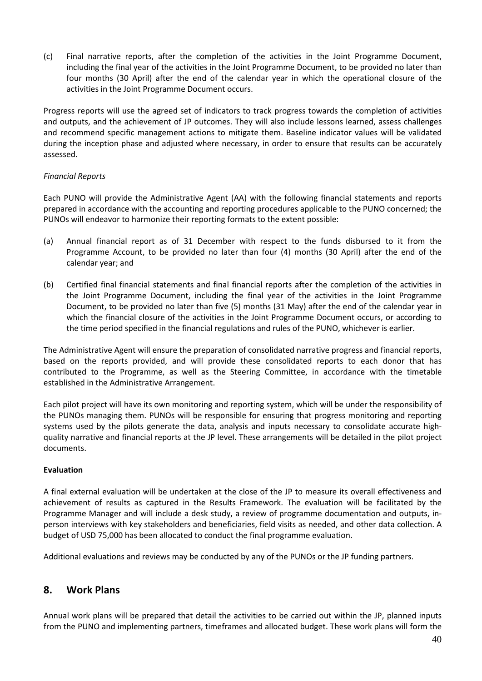(c) Final narrative reports, after the completion of the activities in the Joint Programme Document, including the final year of the activities in the Joint Programme Document, to be provided no later than four months (30 April) after the end of the calendar year in which the operational closure of the activities in the Joint Programme Document occurs.

Progress reports will use the agreed set of indicators to track progress towards the completion of activities and outputs, and the achievement of JP outcomes. They will also include lessons learned, assess challenges and recommend specific management actions to mitigate them. Baseline indicator values will be validated during the inception phase and adjusted where necessary, in order to ensure that results can be accurately assessed.

### *Financial Reports*

Each PUNO will provide the Administrative Agent (AA) with the following financial statements and reports prepared in accordance with the accounting and reporting procedures applicable to the PUNO concerned; the PUNOs will endeavor to harmonize their reporting formats to the extent possible:

- (a) Annual financial report as of 31 December with respect to the funds disbursed to it from the Programme Account, to be provided no later than four (4) months (30 April) after the end of the calendar year; and
- (b) Certified final financial statements and final financial reports after the completion of the activities in the Joint Programme Document, including the final year of the activities in the Joint Programme Document, to be provided no later than five (5) months (31 May) after the end of the calendar year in which the financial closure of the activities in the Joint Programme Document occurs, or according to the time period specified in the financial regulations and rules of the PUNO, whichever is earlier.

The Administrative Agent will ensure the preparation of consolidated narrative progress and financial reports, based on the reports provided, and will provide these consolidated reports to each donor that has contributed to the Programme, as well as the Steering Committee, in accordance with the timetable established in the Administrative Arrangement.

Each pilot project will have its own monitoring and reporting system, which will be under the responsibility of the PUNOs managing them. PUNOs will be responsible for ensuring that progress monitoring and reporting systems used by the pilots generate the data, analysis and inputs necessary to consolidate accurate highquality narrative and financial reports at the JP level. These arrangements will be detailed in the pilot project documents.

### **Evaluation**

A final external evaluation will be undertaken at the close of the JP to measure its overall effectiveness and achievement of results as captured in the Results Framework. The evaluation will be facilitated by the Programme Manager and will include a desk study, a review of programme documentation and outputs, inperson interviews with key stakeholders and beneficiaries, field visits as needed, and other data collection. A budget of USD 75,000 has been allocated to conduct the final programme evaluation.

Additional evaluations and reviews may be conducted by any of the PUNOs or the JP funding partners.

# <span id="page-41-0"></span>**8. Work Plans**

Annual work plans will be prepared that detail the activities to be carried out within the JP, planned inputs from the PUNO and implementing partners, timeframes and allocated budget. These work plans will form the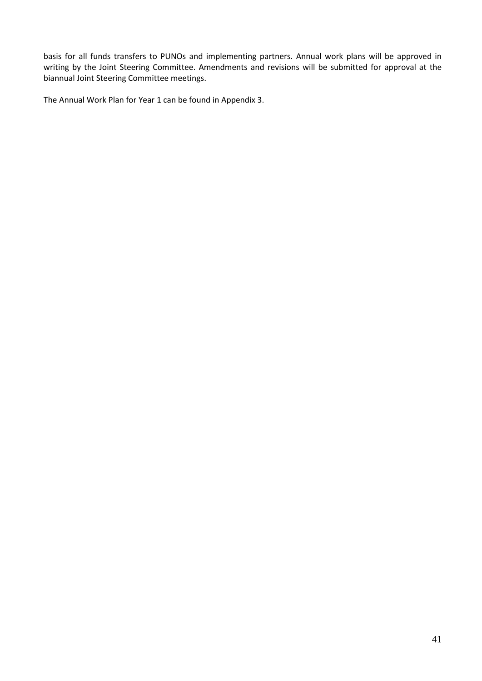basis for all funds transfers to PUNOs and implementing partners. Annual work plans will be approved in writing by the Joint Steering Committee. Amendments and revisions will be submitted for approval at the biannual Joint Steering Committee meetings.

The Annual Work Plan for Year 1 can be found in Appendix 3.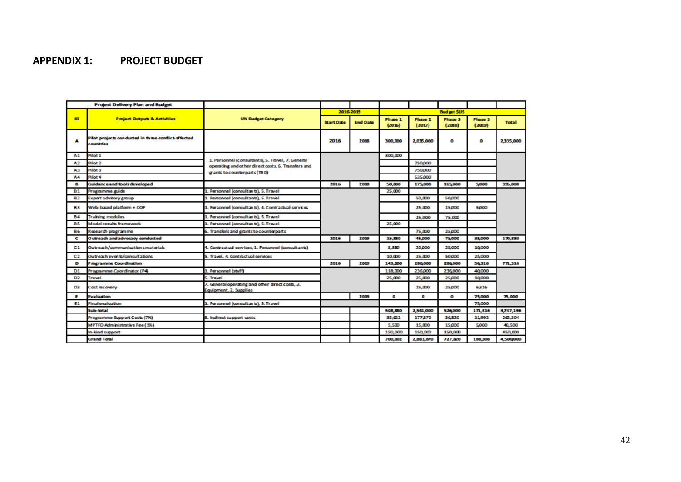# **APPENDIX 1: PROJECT BUDGET**

<span id="page-43-0"></span>

| <b>Project Delivery Plan and Budget</b> |                                                                 |                                                                                                         |                   |                 |                   |                   |                   |                   |              |
|-----------------------------------------|-----------------------------------------------------------------|---------------------------------------------------------------------------------------------------------|-------------------|-----------------|-------------------|-------------------|-------------------|-------------------|--------------|
|                                         |                                                                 |                                                                                                         |                   | 2016-2019       |                   |                   | <b>Budget SUS</b> |                   |              |
| ID.                                     | <b>Project Outputs &amp; Activities</b>                         | <b>UN Budget Category</b>                                                                               | <b>Start Date</b> | <b>End Date</b> | Phase 1<br>(2036) | Phase 2<br>(2017) | Phase 3<br>(2018) | Phase 3<br>(2019) | <b>Total</b> |
| Α                                       | Plot projects conducted in three conflict-affected<br>countries |                                                                                                         | 2016              | 2018            |                   | 2,035,000         | ۰                 | o                 | 2335,000     |
| A1.                                     | Pilot <sub>1</sub>                                              |                                                                                                         |                   |                 | 300,000           |                   |                   |                   |              |
| A2                                      | Pilot <sub>2</sub>                                              | 1. Personnel (consultants), S. Travel, 7. General<br>operating and other direct costs, 6. Transfers and |                   |                 |                   | 750,000           |                   |                   |              |
| AЗ                                      | Pilot 3                                                         | grants to counterparts (TBD)                                                                            |                   |                 |                   | 750,000           |                   |                   |              |
| Α4                                      | Pilot 4                                                         |                                                                                                         |                   |                 |                   | 535,000           |                   |                   |              |
| в                                       | <b>Guidance and to ols developed</b>                            |                                                                                                         | 2016              | 2018            | 50,000            | 175,000           | 165,000           | 5,000             | 395,000      |
| <b>B1</b>                               | Programme guide                                                 | 1. Personnel (consultants), 5. Travel                                                                   |                   |                 | 25,000            |                   |                   |                   |              |
| <b>B2</b>                               | Expert advisory group                                           | L. Personnel (consultants), 5. Travel                                                                   |                   |                 |                   | 50,000            | 50,000            |                   |              |
| 83.                                     | Web-based platform + COP                                        | 1. Personnel (consultants), 4. Contractual services                                                     |                   |                 |                   | 25,000            | 15,000            | 5,000             |              |
| <b>B4</b>                               | <b>Training modules</b>                                         | 1. Personnel (consultants), 5. Travel                                                                   |                   |                 |                   | 25,000            | 75,000            |                   |              |
| BS.                                     | <b>Model results framework</b>                                  | 1. Personnel (consultants), 5. Travel                                                                   |                   |                 |                   |                   |                   |                   |              |
| <b>B6</b>                               | Research programme                                              | 6. Transfers and grants to counterparts                                                                 |                   |                 |                   | 75,000            | 25,000            |                   |              |
| c                                       | Outreach and advocacy conducted                                 |                                                                                                         | 2016              | 2019            | 15,880            | 45,000            | 75,000            | 35,000            | 170,880      |
| C1.                                     | Outreach/communications materials                               | I. Contractual services, 1. Personnel (consultants)                                                     |                   |                 | 5,880             | 20,000            | 25,000            | 10,000            |              |
| C2                                      | Outreach events/consultations                                   | 5. Travel, 4. Contractual services                                                                      |                   |                 | 10,000            | 25.000            | 50,000            | 25,000            |              |
| D                                       | Programme Coordination                                          |                                                                                                         | 2016              | 2019            | 143,000           | 286,000           | 286,000           | 56316             | 771,316      |
| D1                                      | Programme Coordinator (P4)                                      | 1. Personnel (staff)                                                                                    |                   |                 | 118,000           | 236,000           | 236,000           | 40,000            |              |
| D2                                      | <b>Travel</b>                                                   | 5. Travel                                                                                               |                   |                 | 25,000            | 25,000            | 25,000            | 10,000            |              |
| D3                                      | Cost recovery                                                   | 7. General operating and other direct costs, 3.<br>Equipment, 2. Supplies                               |                   |                 |                   | 25.000            | 25,000            | 6316              |              |
| Е                                       | <b>Evaluation</b>                                               |                                                                                                         |                   | 2019            | ۰                 | o                 | ۰                 | 75,000            | 75,000       |
| E1                                      | <b>Final evaluation</b>                                         | 1. Personnel (consultants), 5. Travel                                                                   |                   |                 |                   |                   |                   | 75,000            |              |
|                                         | Sub-total                                                       |                                                                                                         |                   |                 | 508,880           | 2,541,000         | 526,000           | 171,316           | 3,747,196    |
|                                         | Programme Support Costs (7%)                                    | <b>8. Indirect support costs</b>                                                                        |                   |                 | 35.622            | 177,870           | 36820             | 11,992            | 262.304      |
|                                         | <b>MPTFO Administrative Fee (1%)</b>                            |                                                                                                         |                   |                 | 5.500             | 15.000            | 15,000            | 5,000             | 40,500       |
|                                         | In-kind support                                                 |                                                                                                         |                   |                 | 150,000           | 150,000           | 150,000           |                   | 450.000      |
|                                         | <b>Grand Total</b>                                              |                                                                                                         |                   |                 | 700.002           | 2,883,870         | 727,820           | 188,308           | 4,500,000    |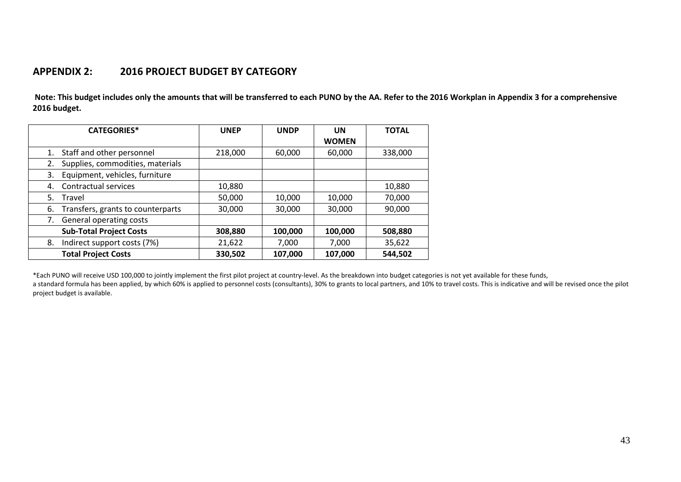# **APPENDIX 2: 2016 PROJECT BUDGET BY CATEGORY**

**Note: This budget includes only the amounts that will be transferred to each PUNO by the AA. Refer to the 2016 Workplan in Appendix 3 for a comprehensive 2016 budget.**

| <b>CATEGORIES*</b>                      | <b>UNEP</b> | <b>UNDP</b> | UN<br><b>WOMEN</b> | <b>TOTAL</b> |
|-----------------------------------------|-------------|-------------|--------------------|--------------|
| Staff and other personnel<br>1.         | 218,000     | 60,000      | 60,000             | 338,000      |
| Supplies, commodities, materials<br>2.  |             |             |                    |              |
| Equipment, vehicles, furniture<br>3.    |             |             |                    |              |
| Contractual services<br>4.              | 10,880      |             |                    | 10,880       |
| 5.<br>Travel                            | 50,000      | 10,000      | 10,000             | 70,000       |
| Transfers, grants to counterparts<br>6. | 30,000      | 30,000      | 30,000             | 90,000       |
| General operating costs<br>7.           |             |             |                    |              |
| <b>Sub-Total Project Costs</b>          | 308,880     | 100,000     | 100,000            | 508,880      |
| Indirect support costs (7%)<br>8.       | 21,622      | 7,000       | 7,000              | 35,622       |
| <b>Total Project Costs</b>              | 330,502     | 107,000     | 107,000            | 544,502      |

<span id="page-44-0"></span>\*Each PUNO will receive USD 100,000 to jointly implement the first pilot project at country-level. As the breakdown into budget categories is not yet available for these funds,

a standard formula has been applied, by which 60% is applied to personnel costs (consultants), 30% to grants to local partners, and 10% to travel costs. This is indicative and will be revised once the pilot project budget is available.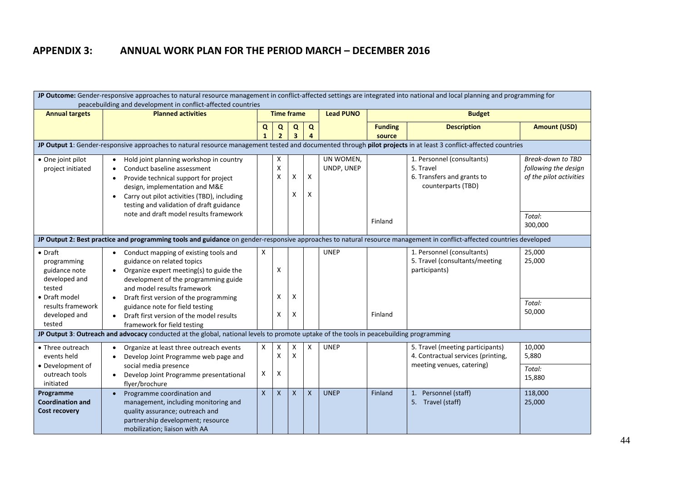# **APPENDIX 3: ANNUAL WORK PLAN FOR THE PERIOD MARCH – DECEMBER 2016**

<span id="page-45-0"></span>

|                                                                            | JP Outcome: Gender-responsive approaches to natural resource management in conflict-affected settings are integrated into national and local planning and programming for<br>peacebuilding and development in conflict-affected countries                 |                   |                     |                              |                           |                         |                          |                                                                                             |                                                                      |  |  |  |
|----------------------------------------------------------------------------|-----------------------------------------------------------------------------------------------------------------------------------------------------------------------------------------------------------------------------------------------------------|-------------------|---------------------|------------------------------|---------------------------|-------------------------|--------------------------|---------------------------------------------------------------------------------------------|----------------------------------------------------------------------|--|--|--|
| <b>Annual targets</b>                                                      | <b>Planned activities</b>                                                                                                                                                                                                                                 |                   | <b>Time frame</b>   |                              |                           | <b>Lead PUNO</b>        |                          | <b>Budget</b>                                                                               |                                                                      |  |  |  |
|                                                                            |                                                                                                                                                                                                                                                           | Q<br>$\mathbf{1}$ | Q<br>$\overline{2}$ | Q<br>$\overline{\mathbf{3}}$ | $\mathbf Q$<br>4          |                         | <b>Funding</b><br>source | <b>Description</b>                                                                          | <b>Amount (USD)</b>                                                  |  |  |  |
|                                                                            | JP Output 1: Gender-responsive approaches to natural resource management tested and documented through pilot projects in at least 3 conflict-affected countries                                                                                           |                   |                     |                              |                           |                         |                          |                                                                                             |                                                                      |  |  |  |
| • One joint pilot<br>project initiated                                     | Hold joint planning workshop in country<br>Conduct baseline assessment<br>Provide technical support for project<br>$\bullet$<br>design, implementation and M&E<br>Carry out pilot activities (TBD), including<br>testing and validation of draft guidance |                   | x<br>X<br>X         | х<br>X                       | X<br>X                    | UN WOMEN,<br>UNDP, UNEP |                          | 1. Personnel (consultants)<br>5. Travel<br>6. Transfers and grants to<br>counterparts (TBD) | Break-down to TBD<br>following the design<br>of the pilot activities |  |  |  |
|                                                                            | note and draft model results framework                                                                                                                                                                                                                    |                   |                     |                              |                           |                         | Finland                  |                                                                                             | Total:<br>300,000                                                    |  |  |  |
|                                                                            | JP Output 2: Best practice and programming tools and guidance on gender-responsive approaches to natural resource management in conflict-affected countries developed                                                                                     |                   |                     |                              |                           |                         |                          |                                                                                             |                                                                      |  |  |  |
| $\bullet$ Draft<br>programming<br>guidance note<br>developed and<br>tested | • Conduct mapping of existing tools and<br>guidance on related topics<br>Organize expert meeting(s) to guide the<br>$\bullet$<br>development of the programming guide<br>and model results framework                                                      | X                 | Χ                   |                              |                           | <b>UNEP</b>             |                          | 1. Personnel (consultants)<br>5. Travel (consultants/meeting<br>participants)               | 25,000<br>25,000                                                     |  |  |  |
| • Draft model<br>results framework<br>developed and<br>tested              | Draft first version of the programming<br>$\bullet$<br>guidance note for field testing<br>Draft first version of the model results<br>$\bullet$<br>framework for field testing                                                                            |                   | x<br>Χ              | X<br>х                       |                           |                         | Finland                  |                                                                                             | Total:<br>50,000                                                     |  |  |  |
|                                                                            | JP Output 3: Outreach and advocacy conducted at the global, national levels to promote uptake of the tools in peacebuilding programming                                                                                                                   |                   |                     |                              |                           |                         |                          |                                                                                             |                                                                      |  |  |  |
| • Three outreach<br>events held                                            | Organize at least three outreach events<br>Develop Joint Programme web page and                                                                                                                                                                           | X                 | X<br>Χ              | X<br>X                       | X                         | <b>UNEP</b>             |                          | 5. Travel (meeting participants)<br>4. Contractual services (printing,                      | 10,000<br>5,880                                                      |  |  |  |
| • Development of<br>outreach tools<br>initiated                            | social media presence<br>Develop Joint Programme presentational<br>flyer/brochure                                                                                                                                                                         | X                 | X                   |                              |                           |                         |                          | meeting venues, catering)                                                                   | Total:<br>15,880                                                     |  |  |  |
| Programme<br><b>Coordination and</b><br><b>Cost recovery</b>               | Programme coordination and<br>management, including monitoring and<br>quality assurance; outreach and<br>partnership development; resource<br>mobilization; liaison with AA                                                                               | $\mathsf{x}$      | X                   | X                            | $\boldsymbol{\mathsf{X}}$ | <b>UNEP</b>             | Finland                  | 1. Personnel (staff)<br>5. Travel (staff)                                                   | 118,000<br>25,000                                                    |  |  |  |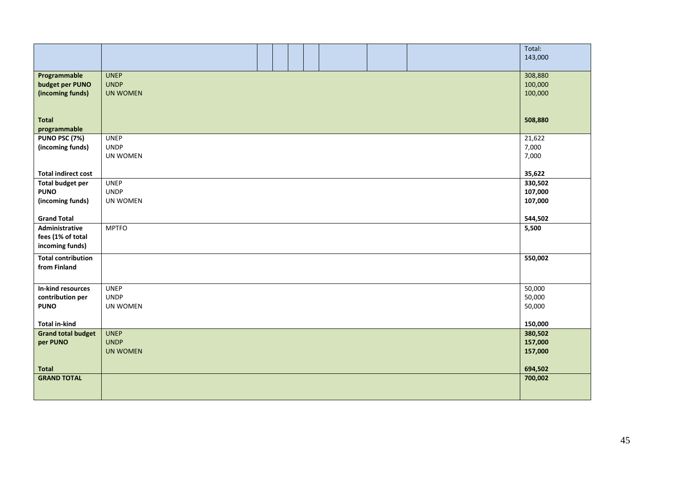|                                     |                 |  |  | Total:           |
|-------------------------------------|-----------------|--|--|------------------|
|                                     |                 |  |  | 143,000          |
| Programmable                        | <b>UNEP</b>     |  |  | 308,880          |
| budget per PUNO                     | <b>UNDP</b>     |  |  | 100,000          |
| (incoming funds)                    | <b>UN WOMEN</b> |  |  | 100,000          |
|                                     |                 |  |  |                  |
| <b>Total</b>                        |                 |  |  | 508,880          |
| programmable                        |                 |  |  |                  |
| PUNO PSC (7%)                       | <b>UNEP</b>     |  |  | 21,622           |
| (incoming funds)                    | <b>UNDP</b>     |  |  | 7,000            |
|                                     | UN WOMEN        |  |  | 7,000            |
|                                     |                 |  |  |                  |
| <b>Total indirect cost</b>          |                 |  |  | 35,622           |
| <b>Total budget per</b>             | <b>UNEP</b>     |  |  | 330,502          |
| <b>PUNO</b>                         | <b>UNDP</b>     |  |  | 107,000          |
| (incoming funds)                    | UN WOMEN        |  |  | 107,000          |
|                                     |                 |  |  |                  |
| <b>Grand Total</b>                  | <b>MPTFO</b>    |  |  | 544,502<br>5,500 |
| Administrative<br>fees (1% of total |                 |  |  |                  |
| incoming funds)                     |                 |  |  |                  |
|                                     |                 |  |  |                  |
| <b>Total contribution</b>           |                 |  |  | 550,002          |
| from Finland                        |                 |  |  |                  |
|                                     |                 |  |  |                  |
| In-kind resources                   | <b>UNEP</b>     |  |  | 50,000           |
| contribution per                    | <b>UNDP</b>     |  |  | 50,000           |
| <b>PUNO</b>                         | UN WOMEN        |  |  | 50,000           |
|                                     |                 |  |  |                  |
| <b>Total in-kind</b>                |                 |  |  | 150,000          |
| <b>Grand total budget</b>           | <b>UNEP</b>     |  |  | 380,502          |
| per PUNO                            | <b>UNDP</b>     |  |  | 157,000          |
|                                     | <b>UN WOMEN</b> |  |  | 157,000          |
| <b>Total</b>                        |                 |  |  | 694,502          |
| <b>GRAND TOTAL</b>                  |                 |  |  | 700,002          |
|                                     |                 |  |  |                  |
|                                     |                 |  |  |                  |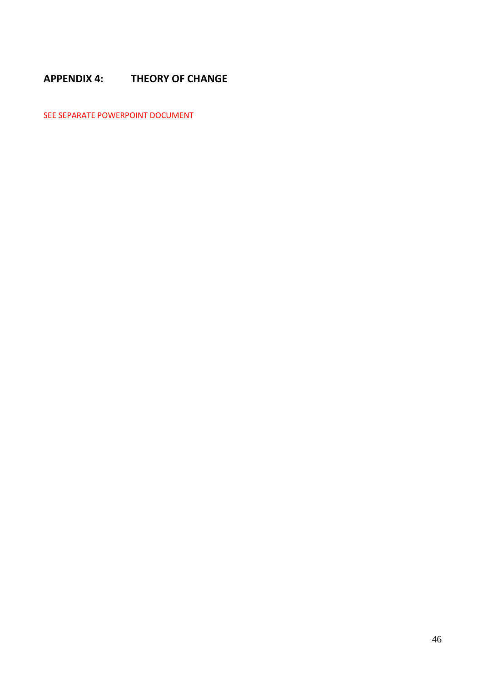# <span id="page-47-0"></span>**APPENDIX 4: THEORY OF CHANGE**

SEE SEPARATE POWERPOINT DOCUMENT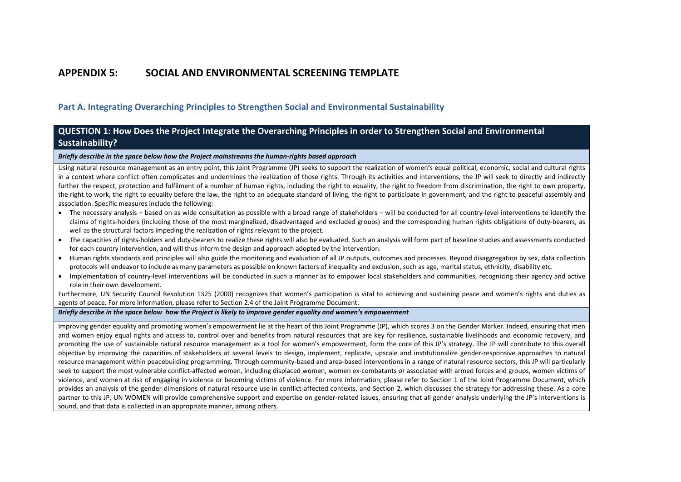# **APPENDIX 5: SOCIAL AND ENVIRONMENTAL SCREENING TEMPLATE**

**Part A. Integrating Overarching Principles to Strengthen Social and Environmental Sustainability**

### **QUESTION 1: How Does the Project Integrate the Overarching Principles in order to Strengthen Social and Environmental Sustainability?**

*Briefly describe in the space below how the Project mainstreams the human-rights based approach* 

Using natural resource management as an entry point, this Joint Programme (JP) seeks to support the realization of women's equal political, economic, social and cultural rights in a context where conflict often complicates and undermines the realization of those rights. Through its activities and interventions, the JP will seek to directly and indirectly further the respect, protection and fulfilment of a number of human rights, including the right to equality, the right to freedom from discrimination, the right to own property, the right to work, the right to equality before the law, the right to an adequate standard of living, the right to participate in government, and the right to peaceful assembly and association. Specific measures include the following:

- The necessary analysis based on as wide consultation as possible with a broad range of stakeholders will be conducted for all country-level interventions to identify the claims of rights-holders (including those of the most marginalized, disadvantaged and excluded groups) and the corresponding human rights obligations of duty-bearers, as well as the structural factors impeding the realization of rights relevant to the project.
- The capacities of rights-holders and duty-bearers to realize these rights will also be evaluated. Such an analysis will form part of baseline studies and assessments conducted for each country intervention, and will thus inform the design and approach adopted by the intervention.
- <span id="page-48-0"></span>• Human rights standards and principles will also guide the monitoring and evaluation of all JP outputs, outcomes and processes. Beyond disaggregation by sex, data collection protocols will endeavor to include as many parameters as possible on known factors of inequality and exclusion, such as age, marital status, ethnicity, disability etc.
- Implementation of country-level interventions will be conducted in such a manner as to empower local stakeholders and communities, recognizing their agency and active role in their own development.

Furthermore, UN Security Council Resolution 1325 (2000) recognizes that women's participation is vital to achieving and sustaining peace and women's rights and duties as agents of peace. For more information, please refer to Section 2.4 of the Joint Programme Document.

#### *Briefly describe in the space below how the Project is likely to improve gender equality and women's empowerment*

Improving gender equality and promoting women's empowerment lie at the heart of this Joint Programme (JP), which scores 3 on the Gender Marker. Indeed, ensuring that men and women enjoy equal rights and access to, control over and benefits from natural resources that are key for resilience, sustainable livelihoods and economic recovery, and promoting the use of sustainable natural resource management as a tool for women's empowerment, form the core of this JP's strategy. The JP will contribute to this overall objective by improving the capacities of stakeholders at several levels to design, implement, replicate, upscale and institutionalize gender-responsive approaches to natural resource management within peacebuilding programming. Through community-based and area-based interventions in a range of natural resource sectors, this JP will particularly seek to support the most vulnerable conflict-affected women, including displaced women, women ex-combatants or associated with armed forces and groups, women victims of violence, and women at risk of engaging in violence or becoming victims of violence. For more information, please refer to Section 1 of the Joint Programme Document, which provides an analysis of the gender dimensions of natural resource use in conflict-affected contexts, and Section 2, which discusses the strategy for addressing these. As a core partner to this JP, UN WOMEN will provide comprehensive support and expertise on gender-related issues, ensuring that all gender analysis underlying the JP's interventions is sound, and that data is collected in an appropriate manner, among others.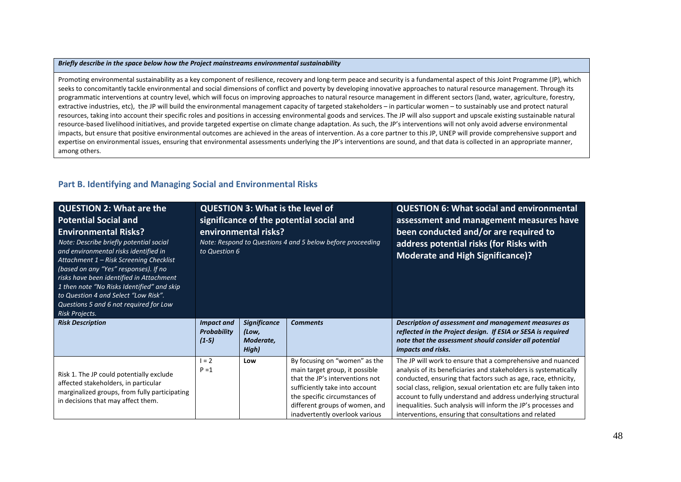#### *Briefly describe in the space below how the Project mainstreams environmental sustainability*

Promoting environmental sustainability as a key component of resilience, recovery and long-term peace and security is a fundamental aspect of this Joint Programme (JP), which seeks to concomitantly tackle environmental and social dimensions of conflict and poverty by developing innovative approaches to natural resource management. Through its programmatic interventions at country level, which will focus on improving approaches to natural resource management in different sectors (land, water, agriculture, forestry, extractive industries, etc), the JP will build the environmental management capacity of targeted stakeholders – in particular women – to sustainably use and protect natural resources, taking into account their specific roles and positions in accessing environmental goods and services. The JP will also support and upscale existing sustainable natural resource-based livelihood initiatives, and provide targeted expertise on climate change adaptation. As such, the JP's interventions will not only avoid adverse environmental impacts, but ensure that positive environmental outcomes are achieved in the areas of intervention. As a core partner to this JP, UNEP will provide comprehensive support and expertise on environmental issues, ensuring that environmental assessments underlying the JP's interventions are sound, and that data is collected in an appropriate manner, among others.

#### **Part B. Identifying and Managing Social and Environmental Risks**

| <b>QUESTION 2: What are the</b><br><b>Potential Social and</b><br><b>Environmental Risks?</b><br>Note: Describe briefly potential social<br>and environmental risks identified in<br>Attachment 1 - Risk Screening Checklist<br>(based on any "Yes" responses). If no<br>risks have been identified in Attachment<br>1 then note "No Risks Identified" and skip<br>to Question 4 and Select "Low Risk".<br>Questions 5 and 6 not required for Low<br>Risk Projects. | <b>QUESTION 3: What is the level of</b><br>significance of the potential social and<br>environmental risks?<br>Note: Respond to Questions 4 and 5 below before proceeding<br>to Question 6 |                                                    |                                                                                                                                                                                                                                           | <b>QUESTION 6: What social and environmental</b><br>assessment and management measures have<br>been conducted and/or are required to<br>address potential risks (for Risks with<br><b>Moderate and High Significance)?</b>                                                                                                                                                                                                                                            |  |
|---------------------------------------------------------------------------------------------------------------------------------------------------------------------------------------------------------------------------------------------------------------------------------------------------------------------------------------------------------------------------------------------------------------------------------------------------------------------|--------------------------------------------------------------------------------------------------------------------------------------------------------------------------------------------|----------------------------------------------------|-------------------------------------------------------------------------------------------------------------------------------------------------------------------------------------------------------------------------------------------|-----------------------------------------------------------------------------------------------------------------------------------------------------------------------------------------------------------------------------------------------------------------------------------------------------------------------------------------------------------------------------------------------------------------------------------------------------------------------|--|
| <b>Risk Description</b>                                                                                                                                                                                                                                                                                                                                                                                                                                             | <b>Impact and</b><br><b>Probability</b><br>$(1-5)$                                                                                                                                         | <b>Significance</b><br>(Low,<br>Moderate,<br>High) | <b>Comments</b>                                                                                                                                                                                                                           | Description of assessment and management measures as<br>reflected in the Project design. If ESIA or SESA is required<br>note that the assessment should consider all potential<br><i>impacts and risks.</i>                                                                                                                                                                                                                                                           |  |
| Risk 1. The JP could potentially exclude<br>affected stakeholders, in particular<br>marginalized groups, from fully participating<br>in decisions that may affect them.                                                                                                                                                                                                                                                                                             | $1 = 2$<br>$P = 1$                                                                                                                                                                         | Low                                                | By focusing on "women" as the<br>main target group, it possible<br>that the JP's interventions not<br>sufficiently take into account<br>the specific circumstances of<br>different groups of women, and<br>inadvertently overlook various | The JP will work to ensure that a comprehensive and nuanced<br>analysis of its beneficiaries and stakeholders is systematically<br>conducted, ensuring that factors such as age, race, ethnicity,<br>social class, religion, sexual orientation etc are fully taken into<br>account to fully understand and address underlying structural<br>inequalities. Such analysis will inform the JP's processes and<br>interventions, ensuring that consultations and related |  |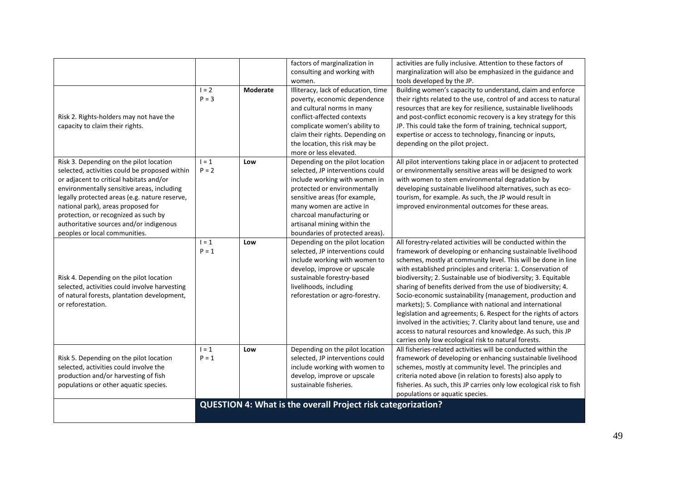|                                               |                    |                 | factors of marginalization in                                       | activities are fully inclusive. Attention to these factors of                                                                 |
|-----------------------------------------------|--------------------|-----------------|---------------------------------------------------------------------|-------------------------------------------------------------------------------------------------------------------------------|
|                                               |                    |                 | consulting and working with                                         | marginalization will also be emphasized in the guidance and                                                                   |
|                                               |                    |                 | women.                                                              | tools developed by the JP.                                                                                                    |
|                                               | $I = 2$            | <b>Moderate</b> | Illiteracy, lack of education, time                                 | Building women's capacity to understand, claim and enforce                                                                    |
|                                               | $P = 3$            |                 | poverty, economic dependence                                        | their rights related to the use, control of and access to natural                                                             |
|                                               |                    |                 | and cultural norms in many                                          | resources that are key for resilience, sustainable livelihoods                                                                |
| Risk 2. Rights-holders may not have the       |                    |                 | conflict-affected contexts                                          | and post-conflict economic recovery is a key strategy for this                                                                |
| capacity to claim their rights.               |                    |                 | complicate women's ability to                                       | JP. This could take the form of training, technical support,                                                                  |
|                                               |                    |                 | claim their rights. Depending on                                    | expertise or access to technology, financing or inputs,                                                                       |
|                                               |                    |                 | the location, this risk may be                                      | depending on the pilot project.                                                                                               |
|                                               |                    |                 | more or less elevated.                                              |                                                                                                                               |
| Risk 3. Depending on the pilot location       | $1 = 1$            | Low             | Depending on the pilot location                                     | All pilot interventions taking place in or adjacent to protected                                                              |
| selected, activities could be proposed within | $P = 2$            |                 | selected, JP interventions could                                    | or environmentally sensitive areas will be designed to work                                                                   |
| or adjacent to critical habitats and/or       |                    |                 | include working with women in                                       | with women to stem environmental degradation by                                                                               |
| environmentally sensitive areas, including    |                    |                 | protected or environmentally                                        | developing sustainable livelihood alternatives, such as eco-                                                                  |
| legally protected areas (e.g. nature reserve, |                    |                 | sensitive areas (for example,                                       | tourism, for example. As such, the JP would result in                                                                         |
| national park), areas proposed for            |                    |                 | many women are active in                                            | improved environmental outcomes for these areas.                                                                              |
| protection, or recognized as such by          |                    |                 | charcoal manufacturing or                                           |                                                                                                                               |
| authoritative sources and/or indigenous       |                    |                 | artisanal mining within the                                         |                                                                                                                               |
| peoples or local communities.                 |                    |                 | boundaries of protected areas).                                     |                                                                                                                               |
|                                               | $1 = 1$<br>$P = 1$ | Low             | Depending on the pilot location<br>selected, JP interventions could | All forestry-related activities will be conducted within the<br>framework of developing or enhancing sustainable livelihood   |
|                                               |                    |                 | include working with women to<br>develop, improve or upscale        | schemes, mostly at community level. This will be done in line<br>with established principles and criteria: 1. Conservation of |
| Risk 4. Depending on the pilot location       |                    |                 | sustainable forestry-based                                          | biodiversity; 2. Sustainable use of biodiversity; 3. Equitable                                                                |
| selected, activities could involve harvesting |                    |                 | livelihoods, including                                              | sharing of benefits derived from the use of biodiversity; 4.                                                                  |
| of natural forests, plantation development,   |                    |                 | reforestation or agro-forestry.                                     | Socio-economic sustainability (management, production and                                                                     |
| or reforestation.                             |                    |                 |                                                                     | markets); 5. Compliance with national and international                                                                       |
|                                               |                    |                 |                                                                     | legislation and agreements; 6. Respect for the rights of actors                                                               |
|                                               |                    |                 |                                                                     | involved in the activities; 7. Clarity about land tenure, use and                                                             |
|                                               |                    |                 |                                                                     | access to natural resources and knowledge. As such, this JP                                                                   |
|                                               |                    |                 |                                                                     | carries only low ecological risk to natural forests.                                                                          |
|                                               | $1 = 1$            | Low             | Depending on the pilot location                                     | All fisheries-related activities will be conducted within the                                                                 |
| Risk 5. Depending on the pilot location       | $P = 1$            |                 | selected, JP interventions could                                    | framework of developing or enhancing sustainable livelihood                                                                   |
| selected, activities could involve the        |                    |                 | include working with women to                                       | schemes, mostly at community level. The principles and                                                                        |
| production and/or harvesting of fish          |                    |                 | develop, improve or upscale                                         | criteria noted above (in relation to forests) also apply to                                                                   |
| populations or other aquatic species.         |                    |                 | sustainable fisheries.                                              |                                                                                                                               |
|                                               |                    |                 |                                                                     |                                                                                                                               |
|                                               |                    |                 |                                                                     |                                                                                                                               |
|                                               |                    |                 |                                                                     |                                                                                                                               |
|                                               |                    |                 | QUESTION 4: What is the overall Project risk categorization?        | fisheries. As such, this JP carries only low ecological risk to fish<br>populations or aquatic species.                       |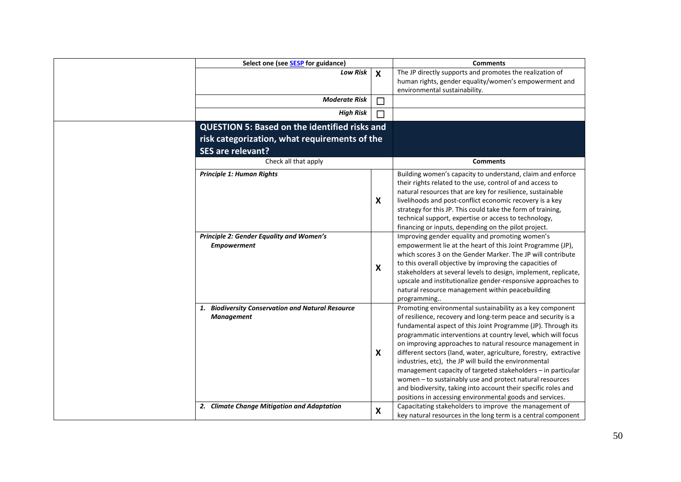| Select one (see <b>SESP</b> for guidance)                              |                           | <b>Comments</b>                                                                                                                                                                                                                                                                                                                                                                                                                                                                                                                                                                                                                                                                                                  |  |
|------------------------------------------------------------------------|---------------------------|------------------------------------------------------------------------------------------------------------------------------------------------------------------------------------------------------------------------------------------------------------------------------------------------------------------------------------------------------------------------------------------------------------------------------------------------------------------------------------------------------------------------------------------------------------------------------------------------------------------------------------------------------------------------------------------------------------------|--|
| <b>Low Risk</b>                                                        | $\boldsymbol{\mathsf{x}}$ | The JP directly supports and promotes the realization of<br>human rights, gender equality/women's empowerment and<br>environmental sustainability.                                                                                                                                                                                                                                                                                                                                                                                                                                                                                                                                                               |  |
| <b>Moderate Risk</b>                                                   | $\Box$                    |                                                                                                                                                                                                                                                                                                                                                                                                                                                                                                                                                                                                                                                                                                                  |  |
| <b>High Risk</b>                                                       | П                         |                                                                                                                                                                                                                                                                                                                                                                                                                                                                                                                                                                                                                                                                                                                  |  |
| <b>QUESTION 5: Based on the identified risks and</b>                   |                           |                                                                                                                                                                                                                                                                                                                                                                                                                                                                                                                                                                                                                                                                                                                  |  |
| risk categorization, what requirements of the                          |                           |                                                                                                                                                                                                                                                                                                                                                                                                                                                                                                                                                                                                                                                                                                                  |  |
| <b>SES are relevant?</b>                                               |                           |                                                                                                                                                                                                                                                                                                                                                                                                                                                                                                                                                                                                                                                                                                                  |  |
| Check all that apply                                                   | <b>Comments</b>           |                                                                                                                                                                                                                                                                                                                                                                                                                                                                                                                                                                                                                                                                                                                  |  |
| Principle 1: Human Rights                                              | X                         | Building women's capacity to understand, claim and enforce<br>their rights related to the use, control of and access to<br>natural resources that are key for resilience, sustainable<br>livelihoods and post-conflict economic recovery is a key<br>strategy for this JP. This could take the form of training,<br>technical support, expertise or access to technology,<br>financing or inputs, depending on the pilot project.                                                                                                                                                                                                                                                                                |  |
| Principle 2: Gender Equality and Women's<br><b>Empowerment</b>         | $\boldsymbol{\mathsf{X}}$ | Improving gender equality and promoting women's<br>empowerment lie at the heart of this Joint Programme (JP),<br>which scores 3 on the Gender Marker. The JP will contribute<br>to this overall objective by improving the capacities of<br>stakeholders at several levels to design, implement, replicate,<br>upscale and institutionalize gender-responsive approaches to<br>natural resource management within peacebuilding<br>programming                                                                                                                                                                                                                                                                   |  |
| 1. Biodiversity Conservation and Natural Resource<br><b>Management</b> | X                         | Promoting environmental sustainability as a key component<br>of resilience, recovery and long-term peace and security is a<br>fundamental aspect of this Joint Programme (JP). Through its<br>programmatic interventions at country level, which will focus<br>on improving approaches to natural resource management in<br>different sectors (land, water, agriculture, forestry, extractive<br>industries, etc), the JP will build the environmental<br>management capacity of targeted stakeholders - in particular<br>women - to sustainably use and protect natural resources<br>and biodiversity, taking into account their specific roles and<br>positions in accessing environmental goods and services. |  |
| 2. Climate Change Mitigation and Adaptation                            | X                         | Capacitating stakeholders to improve the management of<br>key natural resources in the long term is a central component                                                                                                                                                                                                                                                                                                                                                                                                                                                                                                                                                                                          |  |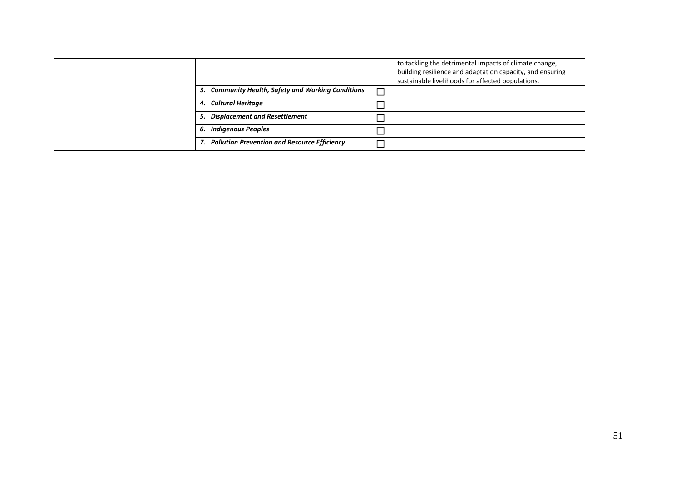|                                                    |                          | to tackling the detrimental impacts of climate change,<br>building resilience and adaptation capacity, and ensuring<br>sustainable livelihoods for affected populations. |
|----------------------------------------------------|--------------------------|--------------------------------------------------------------------------------------------------------------------------------------------------------------------------|
| 3. Community Health, Safety and Working Conditions | $\overline{\phantom{0}}$ |                                                                                                                                                                          |
| 4. Cultural Heritage                               |                          |                                                                                                                                                                          |
| 5. Displacement and Resettlement                   |                          |                                                                                                                                                                          |
| 6. Indigenous Peoples                              |                          |                                                                                                                                                                          |
| 7. Pollution Prevention and Resource Efficiency    |                          |                                                                                                                                                                          |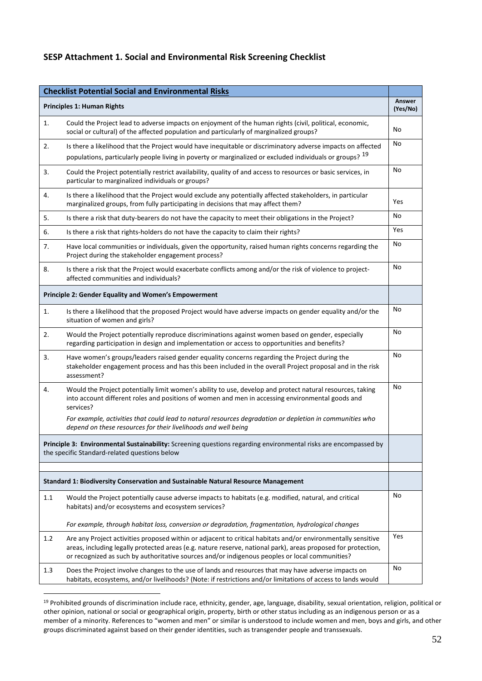# **SESP Attachment 1. Social and Environmental Risk Screening Checklist**

| <b>Checklist Potential Social and Environmental Risks</b>                                                                                                        |                                                                                                                                                                                                                                                                                                                                 |                    |
|------------------------------------------------------------------------------------------------------------------------------------------------------------------|---------------------------------------------------------------------------------------------------------------------------------------------------------------------------------------------------------------------------------------------------------------------------------------------------------------------------------|--------------------|
|                                                                                                                                                                  | <b>Principles 1: Human Rights</b>                                                                                                                                                                                                                                                                                               | Answer<br>(Yes/No) |
| 1.                                                                                                                                                               | Could the Project lead to adverse impacts on enjoyment of the human rights (civil, political, economic,<br>social or cultural) of the affected population and particularly of marginalized groups?                                                                                                                              | No                 |
| 2.                                                                                                                                                               | Is there a likelihood that the Project would have inequitable or discriminatory adverse impacts on affected<br>populations, particularly people living in poverty or marginalized or excluded individuals or groups? <sup>19</sup>                                                                                              | No                 |
| 3.                                                                                                                                                               | Could the Project potentially restrict availability, quality of and access to resources or basic services, in<br>particular to marginalized individuals or groups?                                                                                                                                                              | No                 |
| 4.                                                                                                                                                               | Is there a likelihood that the Project would exclude any potentially affected stakeholders, in particular<br>marginalized groups, from fully participating in decisions that may affect them?                                                                                                                                   | Yes                |
| 5.                                                                                                                                                               | Is there a risk that duty-bearers do not have the capacity to meet their obligations in the Project?                                                                                                                                                                                                                            | No                 |
| 6.                                                                                                                                                               | Is there a risk that rights-holders do not have the capacity to claim their rights?                                                                                                                                                                                                                                             | Yes                |
| 7.                                                                                                                                                               | Have local communities or individuals, given the opportunity, raised human rights concerns regarding the<br>Project during the stakeholder engagement process?                                                                                                                                                                  | No                 |
| 8.                                                                                                                                                               | Is there a risk that the Project would exacerbate conflicts among and/or the risk of violence to project-<br>affected communities and individuals?                                                                                                                                                                              | No                 |
|                                                                                                                                                                  | Principle 2: Gender Equality and Women's Empowerment                                                                                                                                                                                                                                                                            |                    |
| 1.                                                                                                                                                               | Is there a likelihood that the proposed Project would have adverse impacts on gender equality and/or the<br>situation of women and girls?                                                                                                                                                                                       | No                 |
| 2.                                                                                                                                                               | Would the Project potentially reproduce discriminations against women based on gender, especially<br>regarding participation in design and implementation or access to opportunities and benefits?                                                                                                                              | No                 |
| 3.                                                                                                                                                               | Have women's groups/leaders raised gender equality concerns regarding the Project during the<br>stakeholder engagement process and has this been included in the overall Project proposal and in the risk<br>assessment?                                                                                                        | No                 |
| 4.                                                                                                                                                               | Would the Project potentially limit women's ability to use, develop and protect natural resources, taking<br>into account different roles and positions of women and men in accessing environmental goods and<br>services?                                                                                                      | No                 |
|                                                                                                                                                                  | For example, activities that could lead to natural resources degradation or depletion in communities who<br>depend on these resources for their livelihoods and well being                                                                                                                                                      |                    |
| Principle 3: Environmental Sustainability: Screening questions regarding environmental risks are encompassed by<br>the specific Standard-related questions below |                                                                                                                                                                                                                                                                                                                                 |                    |
|                                                                                                                                                                  | Standard 1: Biodiversity Conservation and Sustainable Natural Resource Management                                                                                                                                                                                                                                               |                    |
|                                                                                                                                                                  |                                                                                                                                                                                                                                                                                                                                 | No                 |
| 1.1                                                                                                                                                              | Would the Project potentially cause adverse impacts to habitats (e.g. modified, natural, and critical<br>habitats) and/or ecosystems and ecosystem services?                                                                                                                                                                    |                    |
|                                                                                                                                                                  | For example, through habitat loss, conversion or degradation, fragmentation, hydrological changes                                                                                                                                                                                                                               |                    |
| 1.2                                                                                                                                                              | Are any Project activities proposed within or adjacent to critical habitats and/or environmentally sensitive<br>areas, including legally protected areas (e.g. nature reserve, national park), areas proposed for protection,<br>or recognized as such by authoritative sources and/or indigenous peoples or local communities? | Yes                |
| 1.3                                                                                                                                                              | Does the Project involve changes to the use of lands and resources that may have adverse impacts on<br>habitats, ecosystems, and/or livelihoods? (Note: if restrictions and/or limitations of access to lands would                                                                                                             | No                 |

<span id="page-53-0"></span><sup>19</sup> Prohibited grounds of discrimination include race, ethnicity, gender, age, language, disability, sexual orientation, religion, political or other opinion, national or social or geographical origin, property, birth or other status including as an indigenous person or as a member of a minority. References to "women and men" or similar is understood to include women and men, boys and girls, and other groups discriminated against based on their gender identities, such as transgender people and transsexuals.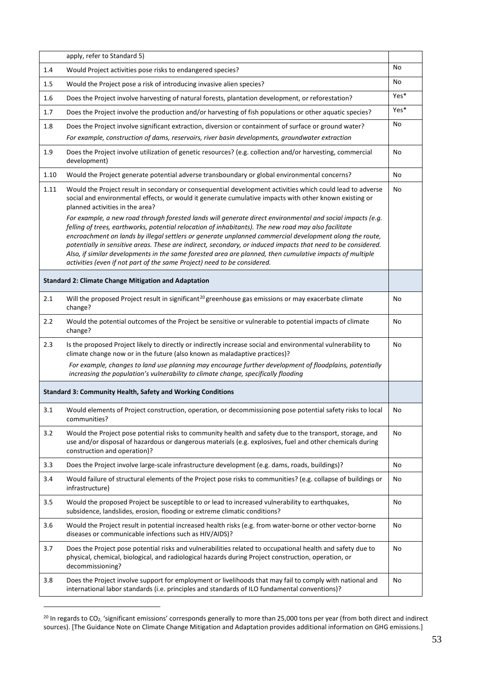|      | apply, refer to Standard 5)                                                                                                                                                                                                                                                                                                                                                                                                                                                                                                                                                                                                            |      |
|------|----------------------------------------------------------------------------------------------------------------------------------------------------------------------------------------------------------------------------------------------------------------------------------------------------------------------------------------------------------------------------------------------------------------------------------------------------------------------------------------------------------------------------------------------------------------------------------------------------------------------------------------|------|
| 1.4  | Would Project activities pose risks to endangered species?                                                                                                                                                                                                                                                                                                                                                                                                                                                                                                                                                                             | No   |
| 1.5  | Would the Project pose a risk of introducing invasive alien species?                                                                                                                                                                                                                                                                                                                                                                                                                                                                                                                                                                   | No   |
| 1.6  | Does the Project involve harvesting of natural forests, plantation development, or reforestation?                                                                                                                                                                                                                                                                                                                                                                                                                                                                                                                                      | Yes* |
| 1.7  | Does the Project involve the production and/or harvesting of fish populations or other aquatic species?                                                                                                                                                                                                                                                                                                                                                                                                                                                                                                                                | Yes* |
| 1.8  | Does the Project involve significant extraction, diversion or containment of surface or ground water?                                                                                                                                                                                                                                                                                                                                                                                                                                                                                                                                  | No   |
|      | For example, construction of dams, reservoirs, river basin developments, groundwater extraction                                                                                                                                                                                                                                                                                                                                                                                                                                                                                                                                        |      |
| 1.9  | Does the Project involve utilization of genetic resources? (e.g. collection and/or harvesting, commercial<br>development)                                                                                                                                                                                                                                                                                                                                                                                                                                                                                                              | No   |
| 1.10 | Would the Project generate potential adverse transboundary or global environmental concerns?                                                                                                                                                                                                                                                                                                                                                                                                                                                                                                                                           | No   |
| 1.11 | Would the Project result in secondary or consequential development activities which could lead to adverse<br>social and environmental effects, or would it generate cumulative impacts with other known existing or<br>planned activities in the area?                                                                                                                                                                                                                                                                                                                                                                                 | No   |
|      | For example, a new road through forested lands will generate direct environmental and social impacts (e.g.<br>felling of trees, earthworks, potential relocation of inhabitants). The new road may also facilitate<br>encroachment on lands by illegal settlers or generate unplanned commercial development along the route,<br>potentially in sensitive areas. These are indirect, secondary, or induced impacts that need to be considered.<br>Also, if similar developments in the same forested area are planned, then cumulative impacts of multiple<br>activities (even if not part of the same Project) need to be considered. |      |
|      | <b>Standard 2: Climate Change Mitigation and Adaptation</b>                                                                                                                                                                                                                                                                                                                                                                                                                                                                                                                                                                            |      |
| 2.1  | Will the proposed Project result in significant <sup>20</sup> greenhouse gas emissions or may exacerbate climate<br>change?                                                                                                                                                                                                                                                                                                                                                                                                                                                                                                            | No   |
| 2.2  | Would the potential outcomes of the Project be sensitive or vulnerable to potential impacts of climate<br>change?                                                                                                                                                                                                                                                                                                                                                                                                                                                                                                                      | No   |
| 2.3  | Is the proposed Project likely to directly or indirectly increase social and environmental vulnerability to<br>climate change now or in the future (also known as maladaptive practices)?                                                                                                                                                                                                                                                                                                                                                                                                                                              | No   |
|      | For example, changes to land use planning may encourage further development of floodplains, potentially<br>increasing the population's vulnerability to climate change, specifically flooding                                                                                                                                                                                                                                                                                                                                                                                                                                          |      |
|      | <b>Standard 3: Community Health, Safety and Working Conditions</b>                                                                                                                                                                                                                                                                                                                                                                                                                                                                                                                                                                     |      |
| 3.1  | Would elements of Project construction, operation, or decommissioning pose potential safety risks to local<br>communities?                                                                                                                                                                                                                                                                                                                                                                                                                                                                                                             | No   |
| 3.2  | Would the Project pose potential risks to community health and safety due to the transport, storage, and<br>use and/or disposal of hazardous or dangerous materials (e.g. explosives, fuel and other chemicals during<br>construction and operation)?                                                                                                                                                                                                                                                                                                                                                                                  | No   |
| 3.3  | Does the Project involve large-scale infrastructure development (e.g. dams, roads, buildings)?                                                                                                                                                                                                                                                                                                                                                                                                                                                                                                                                         | No   |
| 3.4  | Would failure of structural elements of the Project pose risks to communities? (e.g. collapse of buildings or<br>infrastructure)                                                                                                                                                                                                                                                                                                                                                                                                                                                                                                       | No   |
| 3.5  | Would the proposed Project be susceptible to or lead to increased vulnerability to earthquakes,<br>subsidence, landslides, erosion, flooding or extreme climatic conditions?                                                                                                                                                                                                                                                                                                                                                                                                                                                           | No   |
| 3.6  | Would the Project result in potential increased health risks (e.g. from water-borne or other vector-borne<br>diseases or communicable infections such as HIV/AIDS)?                                                                                                                                                                                                                                                                                                                                                                                                                                                                    | No   |
| 3.7  | Does the Project pose potential risks and vulnerabilities related to occupational health and safety due to<br>physical, chemical, biological, and radiological hazards during Project construction, operation, or<br>decommissioning?                                                                                                                                                                                                                                                                                                                                                                                                  | No   |
| 3.8  | Does the Project involve support for employment or livelihoods that may fail to comply with national and<br>international labor standards (i.e. principles and standards of ILO fundamental conventions)?                                                                                                                                                                                                                                                                                                                                                                                                                              | No   |

<span id="page-54-0"></span><sup>&</sup>lt;sup>20</sup> In regards to CO<sub>2</sub>, 'significant emissions' corresponds generally to more than 25,000 tons per year (from both direct and indirect sources). [The Guidance Note on Climate Change Mitigation and Adaptation provides additional information on GHG emissions.]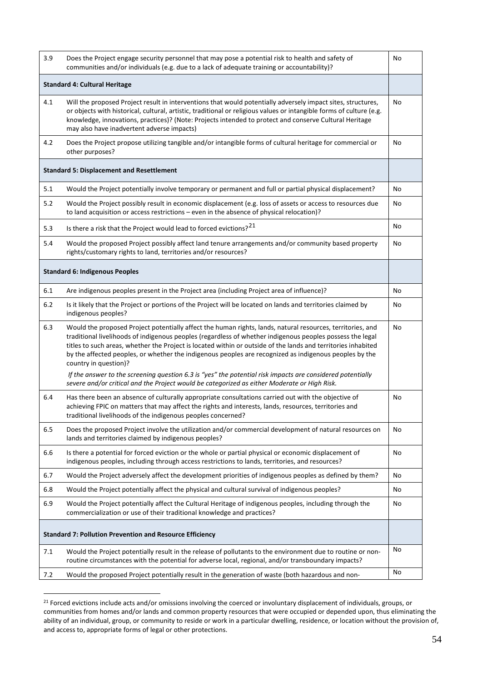| 3.9                                                             | Does the Project engage security personnel that may pose a potential risk to health and safety of<br>communities and/or individuals (e.g. due to a lack of adequate training or accountability)?                                                                                                                                                                                                                                                                                                                                                                                          | No |  |
|-----------------------------------------------------------------|-------------------------------------------------------------------------------------------------------------------------------------------------------------------------------------------------------------------------------------------------------------------------------------------------------------------------------------------------------------------------------------------------------------------------------------------------------------------------------------------------------------------------------------------------------------------------------------------|----|--|
| <b>Standard 4: Cultural Heritage</b>                            |                                                                                                                                                                                                                                                                                                                                                                                                                                                                                                                                                                                           |    |  |
| 4.1                                                             | Will the proposed Project result in interventions that would potentially adversely impact sites, structures,<br>or objects with historical, cultural, artistic, traditional or religious values or intangible forms of culture (e.g.<br>knowledge, innovations, practices)? (Note: Projects intended to protect and conserve Cultural Heritage<br>may also have inadvertent adverse impacts)                                                                                                                                                                                              | No |  |
| 4.2                                                             | Does the Project propose utilizing tangible and/or intangible forms of cultural heritage for commercial or<br>other purposes?                                                                                                                                                                                                                                                                                                                                                                                                                                                             | No |  |
|                                                                 | <b>Standard 5: Displacement and Resettlement</b>                                                                                                                                                                                                                                                                                                                                                                                                                                                                                                                                          |    |  |
| 5.1                                                             | Would the Project potentially involve temporary or permanent and full or partial physical displacement?                                                                                                                                                                                                                                                                                                                                                                                                                                                                                   | No |  |
| 5.2                                                             | Would the Project possibly result in economic displacement (e.g. loss of assets or access to resources due<br>to land acquisition or access restrictions - even in the absence of physical relocation)?                                                                                                                                                                                                                                                                                                                                                                                   | No |  |
| 5.3                                                             | Is there a risk that the Project would lead to forced evictions? <sup>21</sup>                                                                                                                                                                                                                                                                                                                                                                                                                                                                                                            | No |  |
| 5.4                                                             | Would the proposed Project possibly affect land tenure arrangements and/or community based property<br>rights/customary rights to land, territories and/or resources?                                                                                                                                                                                                                                                                                                                                                                                                                     | No |  |
|                                                                 | <b>Standard 6: Indigenous Peoples</b>                                                                                                                                                                                                                                                                                                                                                                                                                                                                                                                                                     |    |  |
| 6.1                                                             | Are indigenous peoples present in the Project area (including Project area of influence)?                                                                                                                                                                                                                                                                                                                                                                                                                                                                                                 | No |  |
| 6.2                                                             | Is it likely that the Project or portions of the Project will be located on lands and territories claimed by<br>indigenous peoples?                                                                                                                                                                                                                                                                                                                                                                                                                                                       | No |  |
| 6.3                                                             | Would the proposed Project potentially affect the human rights, lands, natural resources, territories, and<br>traditional livelihoods of indigenous peoples (regardless of whether indigenous peoples possess the legal<br>titles to such areas, whether the Project is located within or outside of the lands and territories inhabited<br>by the affected peoples, or whether the indigenous peoples are recognized as indigenous peoples by the<br>country in question)?<br>If the answer to the screening question 6.3 is "yes" the potential risk impacts are considered potentially | No |  |
|                                                                 | severe and/or critical and the Project would be categorized as either Moderate or High Risk.                                                                                                                                                                                                                                                                                                                                                                                                                                                                                              |    |  |
| 6.4                                                             | Has there been an absence of culturally appropriate consultations carried out with the objective of<br>achieving FPIC on matters that may affect the rights and interests, lands, resources, territories and<br>traditional livelihoods of the indigenous peoples concerned?                                                                                                                                                                                                                                                                                                              | No |  |
| 6.5                                                             | Does the proposed Project involve the utilization and/or commercial development of natural resources on<br>lands and territories claimed by indigenous peoples?                                                                                                                                                                                                                                                                                                                                                                                                                           | No |  |
| 6.6                                                             | Is there a potential for forced eviction or the whole or partial physical or economic displacement of<br>indigenous peoples, including through access restrictions to lands, territories, and resources?                                                                                                                                                                                                                                                                                                                                                                                  | No |  |
| 6.7                                                             | Would the Project adversely affect the development priorities of indigenous peoples as defined by them?                                                                                                                                                                                                                                                                                                                                                                                                                                                                                   | No |  |
| 6.8                                                             | Would the Project potentially affect the physical and cultural survival of indigenous peoples?                                                                                                                                                                                                                                                                                                                                                                                                                                                                                            | No |  |
| 6.9                                                             | Would the Project potentially affect the Cultural Heritage of indigenous peoples, including through the<br>commercialization or use of their traditional knowledge and practices?                                                                                                                                                                                                                                                                                                                                                                                                         | No |  |
| <b>Standard 7: Pollution Prevention and Resource Efficiency</b> |                                                                                                                                                                                                                                                                                                                                                                                                                                                                                                                                                                                           |    |  |
| 7.1                                                             | Would the Project potentially result in the release of pollutants to the environment due to routine or non-<br>routine circumstances with the potential for adverse local, regional, and/or transboundary impacts?                                                                                                                                                                                                                                                                                                                                                                        | No |  |
| 7.2                                                             | Would the proposed Project potentially result in the generation of waste (both hazardous and non-                                                                                                                                                                                                                                                                                                                                                                                                                                                                                         | No |  |

<span id="page-55-0"></span><sup>&</sup>lt;sup>21</sup> Forced evictions include acts and/or omissions involving the coerced or involuntary displacement of individuals, groups, or communities from homes and/or lands and common property resources that were occupied or depended upon, thus eliminating the ability of an individual, group, or community to reside or work in a particular dwelling, residence, or location without the provision of, and access to, appropriate forms of legal or other protections.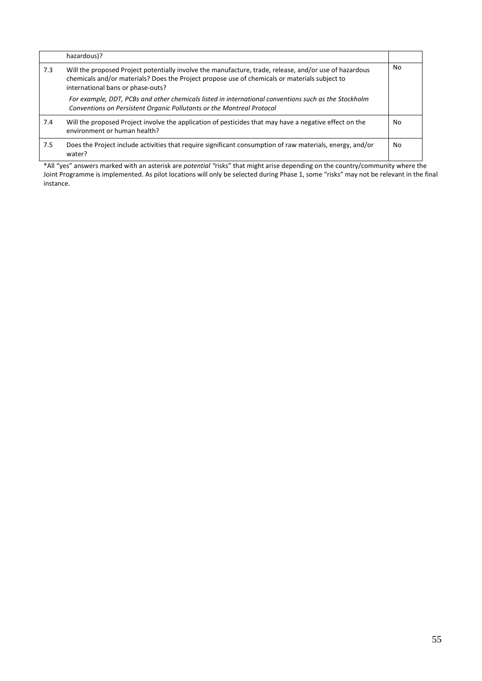|     | hazardous)?                                                                                                                                                                                                                                  |    |
|-----|----------------------------------------------------------------------------------------------------------------------------------------------------------------------------------------------------------------------------------------------|----|
| 7.3 | Will the proposed Project potentially involve the manufacture, trade, release, and/or use of hazardous<br>chemicals and/or materials? Does the Project propose use of chemicals or materials subject to<br>international bans or phase-outs? | No |
|     | For example, DDT, PCBs and other chemicals listed in international conventions such as the Stockholm<br>Conventions on Persistent Organic Pollutants or the Montreal Protocol                                                                |    |
| 7.4 | Will the proposed Project involve the application of pesticides that may have a negative effect on the<br>environment or human health?                                                                                                       | No |
| 7.5 | Does the Project include activities that require significant consumption of raw materials, energy, and/or<br>water?                                                                                                                          | No |

\*All "yes" answers marked with an asterisk are *potential "*risks" that might arise depending on the country/community where the Joint Programme is implemented. As pilot locations will only be selected during Phase 1, some "risks" may not be relevant in the final instance.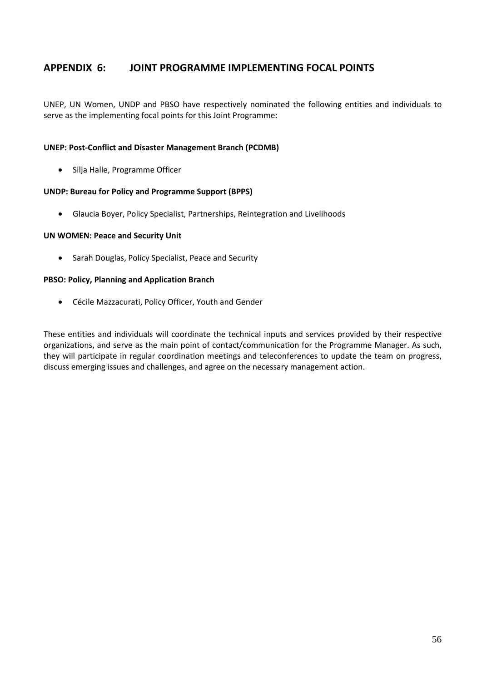# <span id="page-57-0"></span>**APPENDIX 6: JOINT PROGRAMME IMPLEMENTING FOCAL POINTS**

UNEP, UN Women, UNDP and PBSO have respectively nominated the following entities and individuals to serve as the implementing focal points for this Joint Programme:

#### **UNEP: Post-Conflict and Disaster Management Branch (PCDMB)**

• Silja Halle, Programme Officer

#### **UNDP: Bureau for Policy and Programme Support (BPPS)**

• Glaucia Boyer, Policy Specialist, Partnerships, Reintegration and Livelihoods

#### **UN WOMEN: Peace and Security Unit**

• Sarah Douglas, Policy Specialist, Peace and Security

#### **PBSO: Policy, Planning and Application Branch**

• Cécile Mazzacurati, Policy Officer, Youth and Gender

These entities and individuals will coordinate the technical inputs and services provided by their respective organizations, and serve as the main point of contact/communication for the Programme Manager. As such, they will participate in regular coordination meetings and teleconferences to update the team on progress, discuss emerging issues and challenges, and agree on the necessary management action.